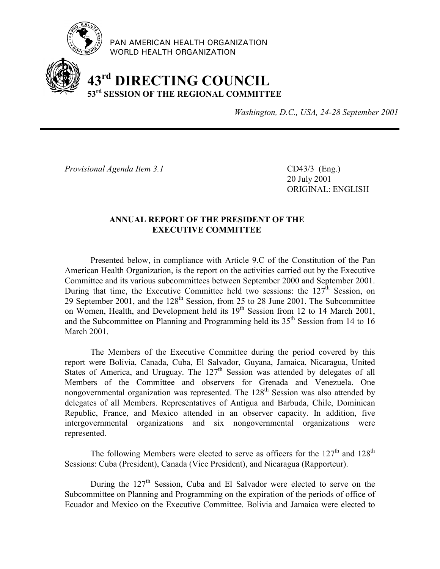

PAN AMERICAN HEALTH ORGANIZATION WORLD HEALTH ORGANIZATION

# **43rd DIRECTING COUNCIL 53rd SESSION OF THE REGIONAL COMMITTEE**

*Washington, D.C., USA, 24-28 September 2001*

*Provisional Agenda Item 3.1* CD43/3 (Eng.)

20 July 2001 ORIGINAL: ENGLISH

# **ANNUAL REPORT OF THE PRESIDENT OF THE EXECUTIVE COMMITTEE**

Presented below, in compliance with Article 9.C of the Constitution of the Pan American Health Organization, is the report on the activities carried out by the Executive Committee and its various subcommittees between September 2000 and September 2001. During that time, the Executive Committee held two sessions: the  $127<sup>th</sup>$  Session, on 29 September 2001, and the 128<sup>th</sup> Session, from 25 to 28 June 2001. The Subcommittee on Women, Health, and Development held its  $19<sup>th</sup>$  Session from 12 to 14 March 2001, and the Subcommittee on Planning and Programming held its  $35<sup>th</sup>$  Session from 14 to 16 March 2001.

The Members of the Executive Committee during the period covered by this report were Bolivia, Canada, Cuba, El Salvador, Guyana, Jamaica, Nicaragua, United States of America, and Uruguay. The  $127<sup>th</sup>$  Session was attended by delegates of all Members of the Committee and observers for Grenada and Venezuela. One nongovernmental organization was represented. The  $128<sup>th</sup>$  Session was also attended by delegates of all Members. Representatives of Antigua and Barbuda, Chile, Dominican Republic, France, and Mexico attended in an observer capacity. In addition, five intergovernmental organizations and six nongovernmental organizations were represented.

The following Members were elected to serve as officers for the  $127<sup>th</sup>$  and  $128<sup>th</sup>$ Sessions: Cuba (President), Canada (Vice President), and Nicaragua (Rapporteur).

During the  $127<sup>th</sup>$  Session, Cuba and El Salvador were elected to serve on the Subcommittee on Planning and Programming on the expiration of the periods of office of Ecuador and Mexico on the Executive Committee. Bolivia and Jamaica were elected to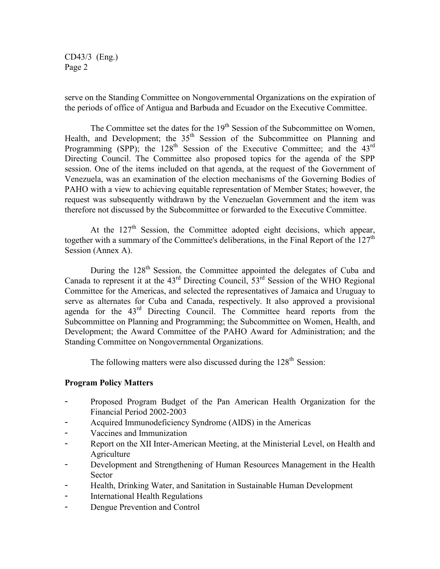CD43/3 (Eng.) Page 2

serve on the Standing Committee on Nongovernmental Organizations on the expiration of the periods of office of Antigua and Barbuda and Ecuador on the Executive Committee.

The Committee set the dates for the 19<sup>th</sup> Session of the Subcommittee on Women, Health, and Development; the 35<sup>th</sup> Session of the Subcommittee on Planning and Programming (SPP); the  $128<sup>th</sup>$  Session of the Executive Committee; and the  $43<sup>rd</sup>$ Directing Council. The Committee also proposed topics for the agenda of the SPP session. One of the items included on that agenda, at the request of the Government of Venezuela, was an examination of the election mechanisms of the Governing Bodies of PAHO with a view to achieving equitable representation of Member States; however, the request was subsequently withdrawn by the Venezuelan Government and the item was therefore not discussed by the Subcommittee or forwarded to the Executive Committee.

At the  $127<sup>th</sup>$  Session, the Committee adopted eight decisions, which appear, together with a summary of the Committee's deliberations, in the Final Report of the 127<sup>th</sup> Session (Annex A).

During the 128<sup>th</sup> Session, the Committee appointed the delegates of Cuba and Canada to represent it at the  $43<sup>rd</sup>$  Directing Council,  $53<sup>rd</sup>$  Session of the WHO Regional Committee for the Americas, and selected the representatives of Jamaica and Uruguay to serve as alternates for Cuba and Canada, respectively. It also approved a provisional agenda for the 43rd Directing Council. The Committee heard reports from the Subcommittee on Planning and Programming; the Subcommittee on Women, Health, and Development; the Award Committee of the PAHO Award for Administration; and the Standing Committee on Nongovernmental Organizations.

The following matters were also discussed during the  $128<sup>th</sup>$  Session:

# **Program Policy Matters**

- Proposed Program Budget of the Pan American Health Organization for the Financial Period 2002-2003
- Acquired Immunodeficiency Syndrome (AIDS) in the Americas
- Vaccines and Immunization
- Report on the XII Inter-American Meeting, at the Ministerial Level, on Health and **Agriculture**
- Development and Strengthening of Human Resources Management in the Health Sector
- Health, Drinking Water, and Sanitation in Sustainable Human Development
- International Health Regulations
- Dengue Prevention and Control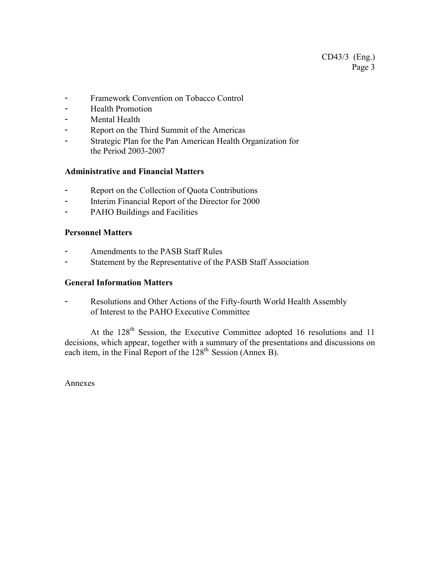- Framework Convention on Tobacco Control
- Health Promotion
- Mental Health
- Report on the Third Summit of the Americas
- Strategic Plan for the Pan American Health Organization for the Period 2003-2007

# **Administrative and Financial Matters**

- Report on the Collection of Quota Contributions
- Interim Financial Report of the Director for 2000
- PAHO Buildings and Facilities

# **Personnel Matters**

- Amendments to the PASB Staff Rules
- Statement by the Representative of the PASB Staff Association

# **General Information Matters**

- Resolutions and Other Actions of the Fifty-fourth World Health Assembly of Interest to the PAHO Executive Committee

At the 128<sup>th</sup> Session, the Executive Committee adopted 16 resolutions and 11 decisions, which appear, together with a summary of the presentations and discussions on each item, in the Final Report of the 128<sup>th</sup> Session (Annex B).

Annexes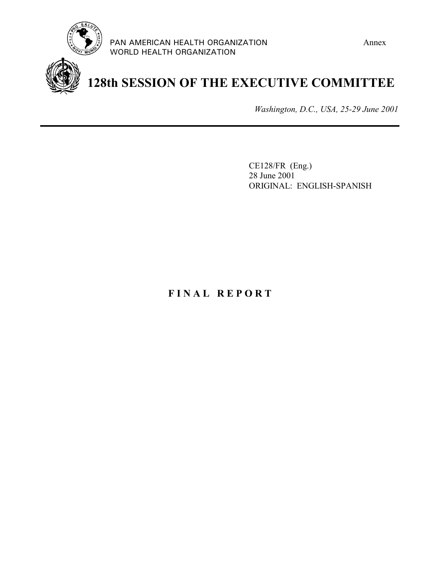



# **128th SESSION OF THE EXECUTIVE COMMITTEE**

*Washington, D.C., USA, 25-29 June 2001*

CE128/FR (Eng.) 28 June 2001 ORIGINAL: ENGLISH-SPANISH

# **F I N A L R E P O R T**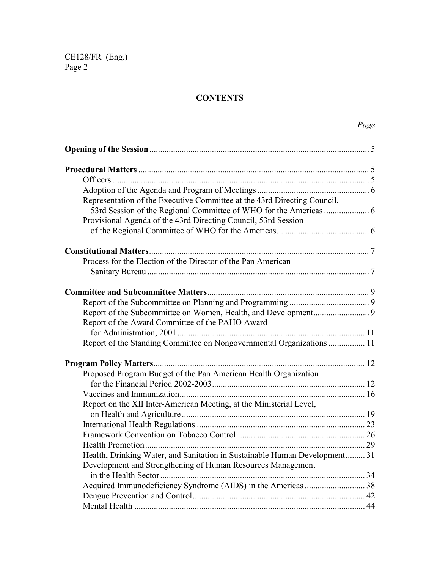# **CONTENTS**

| Representation of the Executive Committee at the 43rd Directing Council,   |  |
|----------------------------------------------------------------------------|--|
|                                                                            |  |
| Provisional Agenda of the 43rd Directing Council, 53rd Session             |  |
|                                                                            |  |
|                                                                            |  |
| Process for the Election of the Director of the Pan American               |  |
|                                                                            |  |
|                                                                            |  |
|                                                                            |  |
|                                                                            |  |
| Report of the Award Committee of the PAHO Award                            |  |
|                                                                            |  |
| Report of the Standing Committee on Nongovernmental Organizations  11      |  |
|                                                                            |  |
| Proposed Program Budget of the Pan American Health Organization            |  |
|                                                                            |  |
|                                                                            |  |
| Report on the XII Inter-American Meeting, at the Ministerial Level,        |  |
|                                                                            |  |
|                                                                            |  |
|                                                                            |  |
|                                                                            |  |
| Health, Drinking Water, and Sanitation in Sustainable Human Development 31 |  |
| Development and Strengthening of Human Resources Management                |  |
|                                                                            |  |
|                                                                            |  |
|                                                                            |  |
|                                                                            |  |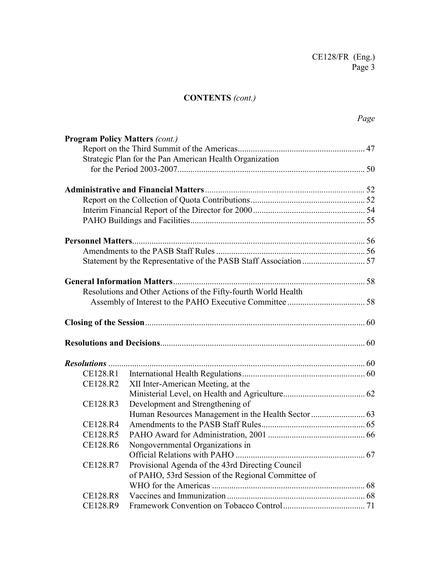# **CONTENTS** *(cont.)*

| <b>Program Policy Matters (cont.)</b> |                                                                |  |
|---------------------------------------|----------------------------------------------------------------|--|
|                                       |                                                                |  |
|                                       | Strategic Plan for the Pan American Health Organization        |  |
|                                       |                                                                |  |
|                                       |                                                                |  |
|                                       |                                                                |  |
|                                       |                                                                |  |
|                                       |                                                                |  |
|                                       |                                                                |  |
|                                       |                                                                |  |
|                                       |                                                                |  |
|                                       |                                                                |  |
|                                       | Resolutions and Other Actions of the Fifty-fourth World Health |  |
|                                       |                                                                |  |
|                                       |                                                                |  |
|                                       |                                                                |  |
|                                       |                                                                |  |
| CE128.R1                              |                                                                |  |
| CE128.R2                              | XII Inter-American Meeting, at the                             |  |
|                                       |                                                                |  |
| CE128.R3                              | Development and Strengthening of                               |  |
|                                       |                                                                |  |
| CE128.R4                              |                                                                |  |
| CE128.R5                              |                                                                |  |
| CE128.R6                              | Nongovernmental Organizations in                               |  |
|                                       |                                                                |  |
| CE128.R7                              | Provisional Agenda of the 43rd Directing Council               |  |
|                                       | of PAHO, 53rd Session of the Regional Committee of             |  |
|                                       |                                                                |  |
| CE128.R8                              |                                                                |  |
| CE128.R9                              |                                                                |  |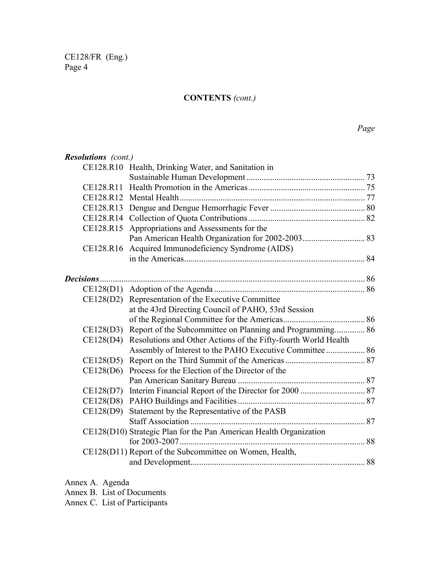# **CONTENTS** *(cont.)*

| <b>Resolutions</b> (cont.) |                                                                    |  |
|----------------------------|--------------------------------------------------------------------|--|
|                            | CE128.R10 Health, Drinking Water, and Sanitation in                |  |
|                            |                                                                    |  |
|                            |                                                                    |  |
|                            |                                                                    |  |
|                            |                                                                    |  |
|                            |                                                                    |  |
|                            | CE128.R15 Appropriations and Assessments for the                   |  |
|                            |                                                                    |  |
|                            | CE128.R16 Acquired Immunodeficiency Syndrome (AIDS)                |  |
|                            |                                                                    |  |
| Decisions                  |                                                                    |  |
|                            |                                                                    |  |
|                            | CE128(D2) Representation of the Executive Committee                |  |
|                            | at the 43rd Directing Council of PAHO, 53rd Session                |  |
|                            |                                                                    |  |
| CE128(D3)                  | Report of the Subcommittee on Planning and Programming 86          |  |
| CE128(D4)                  | Resolutions and Other Actions of the Fifty-fourth World Health     |  |
|                            | Assembly of Interest to the PAHO Executive Committee  86           |  |
|                            |                                                                    |  |
|                            | CE128(D6) Process for the Election of the Director of the          |  |
|                            |                                                                    |  |
| CE128(D7)                  |                                                                    |  |
|                            |                                                                    |  |
| CE128(D9)                  | Statement by the Representative of the PASB                        |  |
|                            |                                                                    |  |
|                            | CE128(D10) Strategic Plan for the Pan American Health Organization |  |
|                            |                                                                    |  |
|                            | CE128(D11) Report of the Subcommittee on Women, Health,            |  |
|                            |                                                                    |  |
|                            |                                                                    |  |

Annex A. Agenda

Annex B. List of Documents

Annex C. List of Participants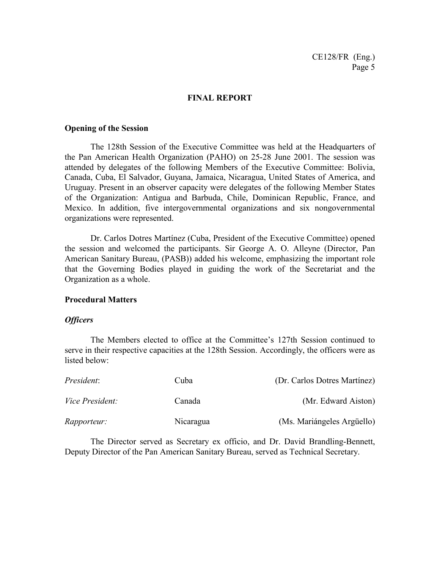## **FINAL REPORT**

#### **Opening of the Session**

The 128th Session of the Executive Committee was held at the Headquarters of the Pan American Health Organization (PAHO) on 25-28 June 2001. The session was attended by delegates of the following Members of the Executive Committee: Bolivia, Canada, Cuba, El Salvador, Guyana, Jamaica, Nicaragua, United States of America, and Uruguay. Present in an observer capacity were delegates of the following Member States of the Organization: Antigua and Barbuda, Chile, Dominican Republic, France, and Mexico. In addition, five intergovernmental organizations and six nongovernmental organizations were represented.

Dr. Carlos Dotres Martínez (Cuba, President of the Executive Committee) opened the session and welcomed the participants. Sir George A. O. Alleyne (Director, Pan American Sanitary Bureau, (PASB)) added his welcome, emphasizing the important role that the Governing Bodies played in guiding the work of the Secretariat and the Organization as a whole.

#### **Procedural Matters**

#### *Officers*

The Members elected to office at the Committee's 127th Session continued to serve in their respective capacities at the 128th Session. Accordingly, the officers were as listed below:

| President:             | Cuba      | (Dr. Carlos Dotres Martínez) |
|------------------------|-----------|------------------------------|
| <i>Vice President:</i> | Canada    | (Mr. Edward Aiston)          |
| <i>Rapporteur:</i>     | Nicaragua | (Ms. Mariángeles Argüello)   |

The Director served as Secretary ex officio, and Dr. David Brandling-Bennett, Deputy Director of the Pan American Sanitary Bureau, served as Technical Secretary.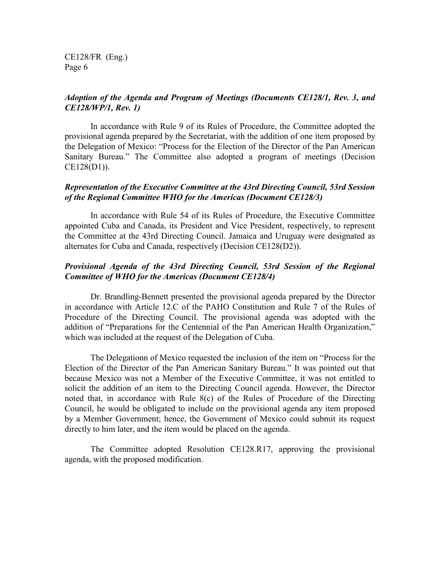# *Adoption of the Agenda and Program of Meetings (Documents CE128/1, Rev. 3, and CE128/WP/1, Rev. 1)*

In accordance with Rule 9 of its Rules of Procedure, the Committee adopted the provisional agenda prepared by the Secretariat, with the addition of one item proposed by the Delegation of Mexico: "Process for the Election of the Director of the Pan American Sanitary Bureau." The Committee also adopted a program of meetings (Decision CE128(D1)).

## *Representation of the Executive Committee at the 43rd Directing Council, 53rd Session of the Regional Committee WHO for the Americas (Document CE128/3)*

In accordance with Rule 54 of its Rules of Procedure, the Executive Committee appointed Cuba and Canada, its President and Vice President, respectively, to represent the Committee at the 43rd Directing Council. Jamaica and Uruguay were designated as alternates for Cuba and Canada, respectively (Decision CE128(D2)).

# *Provisional Agenda of the 43rd Directing Council, 53rd Session of the Regional Committee of WHO for the Americas (Document CE128/4)*

Dr. Brandling-Bennett presented the provisional agenda prepared by the Director in accordance with Article 12.C of the PAHO Constitution and Rule 7 of the Rules of Procedure of the Directing Council. The provisional agenda was adopted with the addition of "Preparations for the Centennial of the Pan American Health Organization," which was included at the request of the Delegation of Cuba.

The Delegationn of Mexico requested the inclusion of the item on "Process for the Election of the Director of the Pan American Sanitary Bureau." It was pointed out that because Mexico was not a Member of the Executive Committee, it was not entitled to solicit the addition of an item to the Directing Council agenda. However, the Director noted that, in accordance with Rule 8(c) of the Rules of Procedure of the Directing Council, he would be obligated to include on the provisional agenda any item proposed by a Member Government; hence, the Government of Mexico could submit its request directly to him later, and the item would be placed on the agenda.

The Committee adopted Resolution CE128.R17, approving the provisional agenda, with the proposed modification.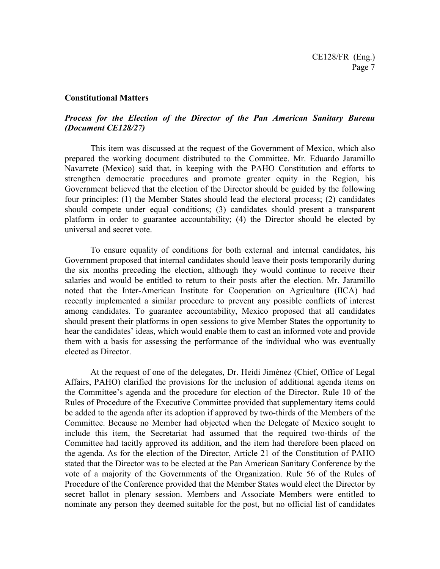#### **Constitutional Matters**

# *Process for the Election of the Director of the Pan American Sanitary Bureau (Document CE128/27)*

This item was discussed at the request of the Government of Mexico, which also prepared the working document distributed to the Committee. Mr. Eduardo Jaramillo Navarrete (Mexico) said that, in keeping with the PAHO Constitution and efforts to strengthen democratic procedures and promote greater equity in the Region, his Government believed that the election of the Director should be guided by the following four principles: (1) the Member States should lead the electoral process; (2) candidates should compete under equal conditions; (3) candidates should present a transparent platform in order to guarantee accountability; (4) the Director should be elected by universal and secret vote.

To ensure equality of conditions for both external and internal candidates, his Government proposed that internal candidates should leave their posts temporarily during the six months preceding the election, although they would continue to receive their salaries and would be entitled to return to their posts after the election. Mr. Jaramillo noted that the Inter-American Institute for Cooperation on Agriculture (IICA) had recently implemented a similar procedure to prevent any possible conflicts of interest among candidates. To guarantee accountability, Mexico proposed that all candidates should present their platforms in open sessions to give Member States the opportunity to hear the candidates' ideas, which would enable them to cast an informed vote and provide them with a basis for assessing the performance of the individual who was eventually elected as Director.

At the request of one of the delegates, Dr. Heidi Jiménez (Chief, Office of Legal Affairs, PAHO) clarified the provisions for the inclusion of additional agenda items on the Committee's agenda and the procedure for election of the Director. Rule 10 of the Rules of Procedure of the Executive Committee provided that supplementary items could be added to the agenda after its adoption if approved by two-thirds of the Members of the Committee. Because no Member had objected when the Delegate of Mexico sought to include this item, the Secretariat had assumed that the required two-thirds of the Committee had tacitly approved its addition, and the item had therefore been placed on the agenda. As for the election of the Director, Article 21 of the Constitution of PAHO stated that the Director was to be elected at the Pan American Sanitary Conference by the vote of a majority of the Governments of the Organization. Rule 56 of the Rules of Procedure of the Conference provided that the Member States would elect the Director by secret ballot in plenary session. Members and Associate Members were entitled to nominate any person they deemed suitable for the post, but no official list of candidates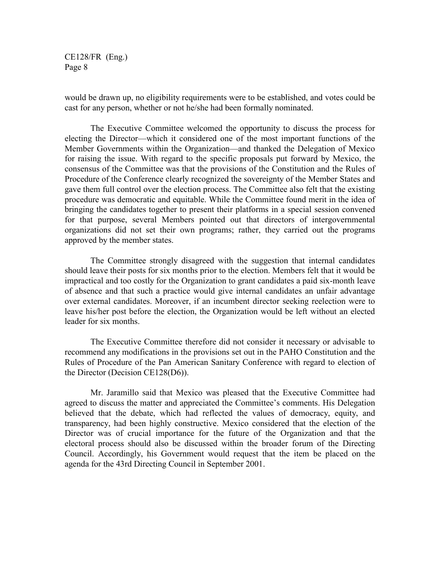would be drawn up, no eligibility requirements were to be established, and votes could be cast for any person, whether or not he/she had been formally nominated.

The Executive Committee welcomed the opportunity to discuss the process for electing the Director—which it considered one of the most important functions of the Member Governments within the Organization—and thanked the Delegation of Mexico for raising the issue. With regard to the specific proposals put forward by Mexico, the consensus of the Committee was that the provisions of the Constitution and the Rules of Procedure of the Conference clearly recognized the sovereignty of the Member States and gave them full control over the election process. The Committee also felt that the existing procedure was democratic and equitable. While the Committee found merit in the idea of bringing the candidates together to present their platforms in a special session convened for that purpose, several Members pointed out that directors of intergovernmental organizations did not set their own programs; rather, they carried out the programs approved by the member states.

The Committee strongly disagreed with the suggestion that internal candidates should leave their posts for six months prior to the election. Members felt that it would be impractical and too costly for the Organization to grant candidates a paid six-month leave of absence and that such a practice would give internal candidates an unfair advantage over external candidates. Moreover, if an incumbent director seeking reelection were to leave his/her post before the election, the Organization would be left without an elected leader for six months.

The Executive Committee therefore did not consider it necessary or advisable to recommend any modifications in the provisions set out in the PAHO Constitution and the Rules of Procedure of the Pan American Sanitary Conference with regard to election of the Director (Decision CE128(D6)).

Mr. Jaramillo said that Mexico was pleased that the Executive Committee had agreed to discuss the matter and appreciated the Committee's comments. His Delegation believed that the debate, which had reflected the values of democracy, equity, and transparency, had been highly constructive. Mexico considered that the election of the Director was of crucial importance for the future of the Organization and that the electoral process should also be discussed within the broader forum of the Directing Council. Accordingly, his Government would request that the item be placed on the agenda for the 43rd Directing Council in September 2001.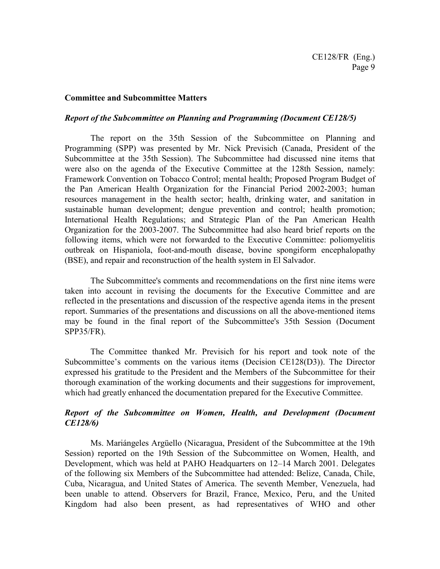#### **Committee and Subcommittee Matters**

#### *Report of the Subcommittee on Planning and Programming (Document CE128/5)*

The report on the 35th Session of the Subcommittee on Planning and Programming (SPP) was presented by Mr. Nick Previsich (Canada, President of the Subcommittee at the 35th Session). The Subcommittee had discussed nine items that were also on the agenda of the Executive Committee at the 128th Session, namely: Framework Convention on Tobacco Control; mental health; Proposed Program Budget of the Pan American Health Organization for the Financial Period 2002-2003; human resources management in the health sector; health, drinking water, and sanitation in sustainable human development; dengue prevention and control; health promotion; International Health Regulations; and Strategic Plan of the Pan American Health Organization for the 2003-2007. The Subcommittee had also heard brief reports on the following items, which were not forwarded to the Executive Committee: poliomyelitis outbreak on Hispaniola, foot-and-mouth disease, bovine spongiform encephalopathy (BSE), and repair and reconstruction of the health system in El Salvador.

The Subcommittee's comments and recommendations on the first nine items were taken into account in revising the documents for the Executive Committee and are reflected in the presentations and discussion of the respective agenda items in the present report. Summaries of the presentations and discussions on all the above-mentioned items may be found in the final report of the Subcommittee's 35th Session (Document SPP35/FR).

The Committee thanked Mr. Previsich for his report and took note of the Subcommittee's comments on the various items (Decision CE128(D3)). The Director expressed his gratitude to the President and the Members of the Subcommittee for their thorough examination of the working documents and their suggestions for improvement, which had greatly enhanced the documentation prepared for the Executive Committee.

# *Report of the Subcommittee on Women, Health, and Development (Document CE128/6)*

Ms. Mariángeles Argüello (Nicaragua, President of the Subcommittee at the 19th Session) reported on the 19th Session of the Subcommittee on Women, Health, and Development, which was held at PAHO Headquarters on 12–14 March 2001. Delegates of the following six Members of the Subcommittee had attended: Belize, Canada, Chile, Cuba, Nicaragua, and United States of America. The seventh Member, Venezuela, had been unable to attend. Observers for Brazil, France, Mexico, Peru, and the United Kingdom had also been present, as had representatives of WHO and other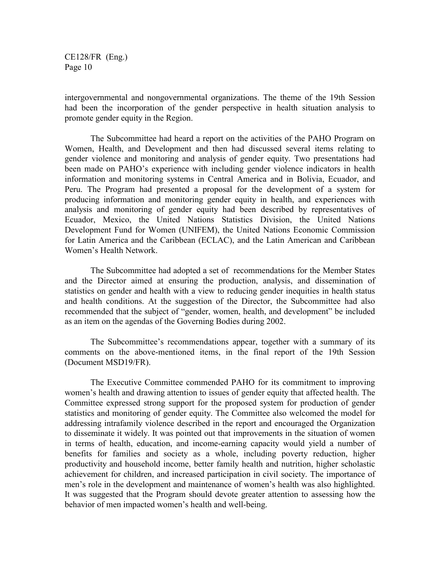intergovernmental and nongovernmental organizations. The theme of the 19th Session had been the incorporation of the gender perspective in health situation analysis to promote gender equity in the Region.

The Subcommittee had heard a report on the activities of the PAHO Program on Women, Health, and Development and then had discussed several items relating to gender violence and monitoring and analysis of gender equity. Two presentations had been made on PAHO's experience with including gender violence indicators in health information and monitoring systems in Central America and in Bolivia, Ecuador, and Peru. The Program had presented a proposal for the development of a system for producing information and monitoring gender equity in health, and experiences with analysis and monitoring of gender equity had been described by representatives of Ecuador, Mexico, the United Nations Statistics Division, the United Nations Development Fund for Women (UNIFEM), the United Nations Economic Commission for Latin America and the Caribbean (ECLAC), and the Latin American and Caribbean Women's Health Network.

The Subcommittee had adopted a set of recommendations for the Member States and the Director aimed at ensuring the production, analysis, and dissemination of statistics on gender and health with a view to reducing gender inequities in health status and health conditions. At the suggestion of the Director, the Subcommittee had also recommended that the subject of "gender, women, health, and development" be included as an item on the agendas of the Governing Bodies during 2002.

The Subcommittee's recommendations appear, together with a summary of its comments on the above-mentioned items, in the final report of the 19th Session (Document MSD19/FR).

The Executive Committee commended PAHO for its commitment to improving women's health and drawing attention to issues of gender equity that affected health. The Committee expressed strong support for the proposed system for production of gender statistics and monitoring of gender equity. The Committee also welcomed the model for addressing intrafamily violence described in the report and encouraged the Organization to disseminate it widely. It was pointed out that improvements in the situation of women in terms of health, education, and income-earning capacity would yield a number of benefits for families and society as a whole, including poverty reduction, higher productivity and household income, better family health and nutrition, higher scholastic achievement for children, and increased participation in civil society. The importance of men's role in the development and maintenance of women's health was also highlighted. It was suggested that the Program should devote greater attention to assessing how the behavior of men impacted women's health and well-being.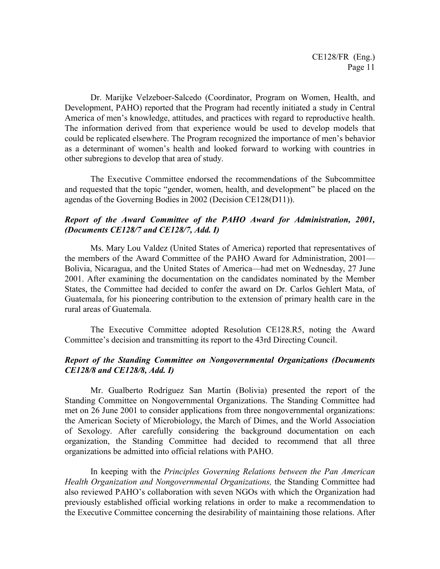Dr. Marijke Velzeboer-Salcedo (Coordinator, Program on Women, Health, and Development, PAHO) reported that the Program had recently initiated a study in Central America of men's knowledge, attitudes, and practices with regard to reproductive health. The information derived from that experience would be used to develop models that could be replicated elsewhere. The Program recognized the importance of men's behavior as a determinant of women's health and looked forward to working with countries in other subregions to develop that area of study.

The Executive Committee endorsed the recommendations of the Subcommittee and requested that the topic "gender, women, health, and development" be placed on the agendas of the Governing Bodies in 2002 (Decision CE128(D11)).

# *Report of the Award Committee of the PAHO Award for Administration, 2001, (Documents CE128/7 and CE128/7, Add. I)*

Ms. Mary Lou Valdez (United States of America) reported that representatives of the members of the Award Committee of the PAHO Award for Administration, 2001— Bolivia, Nicaragua, and the United States of America—had met on Wednesday, 27 June 2001. After examining the documentation on the candidates nominated by the Member States, the Committee had decided to confer the award on Dr. Carlos Gehlert Mata, of Guatemala, for his pioneering contribution to the extension of primary health care in the rural areas of Guatemala.

The Executive Committee adopted Resolution CE128.R5, noting the Award Committee's decision and transmitting its report to the 43rd Directing Council.

## *Report of the Standing Committee on Nongovernmental Organizations (Documents CE128/8 and CE128/8, Add. I)*

Mr. Gualberto Rodríguez San Martín (Bolivia) presented the report of the Standing Committee on Nongovernmental Organizations. The Standing Committee had met on 26 June 2001 to consider applications from three nongovernmental organizations: the American Society of Microbiology, the March of Dimes, and the World Association of Sexology. After carefully considering the background documentation on each organization, the Standing Committee had decided to recommend that all three organizations be admitted into official relations with PAHO.

In keeping with the *Principles Governing Relations between the Pan American Health Organization and Nongovernmental Organizations,* the Standing Committee had also reviewed PAHO's collaboration with seven NGOs with which the Organization had previously established official working relations in order to make a recommendation to the Executive Committee concerning the desirability of maintaining those relations. After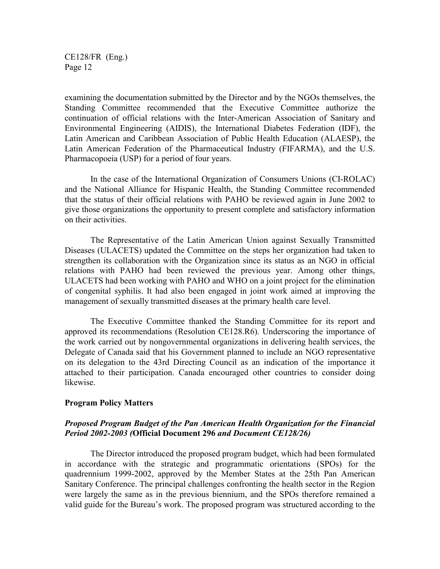examining the documentation submitted by the Director and by the NGOs themselves, the Standing Committee recommended that the Executive Committee authorize the continuation of official relations with the Inter-American Association of Sanitary and Environmental Engineering (AIDIS), the International Diabetes Federation (IDF), the Latin American and Caribbean Association of Public Health Education (ALAESP), the Latin American Federation of the Pharmaceutical Industry (FIFARMA), and the U.S. Pharmacopoeia (USP) for a period of four years.

In the case of the International Organization of Consumers Unions (CI-ROLAC) and the National Alliance for Hispanic Health, the Standing Committee recommended that the status of their official relations with PAHO be reviewed again in June 2002 to give those organizations the opportunity to present complete and satisfactory information on their activities.

The Representative of the Latin American Union against Sexually Transmitted Diseases (ULACETS) updated the Committee on the steps her organization had taken to strengthen its collaboration with the Organization since its status as an NGO in official relations with PAHO had been reviewed the previous year. Among other things, ULACETS had been working with PAHO and WHO on a joint project for the elimination of congenital syphilis. It had also been engaged in joint work aimed at improving the management of sexually transmitted diseases at the primary health care level.

The Executive Committee thanked the Standing Committee for its report and approved its recommendations (Resolution CE128.R6). Underscoring the importance of the work carried out by nongovernmental organizations in delivering health services, the Delegate of Canada said that his Government planned to include an NGO representative on its delegation to the 43rd Directing Council as an indication of the importance it attached to their participation. Canada encouraged other countries to consider doing likewise.

#### **Program Policy Matters**

# *Proposed Program Budget of the Pan American Health Organization for the Financial Period 2002-2003 (***Official Document 296** *and Document CE128/26)*

The Director introduced the proposed program budget, which had been formulated in accordance with the strategic and programmatic orientations (SPOs) for the quadrennium 1999-2002, approved by the Member States at the 25th Pan American Sanitary Conference. The principal challenges confronting the health sector in the Region were largely the same as in the previous biennium, and the SPOs therefore remained a valid guide for the Bureau's work. The proposed program was structured according to the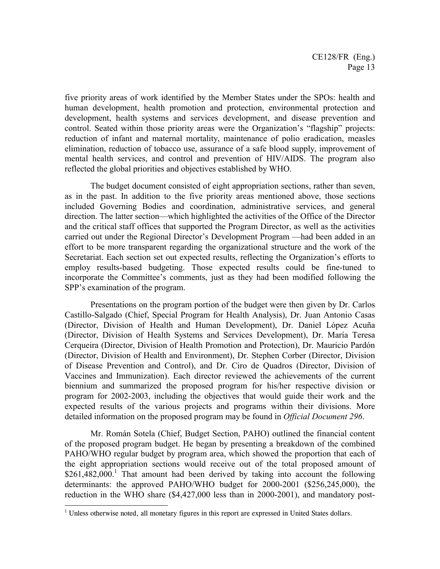five priority areas of work identified by the Member States under the SPOs: health and human development, health promotion and protection, environmental protection and development, health systems and services development, and disease prevention and control. Seated within those priority areas were the Organization's "flagship" projects: reduction of infant and maternal mortality, maintenance of polio eradication, measles elimination, reduction of tobacco use, assurance of a safe blood supply, improvement of mental health services, and control and prevention of HIV/AIDS. The program also reflected the global priorities and objectives established by WHO.

The budget document consisted of eight appropriation sections, rather than seven, as in the past. In addition to the five priority areas mentioned above, those sections included Governing Bodies and coordination, administrative services, and general direction. The latter section—which highlighted the activities of the Office of the Director and the critical staff offices that supported the Program Director, as well as the activities carried out under the Regional Director's Development Program —had been added in an effort to be more transparent regarding the organizational structure and the work of the Secretariat. Each section set out expected results, reflecting the Organization's efforts to employ results-based budgeting. Those expected results could be fine-tuned to incorporate the Committee's comments, just as they had been modified following the SPP's examination of the program.

Presentations on the program portion of the budget were then given by Dr. Carlos Castillo-Salgado (Chief, Special Program for Health Analysis), Dr. Juan Antonio Casas (Director, Division of Health and Human Development), Dr. Daniel López Acuña (Director, Division of Health Systems and Services Development), Dr. María Teresa Cerqueira (Director, Division of Health Promotion and Protection), Dr. Mauricio Pardón (Director, Division of Health and Environment), Dr. Stephen Corber (Director, Division of Disease Prevention and Control), and Dr. Ciro de Quadros (Director, Division of Vaccines and Immunization). Each director reviewed the achievements of the current biennium and summarized the proposed program for his/her respective division or program for 2002-2003, including the objectives that would guide their work and the expected results of the various projects and programs within their divisions. More detailed information on the proposed program may be found in *Official Document 296*.

Mr. Román Sotela (Chief, Budget Section, PAHO) outlined the financial content of the proposed program budget. He began by presenting a breakdown of the combined PAHO/WHO regular budget by program area, which showed the proportion that each of the eight appropriation sections would receive out of the total proposed amount of  $$261,482,000$ <sup>1</sup> That amount had been derived by taking into account the following determinants: the approved PAHO/WHO budget for 2000-2001 (\$256,245,000), the reduction in the WHO share (\$4,427,000 less than in 2000-2001), and mandatory post-

 $\overline{a}$ 

<sup>&</sup>lt;sup>1</sup> Unless otherwise noted, all monetary figures in this report are expressed in United States dollars.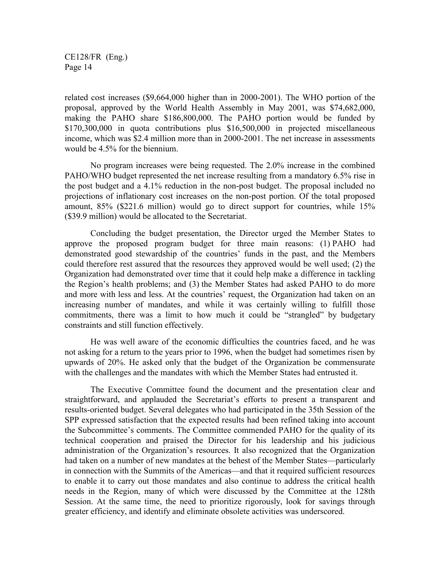related cost increases (\$9,664,000 higher than in 2000-2001). The WHO portion of the proposal, approved by the World Health Assembly in May 2001, was \$74,682,000, making the PAHO share \$186,800,000. The PAHO portion would be funded by \$170,300,000 in quota contributions plus \$16,500,000 in projected miscellaneous income, which was \$2.4 million more than in 2000-2001. The net increase in assessments would be 4.5% for the biennium.

No program increases were being requested. The 2.0% increase in the combined PAHO/WHO budget represented the net increase resulting from a mandatory 6.5% rise in the post budget and a 4.1% reduction in the non-post budget. The proposal included no projections of inflationary cost increases on the non-post portion. Of the total proposed amount, 85% (\$221.6 million) would go to direct support for countries, while 15% (\$39.9 million) would be allocated to the Secretariat.

Concluding the budget presentation, the Director urged the Member States to approve the proposed program budget for three main reasons: (1) PAHO had demonstrated good stewardship of the countries' funds in the past, and the Members could therefore rest assured that the resources they approved would be well used; (2) the Organization had demonstrated over time that it could help make a difference in tackling the Region's health problems; and (3) the Member States had asked PAHO to do more and more with less and less. At the countries' request, the Organization had taken on an increasing number of mandates, and while it was certainly willing to fulfill those commitments, there was a limit to how much it could be "strangled" by budgetary constraints and still function effectively.

He was well aware of the economic difficulties the countries faced, and he was not asking for a return to the years prior to 1996, when the budget had sometimes risen by upwards of 20%. He asked only that the budget of the Organization be commensurate with the challenges and the mandates with which the Member States had entrusted it.

The Executive Committee found the document and the presentation clear and straightforward, and applauded the Secretariat's efforts to present a transparent and results-oriented budget. Several delegates who had participated in the 35th Session of the SPP expressed satisfaction that the expected results had been refined taking into account the Subcommittee's comments. The Committee commended PAHO for the quality of its technical cooperation and praised the Director for his leadership and his judicious administration of the Organization's resources. It also recognized that the Organization had taken on a number of new mandates at the behest of the Member States—particularly in connection with the Summits of the Americas—and that it required sufficient resources to enable it to carry out those mandates and also continue to address the critical health needs in the Region, many of which were discussed by the Committee at the 128th Session. At the same time, the need to prioritize rigorously, look for savings through greater efficiency, and identify and eliminate obsolete activities was underscored.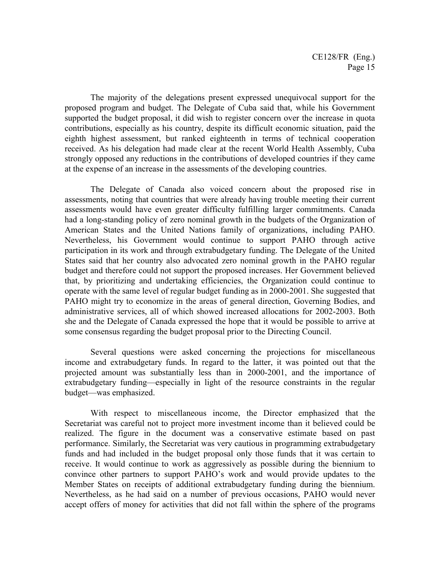The majority of the delegations present expressed unequivocal support for the proposed program and budget. The Delegate of Cuba said that, while his Government supported the budget proposal, it did wish to register concern over the increase in quota contributions, especially as his country, despite its difficult economic situation, paid the eighth highest assessment, but ranked eighteenth in terms of technical cooperation received. As his delegation had made clear at the recent World Health Assembly, Cuba strongly opposed any reductions in the contributions of developed countries if they came at the expense of an increase in the assessments of the developing countries.

The Delegate of Canada also voiced concern about the proposed rise in assessments, noting that countries that were already having trouble meeting their current assessments would have even greater difficulty fulfilling larger commitments. Canada had a long-standing policy of zero nominal growth in the budgets of the Organization of American States and the United Nations family of organizations, including PAHO. Nevertheless, his Government would continue to support PAHO through active participation in its work and through extrabudgetary funding. The Delegate of the United States said that her country also advocated zero nominal growth in the PAHO regular budget and therefore could not support the proposed increases. Her Government believed that, by prioritizing and undertaking efficiencies, the Organization could continue to operate with the same level of regular budget funding as in 2000-2001. She suggested that PAHO might try to economize in the areas of general direction, Governing Bodies, and administrative services, all of which showed increased allocations for 2002-2003. Both she and the Delegate of Canada expressed the hope that it would be possible to arrive at some consensus regarding the budget proposal prior to the Directing Council.

Several questions were asked concerning the projections for miscellaneous income and extrabudgetary funds. In regard to the latter, it was pointed out that the projected amount was substantially less than in 2000-2001, and the importance of extrabudgetary funding—especially in light of the resource constraints in the regular budget—was emphasized.

With respect to miscellaneous income, the Director emphasized that the Secretariat was careful not to project more investment income than it believed could be realized. The figure in the document was a conservative estimate based on past performance. Similarly, the Secretariat was very cautious in programming extrabudgetary funds and had included in the budget proposal only those funds that it was certain to receive. It would continue to work as aggressively as possible during the biennium to convince other partners to support PAHO's work and would provide updates to the Member States on receipts of additional extrabudgetary funding during the biennium. Nevertheless, as he had said on a number of previous occasions, PAHO would never accept offers of money for activities that did not fall within the sphere of the programs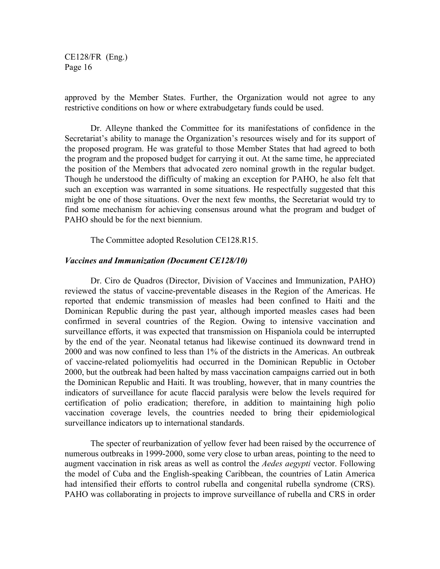approved by the Member States. Further, the Organization would not agree to any restrictive conditions on how or where extrabudgetary funds could be used.

Dr. Alleyne thanked the Committee for its manifestations of confidence in the Secretariat's ability to manage the Organization's resources wisely and for its support of the proposed program. He was grateful to those Member States that had agreed to both the program and the proposed budget for carrying it out. At the same time, he appreciated the position of the Members that advocated zero nominal growth in the regular budget. Though he understood the difficulty of making an exception for PAHO, he also felt that such an exception was warranted in some situations. He respectfully suggested that this might be one of those situations. Over the next few months, the Secretariat would try to find some mechanism for achieving consensus around what the program and budget of PAHO should be for the next biennium.

The Committee adopted Resolution CE128.R15.

#### *Vaccines and Immunization (Document CE128/10)*

Dr. Ciro de Quadros (Director, Division of Vaccines and Immunization, PAHO) reviewed the status of vaccine-preventable diseases in the Region of the Americas. He reported that endemic transmission of measles had been confined to Haiti and the Dominican Republic during the past year, although imported measles cases had been confirmed in several countries of the Region. Owing to intensive vaccination and surveillance efforts, it was expected that transmission on Hispaniola could be interrupted by the end of the year. Neonatal tetanus had likewise continued its downward trend in 2000 and was now confined to less than 1% of the districts in the Americas. An outbreak of vaccine-related poliomyelitis had occurred in the Dominican Republic in October 2000, but the outbreak had been halted by mass vaccination campaigns carried out in both the Dominican Republic and Haiti. It was troubling, however, that in many countries the indicators of surveillance for acute flaccid paralysis were below the levels required for certification of polio eradication; therefore, in addition to maintaining high polio vaccination coverage levels, the countries needed to bring their epidemiological surveillance indicators up to international standards.

The specter of reurbanization of yellow fever had been raised by the occurrence of numerous outbreaks in 1999-2000, some very close to urban areas, pointing to the need to augment vaccination in risk areas as well as control the *Aedes aegypti* vector. Following the model of Cuba and the English-speaking Caribbean, the countries of Latin America had intensified their efforts to control rubella and congenital rubella syndrome (CRS). PAHO was collaborating in projects to improve surveillance of rubella and CRS in order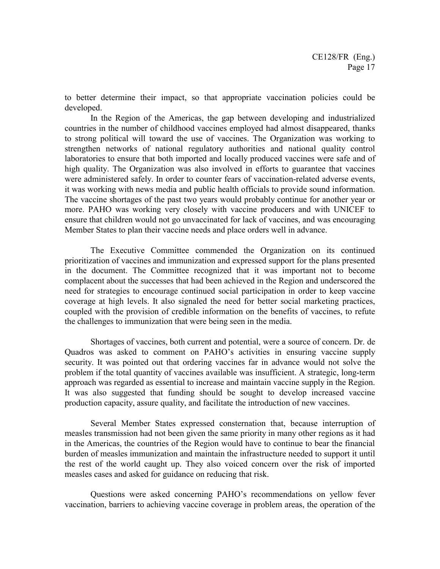to better determine their impact, so that appropriate vaccination policies could be developed.

In the Region of the Americas, the gap between developing and industrialized countries in the number of childhood vaccines employed had almost disappeared, thanks to strong political will toward the use of vaccines. The Organization was working to strengthen networks of national regulatory authorities and national quality control laboratories to ensure that both imported and locally produced vaccines were safe and of high quality. The Organization was also involved in efforts to guarantee that vaccines were administered safely. In order to counter fears of vaccination-related adverse events, it was working with news media and public health officials to provide sound information. The vaccine shortages of the past two years would probably continue for another year or more. PAHO was working very closely with vaccine producers and with UNICEF to ensure that children would not go unvaccinated for lack of vaccines, and was encouraging Member States to plan their vaccine needs and place orders well in advance.

The Executive Committee commended the Organization on its continued prioritization of vaccines and immunization and expressed support for the plans presented in the document. The Committee recognized that it was important not to become complacent about the successes that had been achieved in the Region and underscored the need for strategies to encourage continued social participation in order to keep vaccine coverage at high levels. It also signaled the need for better social marketing practices, coupled with the provision of credible information on the benefits of vaccines, to refute the challenges to immunization that were being seen in the media.

Shortages of vaccines, both current and potential, were a source of concern. Dr. de Quadros was asked to comment on PAHO's activities in ensuring vaccine supply security. It was pointed out that ordering vaccines far in advance would not solve the problem if the total quantity of vaccines available was insufficient. A strategic, long-term approach was regarded as essential to increase and maintain vaccine supply in the Region. It was also suggested that funding should be sought to develop increased vaccine production capacity, assure quality, and facilitate the introduction of new vaccines.

Several Member States expressed consternation that, because interruption of measles transmission had not been given the same priority in many other regions as it had in the Americas, the countries of the Region would have to continue to bear the financial burden of measles immunization and maintain the infrastructure needed to support it until the rest of the world caught up. They also voiced concern over the risk of imported measles cases and asked for guidance on reducing that risk.

Questions were asked concerning PAHO's recommendations on yellow fever vaccination, barriers to achieving vaccine coverage in problem areas, the operation of the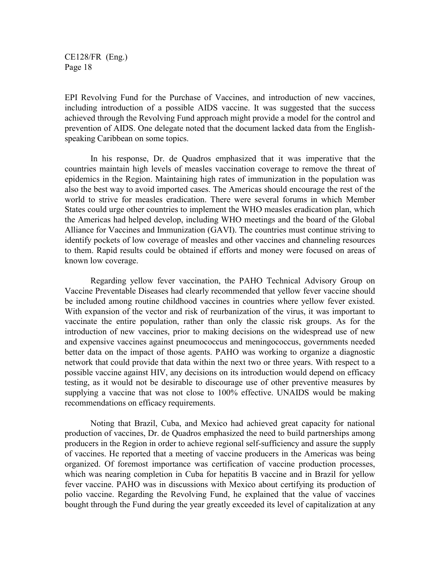EPI Revolving Fund for the Purchase of Vaccines, and introduction of new vaccines, including introduction of a possible AIDS vaccine. It was suggested that the success achieved through the Revolving Fund approach might provide a model for the control and prevention of AIDS. One delegate noted that the document lacked data from the Englishspeaking Caribbean on some topics.

In his response, Dr. de Quadros emphasized that it was imperative that the countries maintain high levels of measles vaccination coverage to remove the threat of epidemics in the Region. Maintaining high rates of immunization in the population was also the best way to avoid imported cases. The Americas should encourage the rest of the world to strive for measles eradication. There were several forums in which Member States could urge other countries to implement the WHO measles eradication plan, which the Americas had helped develop, including WHO meetings and the board of the Global Alliance for Vaccines and Immunization (GAVI). The countries must continue striving to identify pockets of low coverage of measles and other vaccines and channeling resources to them. Rapid results could be obtained if efforts and money were focused on areas of known low coverage.

Regarding yellow fever vaccination, the PAHO Technical Advisory Group on Vaccine Preventable Diseases had clearly recommended that yellow fever vaccine should be included among routine childhood vaccines in countries where yellow fever existed. With expansion of the vector and risk of reurbanization of the virus, it was important to vaccinate the entire population, rather than only the classic risk groups. As for the introduction of new vaccines, prior to making decisions on the widespread use of new and expensive vaccines against pneumococcus and meningococcus, governments needed better data on the impact of those agents. PAHO was working to organize a diagnostic network that could provide that data within the next two or three years. With respect to a possible vaccine against HIV, any decisions on its introduction would depend on efficacy testing, as it would not be desirable to discourage use of other preventive measures by supplying a vaccine that was not close to 100% effective. UNAIDS would be making recommendations on efficacy requirements.

Noting that Brazil, Cuba, and Mexico had achieved great capacity for national production of vaccines, Dr. de Quadros emphasized the need to build partnerships among producers in the Region in order to achieve regional self-sufficiency and assure the supply of vaccines. He reported that a meeting of vaccine producers in the Americas was being organized. Of foremost importance was certification of vaccine production processes, which was nearing completion in Cuba for hepatitis B vaccine and in Brazil for yellow fever vaccine. PAHO was in discussions with Mexico about certifying its production of polio vaccine. Regarding the Revolving Fund, he explained that the value of vaccines bought through the Fund during the year greatly exceeded its level of capitalization at any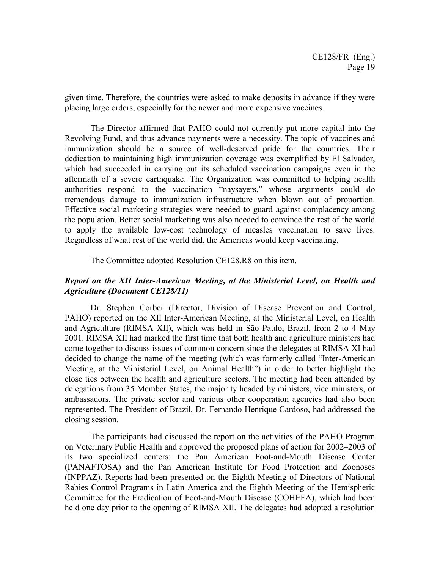given time. Therefore, the countries were asked to make deposits in advance if they were placing large orders, especially for the newer and more expensive vaccines.

The Director affirmed that PAHO could not currently put more capital into the Revolving Fund, and thus advance payments were a necessity. The topic of vaccines and immunization should be a source of well-deserved pride for the countries. Their dedication to maintaining high immunization coverage was exemplified by El Salvador, which had succeeded in carrying out its scheduled vaccination campaigns even in the aftermath of a severe earthquake. The Organization was committed to helping health authorities respond to the vaccination "naysayers," whose arguments could do tremendous damage to immunization infrastructure when blown out of proportion. Effective social marketing strategies were needed to guard against complacency among the population. Better social marketing was also needed to convince the rest of the world to apply the available low-cost technology of measles vaccination to save lives. Regardless of what rest of the world did, the Americas would keep vaccinating.

The Committee adopted Resolution CE128.R8 on this item.

# *Report on the XII Inter-American Meeting, at the Ministerial Level, on Health and Agriculture (Document CE128/11)*

Dr. Stephen Corber (Director, Division of Disease Prevention and Control, PAHO) reported on the XII Inter-American Meeting, at the Ministerial Level, on Health and Agriculture (RIMSA XII), which was held in São Paulo, Brazil, from 2 to 4 May 2001. RIMSA XII had marked the first time that both health and agriculture ministers had come together to discuss issues of common concern since the delegates at RIMSA XI had decided to change the name of the meeting (which was formerly called "Inter-American Meeting, at the Ministerial Level, on Animal Health") in order to better highlight the close ties between the health and agriculture sectors. The meeting had been attended by delegations from 35 Member States, the majority headed by ministers, vice ministers, or ambassadors. The private sector and various other cooperation agencies had also been represented. The President of Brazil, Dr. Fernando Henrique Cardoso, had addressed the closing session.

The participants had discussed the report on the activities of the PAHO Program on Veterinary Public Health and approved the proposed plans of action for 2002–2003 of its two specialized centers: the Pan American Foot-and-Mouth Disease Center (PANAFTOSA) and the Pan American Institute for Food Protection and Zoonoses (INPPAZ). Reports had been presented on the Eighth Meeting of Directors of National Rabies Control Programs in Latin America and the Eighth Meeting of the Hemispheric Committee for the Eradication of Foot-and-Mouth Disease (COHEFA), which had been held one day prior to the opening of RIMSA XII. The delegates had adopted a resolution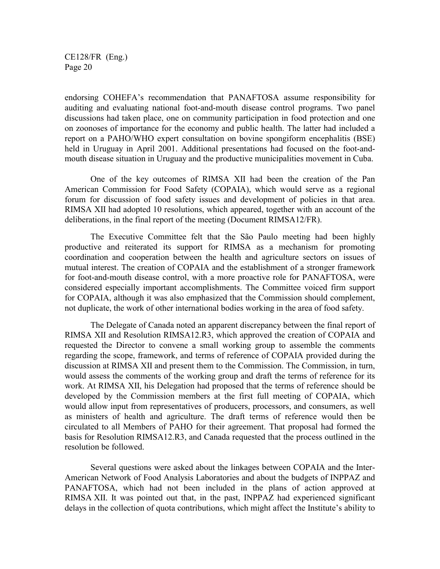endorsing COHEFA's recommendation that PANAFTOSA assume responsibility for auditing and evaluating national foot-and-mouth disease control programs. Two panel discussions had taken place, one on community participation in food protection and one on zoonoses of importance for the economy and public health. The latter had included a report on a PAHO/WHO expert consultation on bovine spongiform encephalitis (BSE) held in Uruguay in April 2001. Additional presentations had focused on the foot-andmouth disease situation in Uruguay and the productive municipalities movement in Cuba.

One of the key outcomes of RIMSA XII had been the creation of the Pan American Commission for Food Safety (COPAIA), which would serve as a regional forum for discussion of food safety issues and development of policies in that area. RIMSA XII had adopted 10 resolutions, which appeared, together with an account of the deliberations, in the final report of the meeting (Document RIMSA12/FR).

The Executive Committee felt that the São Paulo meeting had been highly productive and reiterated its support for RIMSA as a mechanism for promoting coordination and cooperation between the health and agriculture sectors on issues of mutual interest. The creation of COPAIA and the establishment of a stronger framework for foot-and-mouth disease control, with a more proactive role for PANAFTOSA, were considered especially important accomplishments. The Committee voiced firm support for COPAIA, although it was also emphasized that the Commission should complement, not duplicate, the work of other international bodies working in the area of food safety.

The Delegate of Canada noted an apparent discrepancy between the final report of RIMSA XII and Resolution RIMSA12.R3, which approved the creation of COPAIA and requested the Director to convene a small working group to assemble the comments regarding the scope, framework, and terms of reference of COPAIA provided during the discussion at RIMSA XII and present them to the Commission. The Commission, in turn, would assess the comments of the working group and draft the terms of reference for its work. At RIMSA XII, his Delegation had proposed that the terms of reference should be developed by the Commission members at the first full meeting of COPAIA, which would allow input from representatives of producers, processors, and consumers, as well as ministers of health and agriculture. The draft terms of reference would then be circulated to all Members of PAHO for their agreement. That proposal had formed the basis for Resolution RIMSA12.R3, and Canada requested that the process outlined in the resolution be followed.

Several questions were asked about the linkages between COPAIA and the Inter-American Network of Food Analysis Laboratories and about the budgets of INPPAZ and PANAFTOSA, which had not been included in the plans of action approved at RIMSA XII. It was pointed out that, in the past, INPPAZ had experienced significant delays in the collection of quota contributions, which might affect the Institute's ability to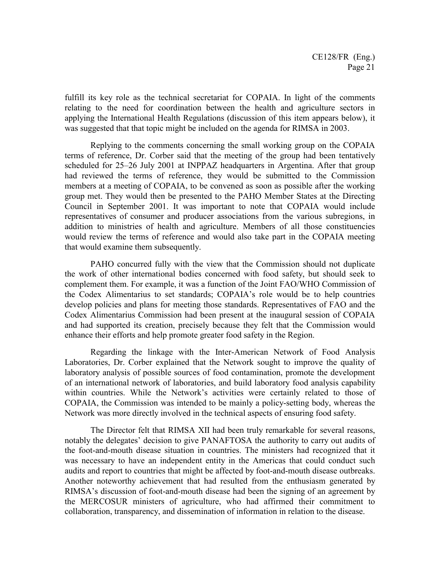fulfill its key role as the technical secretariat for COPAIA. In light of the comments relating to the need for coordination between the health and agriculture sectors in applying the International Health Regulations (discussion of this item appears below), it was suggested that that topic might be included on the agenda for RIMSA in 2003.

Replying to the comments concerning the small working group on the COPAIA terms of reference, Dr. Corber said that the meeting of the group had been tentatively scheduled for 25–26 July 2001 at INPPAZ headquarters in Argentina. After that group had reviewed the terms of reference, they would be submitted to the Commission members at a meeting of COPAIA, to be convened as soon as possible after the working group met. They would then be presented to the PAHO Member States at the Directing Council in September 2001. It was important to note that COPAIA would include representatives of consumer and producer associations from the various subregions, in addition to ministries of health and agriculture. Members of all those constituencies would review the terms of reference and would also take part in the COPAIA meeting that would examine them subsequently.

PAHO concurred fully with the view that the Commission should not duplicate the work of other international bodies concerned with food safety, but should seek to complement them. For example, it was a function of the Joint FAO/WHO Commission of the Codex Alimentarius to set standards; COPAIA's role would be to help countries develop policies and plans for meeting those standards. Representatives of FAO and the Codex Alimentarius Commission had been present at the inaugural session of COPAIA and had supported its creation, precisely because they felt that the Commission would enhance their efforts and help promote greater food safety in the Region.

Regarding the linkage with the Inter-American Network of Food Analysis Laboratories, Dr. Corber explained that the Network sought to improve the quality of laboratory analysis of possible sources of food contamination, promote the development of an international network of laboratories, and build laboratory food analysis capability within countries. While the Network's activities were certainly related to those of COPAIA, the Commission was intended to be mainly a policy-setting body, whereas the Network was more directly involved in the technical aspects of ensuring food safety.

The Director felt that RIMSA XII had been truly remarkable for several reasons, notably the delegates' decision to give PANAFTOSA the authority to carry out audits of the foot-and-mouth disease situation in countries. The ministers had recognized that it was necessary to have an independent entity in the Americas that could conduct such audits and report to countries that might be affected by foot-and-mouth disease outbreaks. Another noteworthy achievement that had resulted from the enthusiasm generated by RIMSA's discussion of foot-and-mouth disease had been the signing of an agreement by the MERCOSUR ministers of agriculture, who had affirmed their commitment to collaboration, transparency, and dissemination of information in relation to the disease.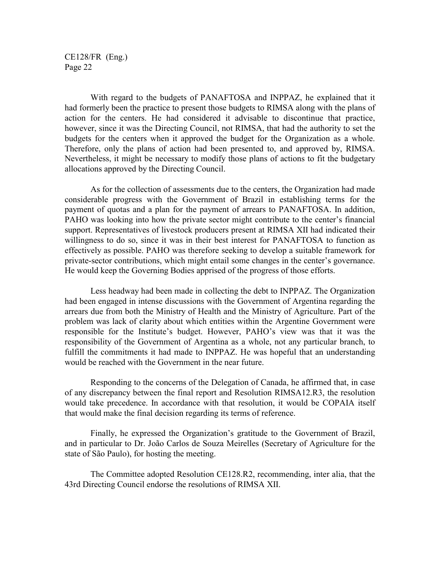With regard to the budgets of PANAFTOSA and INPPAZ, he explained that it had formerly been the practice to present those budgets to RIMSA along with the plans of action for the centers. He had considered it advisable to discontinue that practice, however, since it was the Directing Council, not RIMSA, that had the authority to set the budgets for the centers when it approved the budget for the Organization as a whole. Therefore, only the plans of action had been presented to, and approved by, RIMSA. Nevertheless, it might be necessary to modify those plans of actions to fit the budgetary allocations approved by the Directing Council.

As for the collection of assessments due to the centers, the Organization had made considerable progress with the Government of Brazil in establishing terms for the payment of quotas and a plan for the payment of arrears to PANAFTOSA. In addition, PAHO was looking into how the private sector might contribute to the center's financial support. Representatives of livestock producers present at RIMSA XII had indicated their willingness to do so, since it was in their best interest for PANAFTOSA to function as effectively as possible. PAHO was therefore seeking to develop a suitable framework for private-sector contributions, which might entail some changes in the center's governance. He would keep the Governing Bodies apprised of the progress of those efforts.

Less headway had been made in collecting the debt to INPPAZ. The Organization had been engaged in intense discussions with the Government of Argentina regarding the arrears due from both the Ministry of Health and the Ministry of Agriculture. Part of the problem was lack of clarity about which entities within the Argentine Government were responsible for the Institute's budget. However, PAHO's view was that it was the responsibility of the Government of Argentina as a whole, not any particular branch, to fulfill the commitments it had made to INPPAZ. He was hopeful that an understanding would be reached with the Government in the near future.

Responding to the concerns of the Delegation of Canada, he affirmed that, in case of any discrepancy between the final report and Resolution RIMSA12.R3, the resolution would take precedence. In accordance with that resolution, it would be COPAIA itself that would make the final decision regarding its terms of reference.

Finally, he expressed the Organization's gratitude to the Government of Brazil, and in particular to Dr. João Carlos de Souza Meirelles (Secretary of Agriculture for the state of São Paulo), for hosting the meeting.

The Committee adopted Resolution CE128.R2, recommending, inter alia, that the 43rd Directing Council endorse the resolutions of RIMSA XII.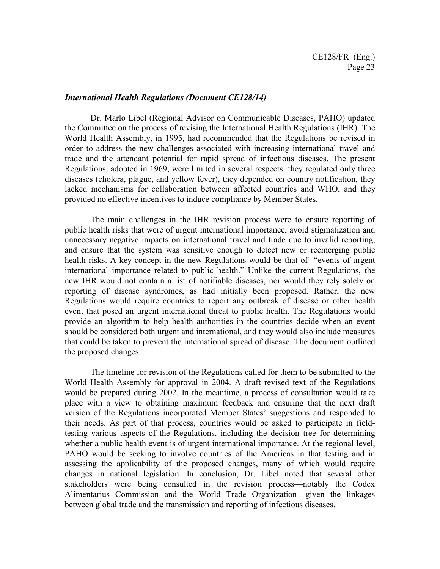#### *International Health Regulations (Document CE128/14)*

 Dr. Marlo Libel (Regional Advisor on Communicable Diseases, PAHO) updated the Committee on the process of revising the International Health Regulations (IHR). The World Health Assembly, in 1995, had recommended that the Regulations be revised in order to address the new challenges associated with increasing international travel and trade and the attendant potential for rapid spread of infectious diseases. The present Regulations, adopted in 1969, were limited in several respects: they regulated only three diseases (cholera, plague, and yellow fever), they depended on country notification, they lacked mechanisms for collaboration between affected countries and WHO, and they provided no effective incentives to induce compliance by Member States.

The main challenges in the IHR revision process were to ensure reporting of public health risks that were of urgent international importance, avoid stigmatization and unnecessary negative impacts on international travel and trade due to invalid reporting, and ensure that the system was sensitive enough to detect new or reemerging public health risks. A key concept in the new Regulations would be that of "events of urgent international importance related to public health." Unlike the current Regulations, the new IHR would not contain a list of notifiable diseases, nor would they rely solely on reporting of disease syndromes, as had initially been proposed. Rather, the new Regulations would require countries to report any outbreak of disease or other health event that posed an urgent international threat to public health. The Regulations would provide an algorithm to help health authorities in the countries decide when an event should be considered both urgent and international, and they would also include measures that could be taken to prevent the international spread of disease. The document outlined the proposed changes.

The timeline for revision of the Regulations called for them to be submitted to the World Health Assembly for approval in 2004. A draft revised text of the Regulations would be prepared during 2002. In the meantime, a process of consultation would take place with a view to obtaining maximum feedback and ensuring that the next draft version of the Regulations incorporated Member States' suggestions and responded to their needs. As part of that process, countries would be asked to participate in fieldtesting various aspects of the Regulations, including the decision tree for determining whether a public health event is of urgent international importance. At the regional level, PAHO would be seeking to involve countries of the Americas in that testing and in assessing the applicability of the proposed changes, many of which would require changes in national legislation. In conclusion, Dr. Libel noted that several other stakeholders were being consulted in the revision process—notably the Codex Alimentarius Commission and the World Trade Organization—given the linkages between global trade and the transmission and reporting of infectious diseases.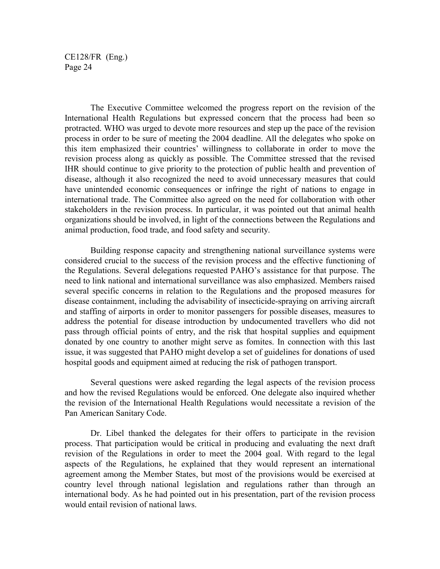The Executive Committee welcomed the progress report on the revision of the International Health Regulations but expressed concern that the process had been so protracted. WHO was urged to devote more resources and step up the pace of the revision process in order to be sure of meeting the 2004 deadline. All the delegates who spoke on this item emphasized their countries' willingness to collaborate in order to move the revision process along as quickly as possible. The Committee stressed that the revised IHR should continue to give priority to the protection of public health and prevention of disease, although it also recognized the need to avoid unnecessary measures that could have unintended economic consequences or infringe the right of nations to engage in international trade. The Committee also agreed on the need for collaboration with other stakeholders in the revision process. In particular, it was pointed out that animal health organizations should be involved, in light of the connections between the Regulations and animal production, food trade, and food safety and security.

Building response capacity and strengthening national surveillance systems were considered crucial to the success of the revision process and the effective functioning of the Regulations. Several delegations requested PAHO's assistance for that purpose. The need to link national and international surveillance was also emphasized. Members raised several specific concerns in relation to the Regulations and the proposed measures for disease containment, including the advisability of insecticide-spraying on arriving aircraft and staffing of airports in order to monitor passengers for possible diseases, measures to address the potential for disease introduction by undocumented travellers who did not pass through official points of entry, and the risk that hospital supplies and equipment donated by one country to another might serve as fomites. In connection with this last issue, it was suggested that PAHO might develop a set of guidelines for donations of used hospital goods and equipment aimed at reducing the risk of pathogen transport.

Several questions were asked regarding the legal aspects of the revision process and how the revised Regulations would be enforced. One delegate also inquired whether the revision of the International Health Regulations would necessitate a revision of the Pan American Sanitary Code.

Dr. Libel thanked the delegates for their offers to participate in the revision process. That participation would be critical in producing and evaluating the next draft revision of the Regulations in order to meet the 2004 goal. With regard to the legal aspects of the Regulations, he explained that they would represent an international agreement among the Member States, but most of the provisions would be exercised at country level through national legislation and regulations rather than through an international body. As he had pointed out in his presentation, part of the revision process would entail revision of national laws.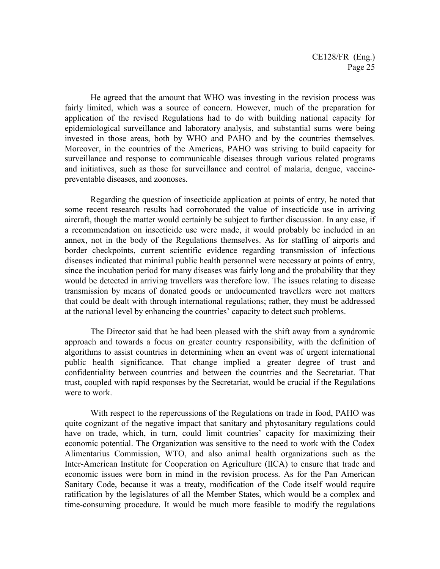He agreed that the amount that WHO was investing in the revision process was fairly limited, which was a source of concern. However, much of the preparation for application of the revised Regulations had to do with building national capacity for epidemiological surveillance and laboratory analysis, and substantial sums were being invested in those areas, both by WHO and PAHO and by the countries themselves. Moreover, in the countries of the Americas, PAHO was striving to build capacity for surveillance and response to communicable diseases through various related programs and initiatives, such as those for surveillance and control of malaria, dengue, vaccinepreventable diseases, and zoonoses.

Regarding the question of insecticide application at points of entry, he noted that some recent research results had corroborated the value of insecticide use in arriving aircraft, though the matter would certainly be subject to further discussion. In any case, if a recommendation on insecticide use were made, it would probably be included in an annex, not in the body of the Regulations themselves. As for staffing of airports and border checkpoints, current scientific evidence regarding transmission of infectious diseases indicated that minimal public health personnel were necessary at points of entry, since the incubation period for many diseases was fairly long and the probability that they would be detected in arriving travellers was therefore low. The issues relating to disease transmission by means of donated goods or undocumented travellers were not matters that could be dealt with through international regulations; rather, they must be addressed at the national level by enhancing the countries' capacity to detect such problems.

The Director said that he had been pleased with the shift away from a syndromic approach and towards a focus on greater country responsibility, with the definition of algorithms to assist countries in determining when an event was of urgent international public health significance. That change implied a greater degree of trust and confidentiality between countries and between the countries and the Secretariat. That trust, coupled with rapid responses by the Secretariat, would be crucial if the Regulations were to work.

With respect to the repercussions of the Regulations on trade in food, PAHO was quite cognizant of the negative impact that sanitary and phytosanitary regulations could have on trade, which, in turn, could limit countries' capacity for maximizing their economic potential. The Organization was sensitive to the need to work with the Codex Alimentarius Commission, WTO, and also animal health organizations such as the Inter-American Institute for Cooperation on Agriculture (IICA) to ensure that trade and economic issues were born in mind in the revision process. As for the Pan American Sanitary Code, because it was a treaty, modification of the Code itself would require ratification by the legislatures of all the Member States, which would be a complex and time-consuming procedure. It would be much more feasible to modify the regulations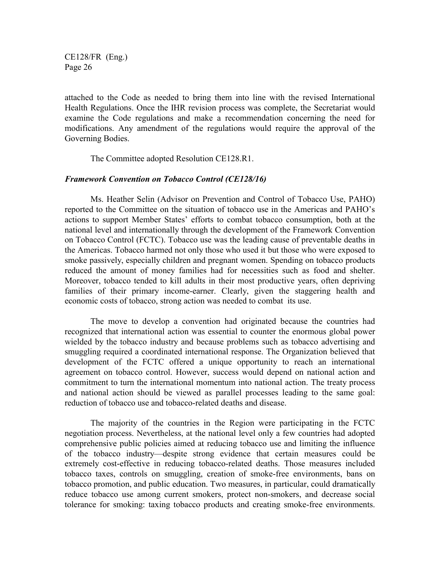attached to the Code as needed to bring them into line with the revised International Health Regulations. Once the IHR revision process was complete, the Secretariat would examine the Code regulations and make a recommendation concerning the need for modifications. Any amendment of the regulations would require the approval of the Governing Bodies.

The Committee adopted Resolution CE128.R1.

#### *Framework Convention on Tobacco Control (CE128/16)*

Ms. Heather Selin (Advisor on Prevention and Control of Tobacco Use, PAHO) reported to the Committee on the situation of tobacco use in the Americas and PAHO's actions to support Member States' efforts to combat tobacco consumption, both at the national level and internationally through the development of the Framework Convention on Tobacco Control (FCTC). Tobacco use was the leading cause of preventable deaths in the Americas. Tobacco harmed not only those who used it but those who were exposed to smoke passively, especially children and pregnant women. Spending on tobacco products reduced the amount of money families had for necessities such as food and shelter. Moreover, tobacco tended to kill adults in their most productive years, often depriving families of their primary income-earner. Clearly, given the staggering health and economic costs of tobacco, strong action was needed to combat its use.

The move to develop a convention had originated because the countries had recognized that international action was essential to counter the enormous global power wielded by the tobacco industry and because problems such as tobacco advertising and smuggling required a coordinated international response. The Organization believed that development of the FCTC offered a unique opportunity to reach an international agreement on tobacco control. However, success would depend on national action and commitment to turn the international momentum into national action. The treaty process and national action should be viewed as parallel processes leading to the same goal: reduction of tobacco use and tobacco-related deaths and disease.

The majority of the countries in the Region were participating in the FCTC negotiation process. Nevertheless, at the national level only a few countries had adopted comprehensive public policies aimed at reducing tobacco use and limiting the influence of the tobacco industry—despite strong evidence that certain measures could be extremely cost-effective in reducing tobacco-related deaths. Those measures included tobacco taxes, controls on smuggling, creation of smoke-free environments, bans on tobacco promotion, and public education. Two measures, in particular, could dramatically reduce tobacco use among current smokers, protect non-smokers, and decrease social tolerance for smoking: taxing tobacco products and creating smoke-free environments.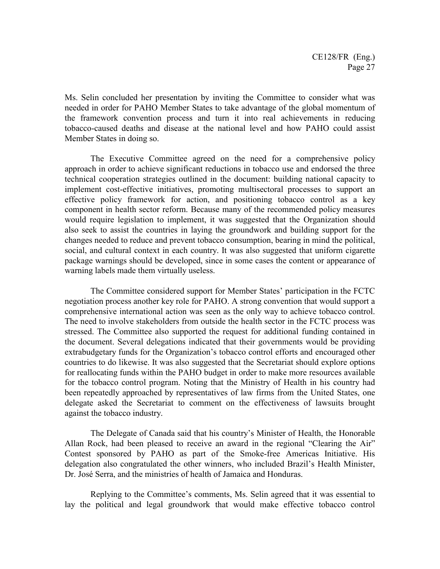Ms. Selin concluded her presentation by inviting the Committee to consider what was needed in order for PAHO Member States to take advantage of the global momentum of the framework convention process and turn it into real achievements in reducing tobacco-caused deaths and disease at the national level and how PAHO could assist Member States in doing so.

The Executive Committee agreed on the need for a comprehensive policy approach in order to achieve significant reductions in tobacco use and endorsed the three technical cooperation strategies outlined in the document: building national capacity to implement cost-effective initiatives, promoting multisectoral processes to support an effective policy framework for action, and positioning tobacco control as a key component in health sector reform. Because many of the recommended policy measures would require legislation to implement, it was suggested that the Organization should also seek to assist the countries in laying the groundwork and building support for the changes needed to reduce and prevent tobacco consumption, bearing in mind the political, social, and cultural context in each country. It was also suggested that uniform cigarette package warnings should be developed, since in some cases the content or appearance of warning labels made them virtually useless.

The Committee considered support for Member States' participation in the FCTC negotiation process another key role for PAHO. A strong convention that would support a comprehensive international action was seen as the only way to achieve tobacco control. The need to involve stakeholders from outside the health sector in the FCTC process was stressed. The Committee also supported the request for additional funding contained in the document. Several delegations indicated that their governments would be providing extrabudgetary funds for the Organization's tobacco control efforts and encouraged other countries to do likewise. It was also suggested that the Secretariat should explore options for reallocating funds within the PAHO budget in order to make more resources available for the tobacco control program. Noting that the Ministry of Health in his country had been repeatedly approached by representatives of law firms from the United States, one delegate asked the Secretariat to comment on the effectiveness of lawsuits brought against the tobacco industry.

The Delegate of Canada said that his country's Minister of Health, the Honorable Allan Rock, had been pleased to receive an award in the regional "Clearing the Air" Contest sponsored by PAHO as part of the Smoke-free Americas Initiative. His delegation also congratulated the other winners, who included Brazil's Health Minister, Dr. José Serra, and the ministries of health of Jamaica and Honduras.

Replying to the Committee's comments, Ms. Selin agreed that it was essential to lay the political and legal groundwork that would make effective tobacco control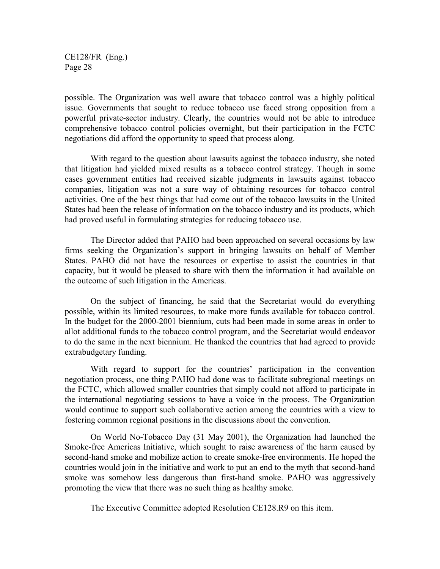possible. The Organization was well aware that tobacco control was a highly political issue. Governments that sought to reduce tobacco use faced strong opposition from a powerful private-sector industry. Clearly, the countries would not be able to introduce comprehensive tobacco control policies overnight, but their participation in the FCTC negotiations did afford the opportunity to speed that process along.

With regard to the question about lawsuits against the tobacco industry, she noted that litigation had yielded mixed results as a tobacco control strategy. Though in some cases government entities had received sizable judgments in lawsuits against tobacco companies, litigation was not a sure way of obtaining resources for tobacco control activities. One of the best things that had come out of the tobacco lawsuits in the United States had been the release of information on the tobacco industry and its products, which had proved useful in formulating strategies for reducing tobacco use.

The Director added that PAHO had been approached on several occasions by law firms seeking the Organization's support in bringing lawsuits on behalf of Member States. PAHO did not have the resources or expertise to assist the countries in that capacity, but it would be pleased to share with them the information it had available on the outcome of such litigation in the Americas.

On the subject of financing, he said that the Secretariat would do everything possible, within its limited resources, to make more funds available for tobacco control. In the budget for the 2000-2001 biennium, cuts had been made in some areas in order to allot additional funds to the tobacco control program, and the Secretariat would endeavor to do the same in the next biennium. He thanked the countries that had agreed to provide extrabudgetary funding.

With regard to support for the countries' participation in the convention negotiation process, one thing PAHO had done was to facilitate subregional meetings on the FCTC, which allowed smaller countries that simply could not afford to participate in the international negotiating sessions to have a voice in the process. The Organization would continue to support such collaborative action among the countries with a view to fostering common regional positions in the discussions about the convention.

On World No-Tobacco Day (31 May 2001), the Organization had launched the Smoke-free Americas Initiative, which sought to raise awareness of the harm caused by second-hand smoke and mobilize action to create smoke-free environments. He hoped the countries would join in the initiative and work to put an end to the myth that second-hand smoke was somehow less dangerous than first-hand smoke. PAHO was aggressively promoting the view that there was no such thing as healthy smoke.

The Executive Committee adopted Resolution CE128.R9 on this item.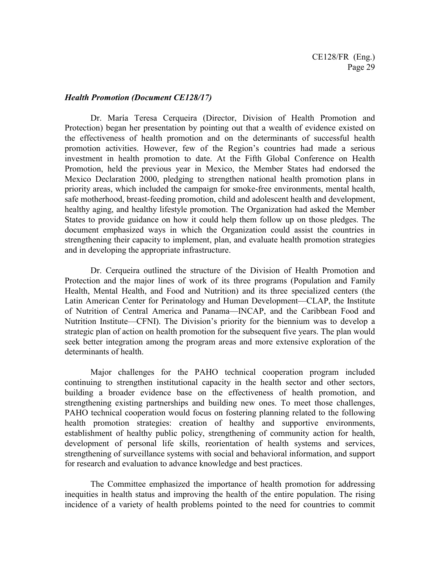#### *Health Promotion (Document CE128/17)*

Dr. María Teresa Cerqueira (Director, Division of Health Promotion and Protection) began her presentation by pointing out that a wealth of evidence existed on the effectiveness of health promotion and on the determinants of successful health promotion activities. However, few of the Region's countries had made a serious investment in health promotion to date. At the Fifth Global Conference on Health Promotion, held the previous year in Mexico, the Member States had endorsed the Mexico Declaration 2000, pledging to strengthen national health promotion plans in priority areas, which included the campaign for smoke-free environments, mental health, safe motherhood, breast-feeding promotion, child and adolescent health and development, healthy aging, and healthy lifestyle promotion. The Organization had asked the Member States to provide guidance on how it could help them follow up on those pledges. The document emphasized ways in which the Organization could assist the countries in strengthening their capacity to implement, plan, and evaluate health promotion strategies and in developing the appropriate infrastructure.

Dr. Cerqueira outlined the structure of the Division of Health Promotion and Protection and the major lines of work of its three programs (Population and Family Health, Mental Health, and Food and Nutrition) and its three specialized centers (the Latin American Center for Perinatology and Human Development—CLAP, the Institute of Nutrition of Central America and Panama—INCAP, and the Caribbean Food and Nutrition Institute—CFNI). The Division's priority for the biennium was to develop a strategic plan of action on health promotion for the subsequent five years. The plan would seek better integration among the program areas and more extensive exploration of the determinants of health.

Major challenges for the PAHO technical cooperation program included continuing to strengthen institutional capacity in the health sector and other sectors, building a broader evidence base on the effectiveness of health promotion, and strengthening existing partnerships and building new ones. To meet those challenges, PAHO technical cooperation would focus on fostering planning related to the following health promotion strategies: creation of healthy and supportive environments, establishment of healthy public policy, strengthening of community action for health, development of personal life skills, reorientation of health systems and services, strengthening of surveillance systems with social and behavioral information, and support for research and evaluation to advance knowledge and best practices.

The Committee emphasized the importance of health promotion for addressing inequities in health status and improving the health of the entire population. The rising incidence of a variety of health problems pointed to the need for countries to commit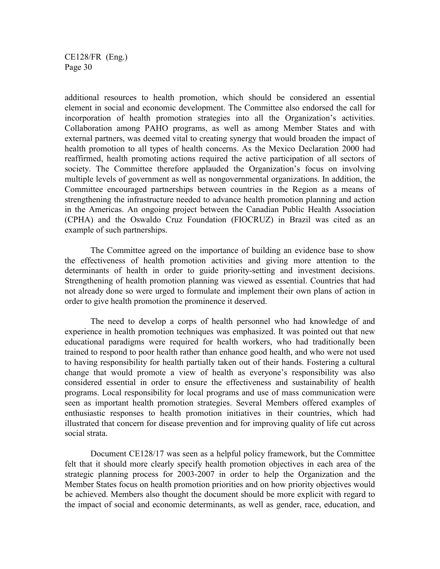additional resources to health promotion, which should be considered an essential element in social and economic development. The Committee also endorsed the call for incorporation of health promotion strategies into all the Organization's activities. Collaboration among PAHO programs, as well as among Member States and with external partners, was deemed vital to creating synergy that would broaden the impact of health promotion to all types of health concerns. As the Mexico Declaration 2000 had reaffirmed, health promoting actions required the active participation of all sectors of society. The Committee therefore applauded the Organization's focus on involving multiple levels of government as well as nongovernmental organizations. In addition, the Committee encouraged partnerships between countries in the Region as a means of strengthening the infrastructure needed to advance health promotion planning and action in the Americas. An ongoing project between the Canadian Public Health Association (CPHA) and the Oswaldo Cruz Foundation (FIOCRUZ) in Brazil was cited as an example of such partnerships.

The Committee agreed on the importance of building an evidence base to show the effectiveness of health promotion activities and giving more attention to the determinants of health in order to guide priority-setting and investment decisions. Strengthening of health promotion planning was viewed as essential. Countries that had not already done so were urged to formulate and implement their own plans of action in order to give health promotion the prominence it deserved.

The need to develop a corps of health personnel who had knowledge of and experience in health promotion techniques was emphasized. It was pointed out that new educational paradigms were required for health workers, who had traditionally been trained to respond to poor health rather than enhance good health, and who were not used to having responsibility for health partially taken out of their hands. Fostering a cultural change that would promote a view of health as everyone's responsibility was also considered essential in order to ensure the effectiveness and sustainability of health programs. Local responsibility for local programs and use of mass communication were seen as important health promotion strategies. Several Members offered examples of enthusiastic responses to health promotion initiatives in their countries, which had illustrated that concern for disease prevention and for improving quality of life cut across social strata.

Document CE128/17 was seen as a helpful policy framework, but the Committee felt that it should more clearly specify health promotion objectives in each area of the strategic planning process for 2003-2007 in order to help the Organization and the Member States focus on health promotion priorities and on how priority objectives would be achieved. Members also thought the document should be more explicit with regard to the impact of social and economic determinants, as well as gender, race, education, and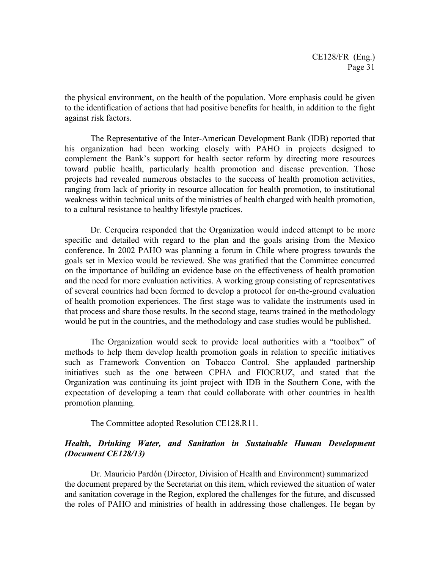the physical environment, on the health of the population. More emphasis could be given to the identification of actions that had positive benefits for health, in addition to the fight against risk factors.

The Representative of the Inter-American Development Bank (IDB) reported that his organization had been working closely with PAHO in projects designed to complement the Bank's support for health sector reform by directing more resources toward public health, particularly health promotion and disease prevention. Those projects had revealed numerous obstacles to the success of health promotion activities, ranging from lack of priority in resource allocation for health promotion, to institutional weakness within technical units of the ministries of health charged with health promotion, to a cultural resistance to healthy lifestyle practices.

Dr. Cerqueira responded that the Organization would indeed attempt to be more specific and detailed with regard to the plan and the goals arising from the Mexico conference. In 2002 PAHO was planning a forum in Chile where progress towards the goals set in Mexico would be reviewed. She was gratified that the Committee concurred on the importance of building an evidence base on the effectiveness of health promotion and the need for more evaluation activities. A working group consisting of representatives of several countries had been formed to develop a protocol for on-the-ground evaluation of health promotion experiences. The first stage was to validate the instruments used in that process and share those results. In the second stage, teams trained in the methodology would be put in the countries, and the methodology and case studies would be published.

The Organization would seek to provide local authorities with a "toolbox" of methods to help them develop health promotion goals in relation to specific initiatives such as Framework Convention on Tobacco Control. She applauded partnership initiatives such as the one between CPHA and FIOCRUZ, and stated that the Organization was continuing its joint project with IDB in the Southern Cone, with the expectation of developing a team that could collaborate with other countries in health promotion planning.

The Committee adopted Resolution CE128.R11.

# *Health, Drinking Water, and Sanitation in Sustainable Human Development (Document CE128/13)*

Dr. Mauricio Pardón (Director, Division of Health and Environment) summarized the document prepared by the Secretariat on this item, which reviewed the situation of water and sanitation coverage in the Region, explored the challenges for the future, and discussed the roles of PAHO and ministries of health in addressing those challenges. He began by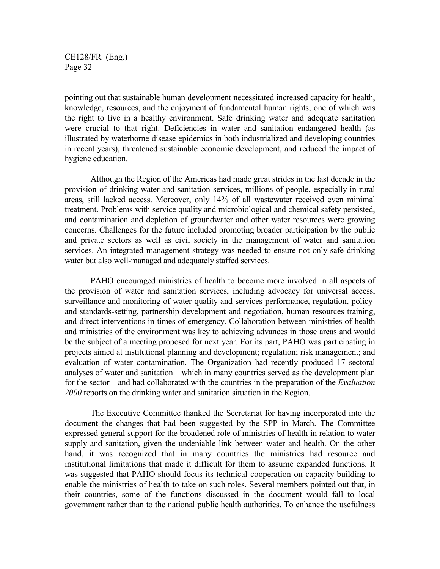pointing out that sustainable human development necessitated increased capacity for health, knowledge, resources, and the enjoyment of fundamental human rights, one of which was the right to live in a healthy environment. Safe drinking water and adequate sanitation were crucial to that right. Deficiencies in water and sanitation endangered health (as illustrated by waterborne disease epidemics in both industrialized and developing countries in recent years), threatened sustainable economic development, and reduced the impact of hygiene education.

Although the Region of the Americas had made great strides in the last decade in the provision of drinking water and sanitation services, millions of people, especially in rural areas, still lacked access. Moreover, only 14% of all wastewater received even minimal treatment. Problems with service quality and microbiological and chemical safety persisted, and contamination and depletion of groundwater and other water resources were growing concerns. Challenges for the future included promoting broader participation by the public and private sectors as well as civil society in the management of water and sanitation services. An integrated management strategy was needed to ensure not only safe drinking water but also well-managed and adequately staffed services.

PAHO encouraged ministries of health to become more involved in all aspects of the provision of water and sanitation services, including advocacy for universal access, surveillance and monitoring of water quality and services performance, regulation, policyand standards-setting, partnership development and negotiation, human resources training, and direct interventions in times of emergency. Collaboration between ministries of health and ministries of the environment was key to achieving advances in those areas and would be the subject of a meeting proposed for next year. For its part, PAHO was participating in projects aimed at institutional planning and development; regulation; risk management; and evaluation of water contamination. The Organization had recently produced 17 sectoral analyses of water and sanitation—which in many countries served as the development plan for the sector—and had collaborated with the countries in the preparation of the *Evaluation 2000* reports on the drinking water and sanitation situation in the Region.

The Executive Committee thanked the Secretariat for having incorporated into the document the changes that had been suggested by the SPP in March. The Committee expressed general support for the broadened role of ministries of health in relation to water supply and sanitation, given the undeniable link between water and health. On the other hand, it was recognized that in many countries the ministries had resource and institutional limitations that made it difficult for them to assume expanded functions. It was suggested that PAHO should focus its technical cooperation on capacity-building to enable the ministries of health to take on such roles. Several members pointed out that, in their countries, some of the functions discussed in the document would fall to local government rather than to the national public health authorities. To enhance the usefulness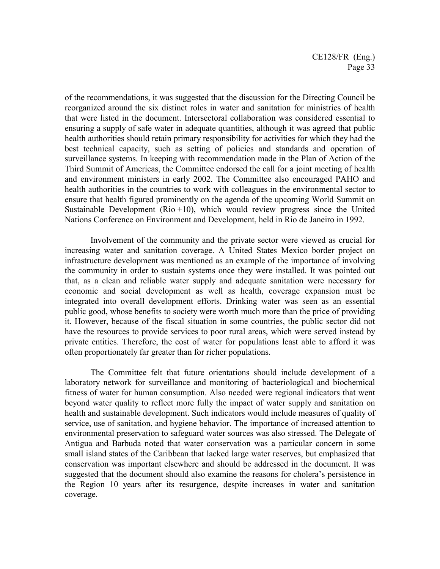of the recommendations, it was suggested that the discussion for the Directing Council be reorganized around the six distinct roles in water and sanitation for ministries of health that were listed in the document. Intersectoral collaboration was considered essential to ensuring a supply of safe water in adequate quantities, although it was agreed that public health authorities should retain primary responsibility for activities for which they had the best technical capacity, such as setting of policies and standards and operation of surveillance systems. In keeping with recommendation made in the Plan of Action of the Third Summit of Americas, the Committee endorsed the call for a joint meeting of health and environment ministers in early 2002. The Committee also encouraged PAHO and health authorities in the countries to work with colleagues in the environmental sector to ensure that health figured prominently on the agenda of the upcoming World Summit on Sustainable Development ( $Rio +10$ ), which would review progress since the United Nations Conference on Environment and Development, held in Rio de Janeiro in 1992.

Involvement of the community and the private sector were viewed as crucial for increasing water and sanitation coverage. A United States–Mexico border project on infrastructure development was mentioned as an example of the importance of involving the community in order to sustain systems once they were installed. It was pointed out that, as a clean and reliable water supply and adequate sanitation were necessary for economic and social development as well as health, coverage expansion must be integrated into overall development efforts. Drinking water was seen as an essential public good, whose benefits to society were worth much more than the price of providing it. However, because of the fiscal situation in some countries, the public sector did not have the resources to provide services to poor rural areas, which were served instead by private entities. Therefore, the cost of water for populations least able to afford it was often proportionately far greater than for richer populations.

The Committee felt that future orientations should include development of a laboratory network for surveillance and monitoring of bacteriological and biochemical fitness of water for human consumption. Also needed were regional indicators that went beyond water quality to reflect more fully the impact of water supply and sanitation on health and sustainable development. Such indicators would include measures of quality of service, use of sanitation, and hygiene behavior. The importance of increased attention to environmental preservation to safeguard water sources was also stressed. The Delegate of Antigua and Barbuda noted that water conservation was a particular concern in some small island states of the Caribbean that lacked large water reserves, but emphasized that conservation was important elsewhere and should be addressed in the document. It was suggested that the document should also examine the reasons for cholera's persistence in the Region 10 years after its resurgence, despite increases in water and sanitation coverage.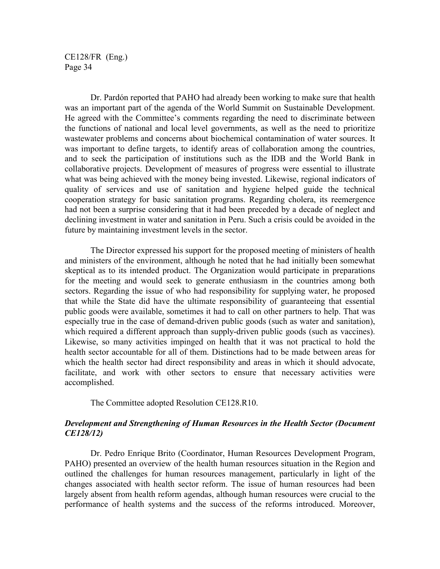Dr. Pardón reported that PAHO had already been working to make sure that health was an important part of the agenda of the World Summit on Sustainable Development. He agreed with the Committee's comments regarding the need to discriminate between the functions of national and local level governments, as well as the need to prioritize wastewater problems and concerns about biochemical contamination of water sources. It was important to define targets, to identify areas of collaboration among the countries, and to seek the participation of institutions such as the IDB and the World Bank in collaborative projects. Development of measures of progress were essential to illustrate what was being achieved with the money being invested. Likewise, regional indicators of quality of services and use of sanitation and hygiene helped guide the technical cooperation strategy for basic sanitation programs. Regarding cholera, its reemergence had not been a surprise considering that it had been preceded by a decade of neglect and declining investment in water and sanitation in Peru. Such a crisis could be avoided in the future by maintaining investment levels in the sector.

The Director expressed his support for the proposed meeting of ministers of health and ministers of the environment, although he noted that he had initially been somewhat skeptical as to its intended product. The Organization would participate in preparations for the meeting and would seek to generate enthusiasm in the countries among both sectors. Regarding the issue of who had responsibility for supplying water, he proposed that while the State did have the ultimate responsibility of guaranteeing that essential public goods were available, sometimes it had to call on other partners to help. That was especially true in the case of demand-driven public goods (such as water and sanitation), which required a different approach than supply-driven public goods (such as vaccines). Likewise, so many activities impinged on health that it was not practical to hold the health sector accountable for all of them. Distinctions had to be made between areas for which the health sector had direct responsibility and areas in which it should advocate, facilitate, and work with other sectors to ensure that necessary activities were accomplished.

The Committee adopted Resolution CE128.R10.

# *Development and Strengthening of Human Resources in the Health Sector (Document CE128/12)*

Dr. Pedro Enrique Brito (Coordinator, Human Resources Development Program, PAHO) presented an overview of the health human resources situation in the Region and outlined the challenges for human resources management, particularly in light of the changes associated with health sector reform. The issue of human resources had been largely absent from health reform agendas, although human resources were crucial to the performance of health systems and the success of the reforms introduced. Moreover,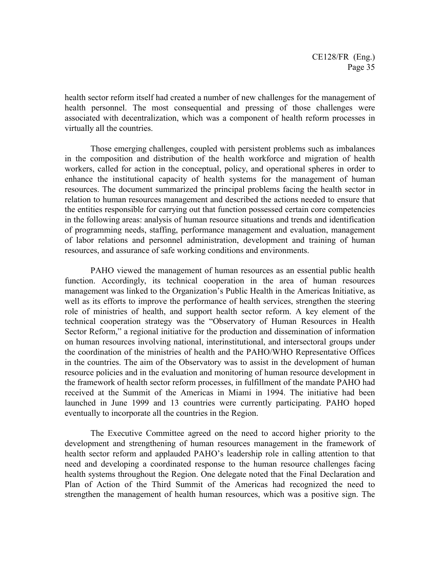health sector reform itself had created a number of new challenges for the management of health personnel. The most consequential and pressing of those challenges were associated with decentralization, which was a component of health reform processes in virtually all the countries.

Those emerging challenges, coupled with persistent problems such as imbalances in the composition and distribution of the health workforce and migration of health workers, called for action in the conceptual, policy, and operational spheres in order to enhance the institutional capacity of health systems for the management of human resources. The document summarized the principal problems facing the health sector in relation to human resources management and described the actions needed to ensure that the entities responsible for carrying out that function possessed certain core competencies in the following areas: analysis of human resource situations and trends and identification of programming needs, staffing, performance management and evaluation, management of labor relations and personnel administration, development and training of human resources, and assurance of safe working conditions and environments.

PAHO viewed the management of human resources as an essential public health function. Accordingly, its technical cooperation in the area of human resources management was linked to the Organization's Public Health in the Americas Initiative, as well as its efforts to improve the performance of health services, strengthen the steering role of ministries of health, and support health sector reform. A key element of the technical cooperation strategy was the "Observatory of Human Resources in Health Sector Reform," a regional initiative for the production and dissemination of information on human resources involving national, interinstitutional, and intersectoral groups under the coordination of the ministries of health and the PAHO/WHO Representative Offices in the countries. The aim of the Observatory was to assist in the development of human resource policies and in the evaluation and monitoring of human resource development in the framework of health sector reform processes, in fulfillment of the mandate PAHO had received at the Summit of the Americas in Miami in 1994. The initiative had been launched in June 1999 and 13 countries were currently participating. PAHO hoped eventually to incorporate all the countries in the Region.

The Executive Committee agreed on the need to accord higher priority to the development and strengthening of human resources management in the framework of health sector reform and applauded PAHO's leadership role in calling attention to that need and developing a coordinated response to the human resource challenges facing health systems throughout the Region. One delegate noted that the Final Declaration and Plan of Action of the Third Summit of the Americas had recognized the need to strengthen the management of health human resources, which was a positive sign. The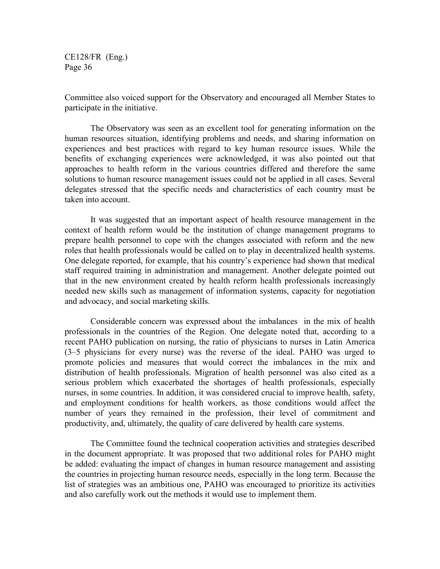Committee also voiced support for the Observatory and encouraged all Member States to participate in the initiative.

The Observatory was seen as an excellent tool for generating information on the human resources situation, identifying problems and needs, and sharing information on experiences and best practices with regard to key human resource issues. While the benefits of exchanging experiences were acknowledged, it was also pointed out that approaches to health reform in the various countries differed and therefore the same solutions to human resource management issues could not be applied in all cases. Several delegates stressed that the specific needs and characteristics of each country must be taken into account.

It was suggested that an important aspect of health resource management in the context of health reform would be the institution of change management programs to prepare health personnel to cope with the changes associated with reform and the new roles that health professionals would be called on to play in decentralized health systems. One delegate reported, for example, that his country's experience had shown that medical staff required training in administration and management. Another delegate pointed out that in the new environment created by health reform health professionals increasingly needed new skills such as management of information systems, capacity for negotiation and advocacy, and social marketing skills.

Considerable concern was expressed about the imbalances in the mix of health professionals in the countries of the Region. One delegate noted that, according to a recent PAHO publication on nursing, the ratio of physicians to nurses in Latin America (3–5 physicians for every nurse) was the reverse of the ideal. PAHO was urged to promote policies and measures that would correct the imbalances in the mix and distribution of health professionals. Migration of health personnel was also cited as a serious problem which exacerbated the shortages of health professionals, especially nurses, in some countries. In addition, it was considered crucial to improve health, safety, and employment conditions for health workers, as those conditions would affect the number of years they remained in the profession, their level of commitment and productivity, and, ultimately, the quality of care delivered by health care systems.

The Committee found the technical cooperation activities and strategies described in the document appropriate. It was proposed that two additional roles for PAHO might be added: evaluating the impact of changes in human resource management and assisting the countries in projecting human resource needs, especially in the long term. Because the list of strategies was an ambitious one, PAHO was encouraged to prioritize its activities and also carefully work out the methods it would use to implement them.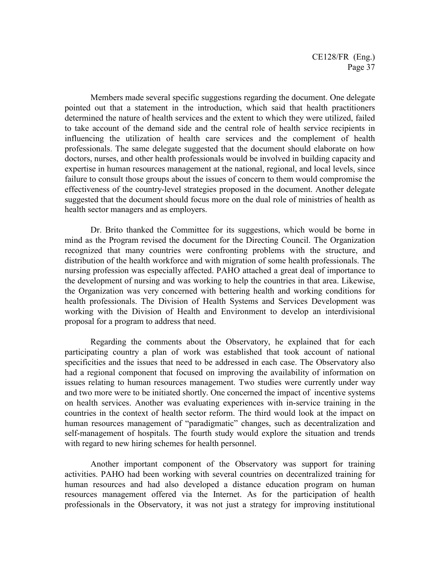Members made several specific suggestions regarding the document. One delegate pointed out that a statement in the introduction, which said that health practitioners determined the nature of health services and the extent to which they were utilized, failed to take account of the demand side and the central role of health service recipients in influencing the utilization of health care services and the complement of health professionals. The same delegate suggested that the document should elaborate on how doctors, nurses, and other health professionals would be involved in building capacity and expertise in human resources management at the national, regional, and local levels, since failure to consult those groups about the issues of concern to them would compromise the effectiveness of the country-level strategies proposed in the document. Another delegate suggested that the document should focus more on the dual role of ministries of health as health sector managers and as employers.

Dr. Brito thanked the Committee for its suggestions, which would be borne in mind as the Program revised the document for the Directing Council. The Organization recognized that many countries were confronting problems with the structure, and distribution of the health workforce and with migration of some health professionals. The nursing profession was especially affected. PAHO attached a great deal of importance to the development of nursing and was working to help the countries in that area. Likewise, the Organization was very concerned with bettering health and working conditions for health professionals. The Division of Health Systems and Services Development was working with the Division of Health and Environment to develop an interdivisional proposal for a program to address that need.

Regarding the comments about the Observatory, he explained that for each participating country a plan of work was established that took account of national specificities and the issues that need to be addressed in each case. The Observatory also had a regional component that focused on improving the availability of information on issues relating to human resources management. Two studies were currently under way and two more were to be initiated shortly. One concerned the impact of incentive systems on health services. Another was evaluating experiences with in-service training in the countries in the context of health sector reform. The third would look at the impact on human resources management of "paradigmatic" changes, such as decentralization and self-management of hospitals. The fourth study would explore the situation and trends with regard to new hiring schemes for health personnel.

Another important component of the Observatory was support for training activities. PAHO had been working with several countries on decentralized training for human resources and had also developed a distance education program on human resources management offered via the Internet. As for the participation of health professionals in the Observatory, it was not just a strategy for improving institutional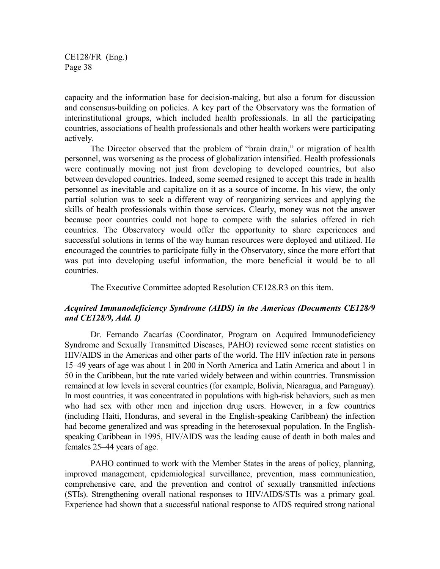capacity and the information base for decision-making, but also a forum for discussion and consensus-building on policies. A key part of the Observatory was the formation of interinstitutional groups, which included health professionals. In all the participating countries, associations of health professionals and other health workers were participating actively.

The Director observed that the problem of "brain drain," or migration of health personnel, was worsening as the process of globalization intensified. Health professionals were continually moving not just from developing to developed countries, but also between developed countries. Indeed, some seemed resigned to accept this trade in health personnel as inevitable and capitalize on it as a source of income. In his view, the only partial solution was to seek a different way of reorganizing services and applying the skills of health professionals within those services. Clearly, money was not the answer because poor countries could not hope to compete with the salaries offered in rich countries. The Observatory would offer the opportunity to share experiences and successful solutions in terms of the way human resources were deployed and utilized. He encouraged the countries to participate fully in the Observatory, since the more effort that was put into developing useful information, the more beneficial it would be to all countries.

The Executive Committee adopted Resolution CE128.R3 on this item.

# *Acquired Immunodeficiency Syndrome (AIDS) in the Americas (Documents CE128/9 and CE128/9, Add. I)*

Dr. Fernando Zacarías (Coordinator, Program on Acquired Immunodeficiency Syndrome and Sexually Transmitted Diseases, PAHO) reviewed some recent statistics on HIV/AIDS in the Americas and other parts of the world. The HIV infection rate in persons 15–49 years of age was about 1 in 200 in North America and Latin America and about 1 in 50 in the Caribbean, but the rate varied widely between and within countries. Transmission remained at low levels in several countries (for example, Bolivia, Nicaragua, and Paraguay). In most countries, it was concentrated in populations with high-risk behaviors, such as men who had sex with other men and injection drug users. However, in a few countries (including Haiti, Honduras, and several in the English-speaking Caribbean) the infection had become generalized and was spreading in the heterosexual population. In the Englishspeaking Caribbean in 1995, HIV/AIDS was the leading cause of death in both males and females 25–44 years of age.

PAHO continued to work with the Member States in the areas of policy, planning, improved management, epidemiological surveillance, prevention, mass communication, comprehensive care, and the prevention and control of sexually transmitted infections (STIs). Strengthening overall national responses to HIV/AIDS/STIs was a primary goal. Experience had shown that a successful national response to AIDS required strong national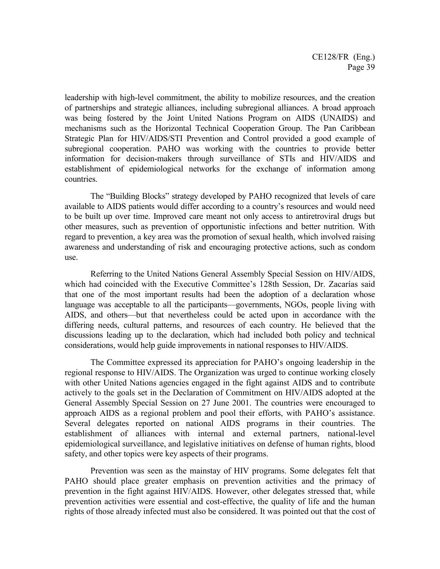leadership with high-level commitment, the ability to mobilize resources, and the creation of partnerships and strategic alliances, including subregional alliances. A broad approach was being fostered by the Joint United Nations Program on AIDS (UNAIDS) and mechanisms such as the Horizontal Technical Cooperation Group. The Pan Caribbean Strategic Plan for HIV/AIDS/STI Prevention and Control provided a good example of subregional cooperation. PAHO was working with the countries to provide better information for decision-makers through surveillance of STIs and HIV/AIDS and establishment of epidemiological networks for the exchange of information among countries.

The "Building Blocks" strategy developed by PAHO recognized that levels of care available to AIDS patients would differ according to a country's resources and would need to be built up over time. Improved care meant not only access to antiretroviral drugs but other measures, such as prevention of opportunistic infections and better nutrition. With regard to prevention, a key area was the promotion of sexual health, which involved raising awareness and understanding of risk and encouraging protective actions, such as condom use.

Referring to the United Nations General Assembly Special Session on HIV/AIDS, which had coincided with the Executive Committee's 128th Session, Dr. Zacarías said that one of the most important results had been the adoption of a declaration whose language was acceptable to all the participants—governments, NGOs, people living with AIDS, and others—but that nevertheless could be acted upon in accordance with the differing needs, cultural patterns, and resources of each country. He believed that the discussions leading up to the declaration, which had included both policy and technical considerations, would help guide improvements in national responses to HIV/AIDS.

The Committee expressed its appreciation for PAHO's ongoing leadership in the regional response to HIV/AIDS. The Organization was urged to continue working closely with other United Nations agencies engaged in the fight against AIDS and to contribute actively to the goals set in the Declaration of Commitment on HIV/AIDS adopted at the General Assembly Special Session on 27 June 2001. The countries were encouraged to approach AIDS as a regional problem and pool their efforts, with PAHO's assistance. Several delegates reported on national AIDS programs in their countries. The establishment of alliances with internal and external partners, national-level epidemiological surveillance, and legislative initiatives on defense of human rights, blood safety, and other topics were key aspects of their programs.

Prevention was seen as the mainstay of HIV programs. Some delegates felt that PAHO should place greater emphasis on prevention activities and the primacy of prevention in the fight against HIV/AIDS. However, other delegates stressed that, while prevention activities were essential and cost-effective, the quality of life and the human rights of those already infected must also be considered. It was pointed out that the cost of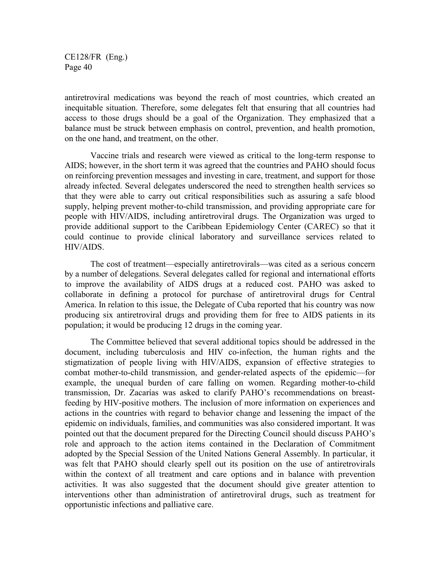antiretroviral medications was beyond the reach of most countries, which created an inequitable situation. Therefore, some delegates felt that ensuring that all countries had access to those drugs should be a goal of the Organization. They emphasized that a balance must be struck between emphasis on control, prevention, and health promotion, on the one hand, and treatment, on the other.

Vaccine trials and research were viewed as critical to the long-term response to AIDS; however, in the short term it was agreed that the countries and PAHO should focus on reinforcing prevention messages and investing in care, treatment, and support for those already infected. Several delegates underscored the need to strengthen health services so that they were able to carry out critical responsibilities such as assuring a safe blood supply, helping prevent mother-to-child transmission, and providing appropriate care for people with HIV/AIDS, including antiretroviral drugs. The Organization was urged to provide additional support to the Caribbean Epidemiology Center (CAREC) so that it could continue to provide clinical laboratory and surveillance services related to HIV/AIDS.

The cost of treatment—especially antiretrovirals—was cited as a serious concern by a number of delegations. Several delegates called for regional and international efforts to improve the availability of AIDS drugs at a reduced cost. PAHO was asked to collaborate in defining a protocol for purchase of antiretroviral drugs for Central America. In relation to this issue, the Delegate of Cuba reported that his country was now producing six antiretroviral drugs and providing them for free to AIDS patients in its population; it would be producing 12 drugs in the coming year.

The Committee believed that several additional topics should be addressed in the document, including tuberculosis and HIV co-infection, the human rights and the stigmatization of people living with HIV/AIDS, expansion of effective strategies to combat mother-to-child transmission, and gender-related aspects of the epidemic—for example, the unequal burden of care falling on women. Regarding mother-to-child transmission, Dr. Zacarías was asked to clarify PAHO's recommendations on breastfeeding by HIV-positive mothers. The inclusion of more information on experiences and actions in the countries with regard to behavior change and lessening the impact of the epidemic on individuals, families, and communities was also considered important. It was pointed out that the document prepared for the Directing Council should discuss PAHO's role and approach to the action items contained in the Declaration of Commitment adopted by the Special Session of the United Nations General Assembly. In particular, it was felt that PAHO should clearly spell out its position on the use of antiretrovirals within the context of all treatment and care options and in balance with prevention activities. It was also suggested that the document should give greater attention to interventions other than administration of antiretroviral drugs, such as treatment for opportunistic infections and palliative care.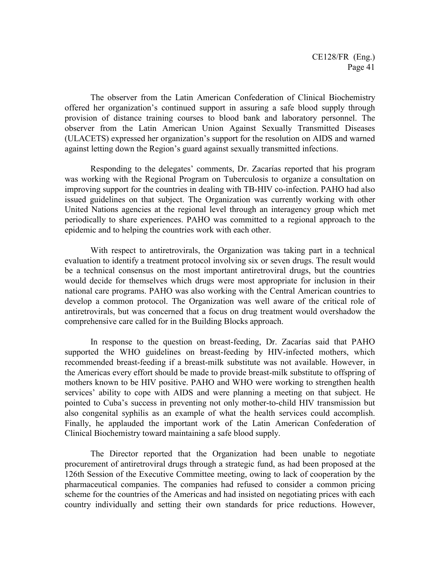The observer from the Latin American Confederation of Clinical Biochemistry offered her organization's continued support in assuring a safe blood supply through provision of distance training courses to blood bank and laboratory personnel. The observer from the Latin American Union Against Sexually Transmitted Diseases (ULACETS) expressed her organization's support for the resolution on AIDS and warned against letting down the Region's guard against sexually transmitted infections.

Responding to the delegates' comments, Dr. Zacarías reported that his program was working with the Regional Program on Tuberculosis to organize a consultation on improving support for the countries in dealing with TB-HIV co-infection. PAHO had also issued guidelines on that subject. The Organization was currently working with other United Nations agencies at the regional level through an interagency group which met periodically to share experiences. PAHO was committed to a regional approach to the epidemic and to helping the countries work with each other.

With respect to antiretrovirals, the Organization was taking part in a technical evaluation to identify a treatment protocol involving six or seven drugs. The result would be a technical consensus on the most important antiretroviral drugs, but the countries would decide for themselves which drugs were most appropriate for inclusion in their national care programs. PAHO was also working with the Central American countries to develop a common protocol. The Organization was well aware of the critical role of antiretrovirals, but was concerned that a focus on drug treatment would overshadow the comprehensive care called for in the Building Blocks approach.

In response to the question on breast-feeding, Dr. Zacarías said that PAHO supported the WHO guidelines on breast-feeding by HIV-infected mothers, which recommended breast-feeding if a breast-milk substitute was not available. However, in the Americas every effort should be made to provide breast-milk substitute to offspring of mothers known to be HIV positive. PAHO and WHO were working to strengthen health services' ability to cope with AIDS and were planning a meeting on that subject. He pointed to Cuba's success in preventing not only mother-to-child HIV transmission but also congenital syphilis as an example of what the health services could accomplish. Finally, he applauded the important work of the Latin American Confederation of Clinical Biochemistry toward maintaining a safe blood supply.

The Director reported that the Organization had been unable to negotiate procurement of antiretroviral drugs through a strategic fund, as had been proposed at the 126th Session of the Executive Committee meeting, owing to lack of cooperation by the pharmaceutical companies. The companies had refused to consider a common pricing scheme for the countries of the Americas and had insisted on negotiating prices with each country individually and setting their own standards for price reductions. However,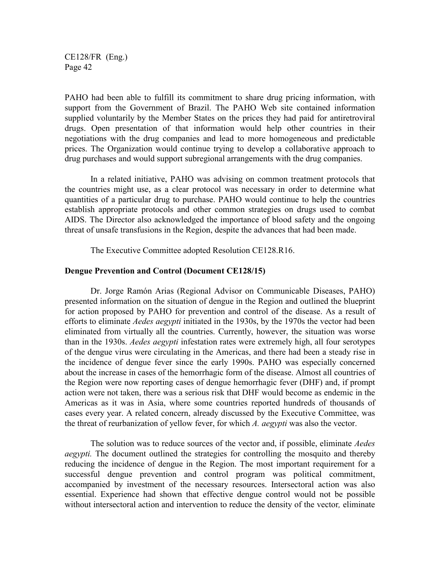PAHO had been able to fulfill its commitment to share drug pricing information, with support from the Government of Brazil. The PAHO Web site contained information supplied voluntarily by the Member States on the prices they had paid for antiretroviral drugs. Open presentation of that information would help other countries in their negotiations with the drug companies and lead to more homogeneous and predictable prices. The Organization would continue trying to develop a collaborative approach to drug purchases and would support subregional arrangements with the drug companies.

In a related initiative, PAHO was advising on common treatment protocols that the countries might use, as a clear protocol was necessary in order to determine what quantities of a particular drug to purchase. PAHO would continue to help the countries establish appropriate protocols and other common strategies on drugs used to combat AIDS. The Director also acknowledged the importance of blood safety and the ongoing threat of unsafe transfusions in the Region, despite the advances that had been made.

The Executive Committee adopted Resolution CE128.R16.

#### **Dengue Prevention and Control (Document CE128/15)**

Dr. Jorge Ramón Arias (Regional Advisor on Communicable Diseases, PAHO) presented information on the situation of dengue in the Region and outlined the blueprint for action proposed by PAHO for prevention and control of the disease. As a result of efforts to eliminate *Aedes aegypti* initiated in the 1930s, by the 1970s the vector had been eliminated from virtually all the countries. Currently, however, the situation was worse than in the 1930s. *Aedes aegypti* infestation rates were extremely high, all four serotypes of the dengue virus were circulating in the Americas, and there had been a steady rise in the incidence of dengue fever since the early 1990s. PAHO was especially concerned about the increase in cases of the hemorrhagic form of the disease. Almost all countries of the Region were now reporting cases of dengue hemorrhagic fever (DHF) and, if prompt action were not taken, there was a serious risk that DHF would become as endemic in the Americas as it was in Asia, where some countries reported hundreds of thousands of cases every year. A related concern, already discussed by the Executive Committee, was the threat of reurbanization of yellow fever, for which *A. aegypti* was also the vector.

The solution was to reduce sources of the vector and, if possible, eliminate *Aedes aegypti.* The document outlined the strategies for controlling the mosquito and thereby reducing the incidence of dengue in the Region. The most important requirement for a successful dengue prevention and control program was political commitment, accompanied by investment of the necessary resources. Intersectoral action was also essential. Experience had shown that effective dengue control would not be possible without intersectoral action and intervention to reduce the density of the vector*,* eliminate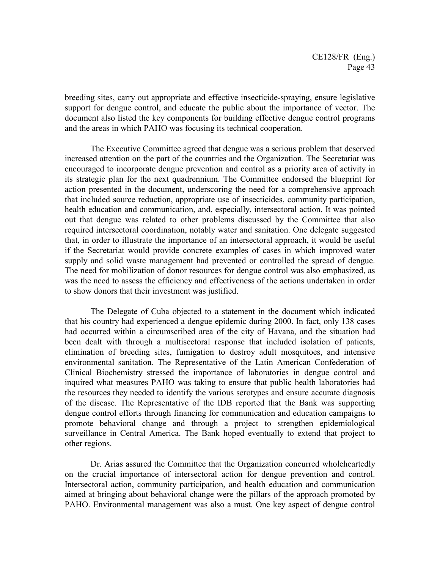breeding sites, carry out appropriate and effective insecticide-spraying, ensure legislative support for dengue control, and educate the public about the importance of vector. The document also listed the key components for building effective dengue control programs and the areas in which PAHO was focusing its technical cooperation.

The Executive Committee agreed that dengue was a serious problem that deserved increased attention on the part of the countries and the Organization. The Secretariat was encouraged to incorporate dengue prevention and control as a priority area of activity in its strategic plan for the next quadrennium. The Committee endorsed the blueprint for action presented in the document, underscoring the need for a comprehensive approach that included source reduction, appropriate use of insecticides, community participation, health education and communication, and, especially, intersectoral action. It was pointed out that dengue was related to other problems discussed by the Committee that also required intersectoral coordination, notably water and sanitation. One delegate suggested that, in order to illustrate the importance of an intersectoral approach, it would be useful if the Secretariat would provide concrete examples of cases in which improved water supply and solid waste management had prevented or controlled the spread of dengue. The need for mobilization of donor resources for dengue control was also emphasized, as was the need to assess the efficiency and effectiveness of the actions undertaken in order to show donors that their investment was justified.

The Delegate of Cuba objected to a statement in the document which indicated that his country had experienced a dengue epidemic during 2000. In fact, only 138 cases had occurred within a circumscribed area of the city of Havana, and the situation had been dealt with through a multisectoral response that included isolation of patients, elimination of breeding sites, fumigation to destroy adult mosquitoes, and intensive environmental sanitation. The Representative of the Latin American Confederation of Clinical Biochemistry stressed the importance of laboratories in dengue control and inquired what measures PAHO was taking to ensure that public health laboratories had the resources they needed to identify the various serotypes and ensure accurate diagnosis of the disease. The Representative of the IDB reported that the Bank was supporting dengue control efforts through financing for communication and education campaigns to promote behavioral change and through a project to strengthen epidemiological surveillance in Central America. The Bank hoped eventually to extend that project to other regions.

Dr. Arias assured the Committee that the Organization concurred wholeheartedly on the crucial importance of intersectoral action for dengue prevention and control. Intersectoral action, community participation, and health education and communication aimed at bringing about behavioral change were the pillars of the approach promoted by PAHO. Environmental management was also a must. One key aspect of dengue control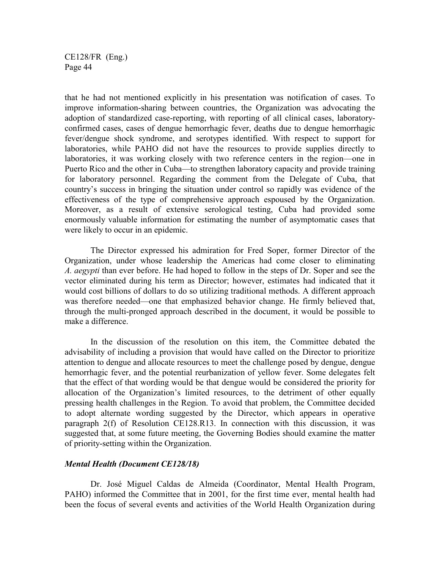that he had not mentioned explicitly in his presentation was notification of cases. To improve information-sharing between countries, the Organization was advocating the adoption of standardized case-reporting, with reporting of all clinical cases, laboratoryconfirmed cases, cases of dengue hemorrhagic fever, deaths due to dengue hemorrhagic fever/dengue shock syndrome, and serotypes identified. With respect to support for laboratories, while PAHO did not have the resources to provide supplies directly to laboratories, it was working closely with two reference centers in the region—one in Puerto Rico and the other in Cuba—to strengthen laboratory capacity and provide training for laboratory personnel. Regarding the comment from the Delegate of Cuba, that country's success in bringing the situation under control so rapidly was evidence of the effectiveness of the type of comprehensive approach espoused by the Organization. Moreover, as a result of extensive serological testing, Cuba had provided some enormously valuable information for estimating the number of asymptomatic cases that were likely to occur in an epidemic.

The Director expressed his admiration for Fred Soper, former Director of the Organization, under whose leadership the Americas had come closer to eliminating *A. aegypti* than ever before. He had hoped to follow in the steps of Dr. Soper and see the vector eliminated during his term as Director; however, estimates had indicated that it would cost billions of dollars to do so utilizing traditional methods. A different approach was therefore needed—one that emphasized behavior change. He firmly believed that, through the multi-pronged approach described in the document, it would be possible to make a difference.

In the discussion of the resolution on this item, the Committee debated the advisability of including a provision that would have called on the Director to prioritize attention to dengue and allocate resources to meet the challenge posed by dengue, dengue hemorrhagic fever, and the potential reurbanization of yellow fever. Some delegates felt that the effect of that wording would be that dengue would be considered the priority for allocation of the Organization's limited resources, to the detriment of other equally pressing health challenges in the Region. To avoid that problem, the Committee decided to adopt alternate wording suggested by the Director, which appears in operative paragraph 2(f) of Resolution CE128.R13. In connection with this discussion, it was suggested that, at some future meeting, the Governing Bodies should examine the matter of priority-setting within the Organization.

#### *Mental Health (Document CE128/18)*

Dr. José Miguel Caldas de Almeida (Coordinator, Mental Health Program, PAHO) informed the Committee that in 2001, for the first time ever, mental health had been the focus of several events and activities of the World Health Organization during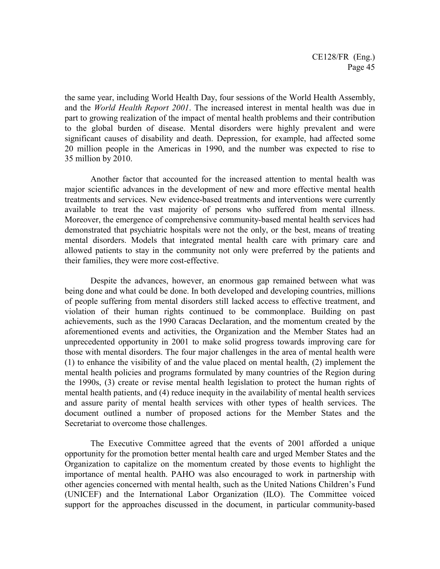the same year, including World Health Day, four sessions of the World Health Assembly, and the *World Health Report 2001*. The increased interest in mental health was due in part to growing realization of the impact of mental health problems and their contribution to the global burden of disease. Mental disorders were highly prevalent and were significant causes of disability and death. Depression, for example, had affected some 20 million people in the Americas in 1990, and the number was expected to rise to 35 million by 2010.

Another factor that accounted for the increased attention to mental health was major scientific advances in the development of new and more effective mental health treatments and services. New evidence-based treatments and interventions were currently available to treat the vast majority of persons who suffered from mental illness. Moreover, the emergence of comprehensive community-based mental health services had demonstrated that psychiatric hospitals were not the only, or the best, means of treating mental disorders. Models that integrated mental health care with primary care and allowed patients to stay in the community not only were preferred by the patients and their families, they were more cost-effective.

Despite the advances, however, an enormous gap remained between what was being done and what could be done. In both developed and developing countries, millions of people suffering from mental disorders still lacked access to effective treatment, and violation of their human rights continued to be commonplace. Building on past achievements, such as the 1990 Caracas Declaration, and the momentum created by the aforementioned events and activities, the Organization and the Member States had an unprecedented opportunity in 2001 to make solid progress towards improving care for those with mental disorders. The four major challenges in the area of mental health were (1) to enhance the visibility of and the value placed on mental health, (2) implement the mental health policies and programs formulated by many countries of the Region during the 1990s, (3) create or revise mental health legislation to protect the human rights of mental health patients, and (4) reduce inequity in the availability of mental health services and assure parity of mental health services with other types of health services. The document outlined a number of proposed actions for the Member States and the Secretariat to overcome those challenges.

The Executive Committee agreed that the events of 2001 afforded a unique opportunity for the promotion better mental health care and urged Member States and the Organization to capitalize on the momentum created by those events to highlight the importance of mental health. PAHO was also encouraged to work in partnership with other agencies concerned with mental health, such as the United Nations Children's Fund (UNICEF) and the International Labor Organization (ILO). The Committee voiced support for the approaches discussed in the document, in particular community-based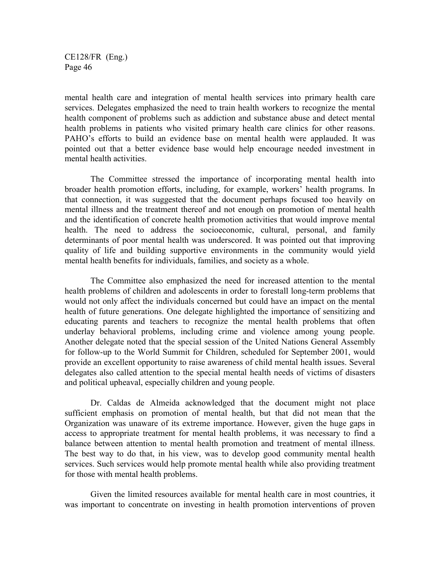mental health care and integration of mental health services into primary health care services. Delegates emphasized the need to train health workers to recognize the mental health component of problems such as addiction and substance abuse and detect mental health problems in patients who visited primary health care clinics for other reasons. PAHO's efforts to build an evidence base on mental health were applauded. It was pointed out that a better evidence base would help encourage needed investment in mental health activities.

The Committee stressed the importance of incorporating mental health into broader health promotion efforts, including, for example, workers' health programs. In that connection, it was suggested that the document perhaps focused too heavily on mental illness and the treatment thereof and not enough on promotion of mental health and the identification of concrete health promotion activities that would improve mental health. The need to address the socioeconomic, cultural, personal, and family determinants of poor mental health was underscored. It was pointed out that improving quality of life and building supportive environments in the community would yield mental health benefits for individuals, families, and society as a whole.

The Committee also emphasized the need for increased attention to the mental health problems of children and adolescents in order to forestall long-term problems that would not only affect the individuals concerned but could have an impact on the mental health of future generations. One delegate highlighted the importance of sensitizing and educating parents and teachers to recognize the mental health problems that often underlay behavioral problems, including crime and violence among young people. Another delegate noted that the special session of the United Nations General Assembly for follow-up to the World Summit for Children, scheduled for September 2001, would provide an excellent opportunity to raise awareness of child mental health issues. Several delegates also called attention to the special mental health needs of victims of disasters and political upheaval, especially children and young people.

Dr. Caldas de Almeida acknowledged that the document might not place sufficient emphasis on promotion of mental health, but that did not mean that the Organization was unaware of its extreme importance. However, given the huge gaps in access to appropriate treatment for mental health problems, it was necessary to find a balance between attention to mental health promotion and treatment of mental illness. The best way to do that, in his view, was to develop good community mental health services. Such services would help promote mental health while also providing treatment for those with mental health problems.

Given the limited resources available for mental health care in most countries, it was important to concentrate on investing in health promotion interventions of proven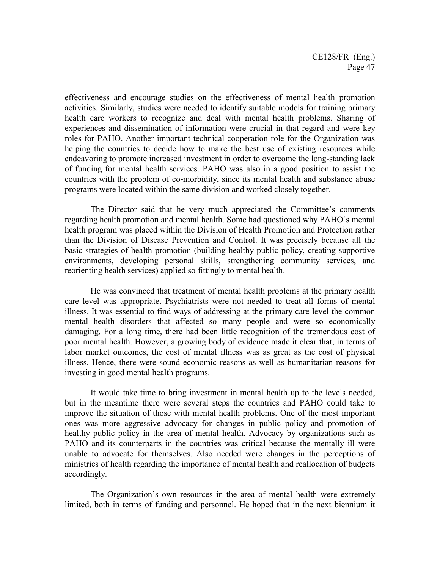effectiveness and encourage studies on the effectiveness of mental health promotion activities. Similarly, studies were needed to identify suitable models for training primary health care workers to recognize and deal with mental health problems. Sharing of experiences and dissemination of information were crucial in that regard and were key roles for PAHO. Another important technical cooperation role for the Organization was helping the countries to decide how to make the best use of existing resources while endeavoring to promote increased investment in order to overcome the long-standing lack of funding for mental health services. PAHO was also in a good position to assist the countries with the problem of co-morbidity, since its mental health and substance abuse programs were located within the same division and worked closely together.

The Director said that he very much appreciated the Committee's comments regarding health promotion and mental health. Some had questioned why PAHO's mental health program was placed within the Division of Health Promotion and Protection rather than the Division of Disease Prevention and Control. It was precisely because all the basic strategies of health promotion (building healthy public policy, creating supportive environments, developing personal skills, strengthening community services, and reorienting health services) applied so fittingly to mental health.

He was convinced that treatment of mental health problems at the primary health care level was appropriate. Psychiatrists were not needed to treat all forms of mental illness. It was essential to find ways of addressing at the primary care level the common mental health disorders that affected so many people and were so economically damaging. For a long time, there had been little recognition of the tremendous cost of poor mental health. However, a growing body of evidence made it clear that, in terms of labor market outcomes, the cost of mental illness was as great as the cost of physical illness. Hence, there were sound economic reasons as well as humanitarian reasons for investing in good mental health programs.

It would take time to bring investment in mental health up to the levels needed, but in the meantime there were several steps the countries and PAHO could take to improve the situation of those with mental health problems. One of the most important ones was more aggressive advocacy for changes in public policy and promotion of healthy public policy in the area of mental health. Advocacy by organizations such as PAHO and its counterparts in the countries was critical because the mentally ill were unable to advocate for themselves. Also needed were changes in the perceptions of ministries of health regarding the importance of mental health and reallocation of budgets accordingly.

The Organization's own resources in the area of mental health were extremely limited, both in terms of funding and personnel. He hoped that in the next biennium it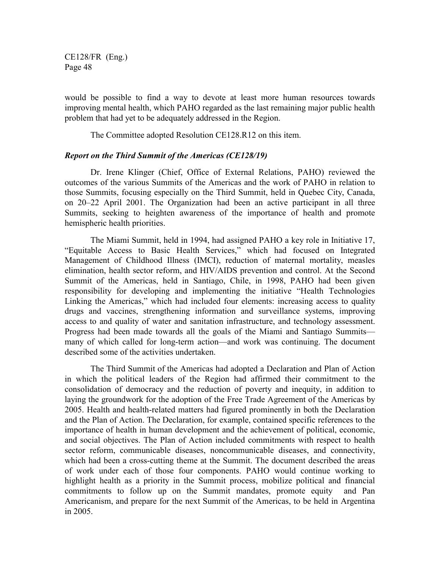would be possible to find a way to devote at least more human resources towards improving mental health, which PAHO regarded as the last remaining major public health problem that had yet to be adequately addressed in the Region.

The Committee adopted Resolution CE128.R12 on this item.

### *Report on the Third Summit of the Americas (CE128/19)*

Dr. Irene Klinger (Chief, Office of External Relations, PAHO) reviewed the outcomes of the various Summits of the Americas and the work of PAHO in relation to those Summits, focusing especially on the Third Summit, held in Quebec City, Canada, on 20–22 April 2001. The Organization had been an active participant in all three Summits, seeking to heighten awareness of the importance of health and promote hemispheric health priorities.

The Miami Summit, held in 1994, had assigned PAHO a key role in Initiative 17, "Equitable Access to Basic Health Services," which had focused on Integrated Management of Childhood Illness (IMCI), reduction of maternal mortality, measles elimination, health sector reform, and HIV/AIDS prevention and control. At the Second Summit of the Americas, held in Santiago, Chile, in 1998, PAHO had been given responsibility for developing and implementing the initiative "Health Technologies Linking the Americas," which had included four elements: increasing access to quality drugs and vaccines, strengthening information and surveillance systems, improving access to and quality of water and sanitation infrastructure, and technology assessment. Progress had been made towards all the goals of the Miami and Santiago Summits many of which called for long-term action—and work was continuing. The document described some of the activities undertaken.

The Third Summit of the Americas had adopted a Declaration and Plan of Action in which the political leaders of the Region had affirmed their commitment to the consolidation of democracy and the reduction of poverty and inequity, in addition to laying the groundwork for the adoption of the Free Trade Agreement of the Americas by 2005. Health and health-related matters had figured prominently in both the Declaration and the Plan of Action. The Declaration, for example, contained specific references to the importance of health in human development and the achievement of political, economic, and social objectives. The Plan of Action included commitments with respect to health sector reform, communicable diseases, noncommunicable diseases, and connectivity, which had been a cross-cutting theme at the Summit. The document described the areas of work under each of those four components. PAHO would continue working to highlight health as a priority in the Summit process, mobilize political and financial commitments to follow up on the Summit mandates, promote equity and Pan Americanism, and prepare for the next Summit of the Americas, to be held in Argentina in 2005.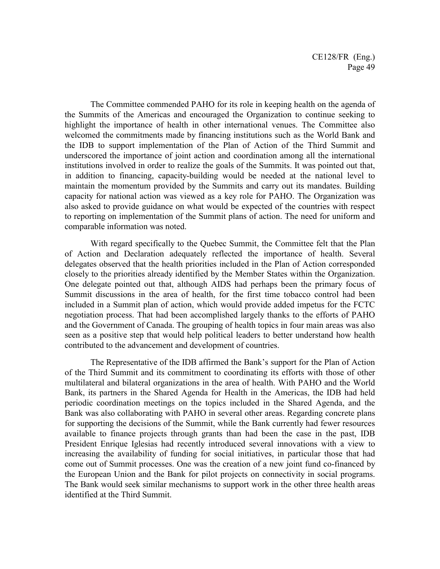The Committee commended PAHO for its role in keeping health on the agenda of the Summits of the Americas and encouraged the Organization to continue seeking to highlight the importance of health in other international venues. The Committee also welcomed the commitments made by financing institutions such as the World Bank and the IDB to support implementation of the Plan of Action of the Third Summit and underscored the importance of joint action and coordination among all the international institutions involved in order to realize the goals of the Summits. It was pointed out that, in addition to financing, capacity-building would be needed at the national level to maintain the momentum provided by the Summits and carry out its mandates. Building capacity for national action was viewed as a key role for PAHO. The Organization was also asked to provide guidance on what would be expected of the countries with respect to reporting on implementation of the Summit plans of action. The need for uniform and comparable information was noted.

With regard specifically to the Quebec Summit, the Committee felt that the Plan of Action and Declaration adequately reflected the importance of health. Several delegates observed that the health priorities included in the Plan of Action corresponded closely to the priorities already identified by the Member States within the Organization. One delegate pointed out that, although AIDS had perhaps been the primary focus of Summit discussions in the area of health, for the first time tobacco control had been included in a Summit plan of action, which would provide added impetus for the FCTC negotiation process. That had been accomplished largely thanks to the efforts of PAHO and the Government of Canada. The grouping of health topics in four main areas was also seen as a positive step that would help political leaders to better understand how health contributed to the advancement and development of countries.

The Representative of the IDB affirmed the Bank's support for the Plan of Action of the Third Summit and its commitment to coordinating its efforts with those of other multilateral and bilateral organizations in the area of health. With PAHO and the World Bank, its partners in the Shared Agenda for Health in the Americas, the IDB had held periodic coordination meetings on the topics included in the Shared Agenda, and the Bank was also collaborating with PAHO in several other areas. Regarding concrete plans for supporting the decisions of the Summit, while the Bank currently had fewer resources available to finance projects through grants than had been the case in the past, IDB President Enrique Iglesias had recently introduced several innovations with a view to increasing the availability of funding for social initiatives, in particular those that had come out of Summit processes. One was the creation of a new joint fund co-financed by the European Union and the Bank for pilot projects on connectivity in social programs. The Bank would seek similar mechanisms to support work in the other three health areas identified at the Third Summit.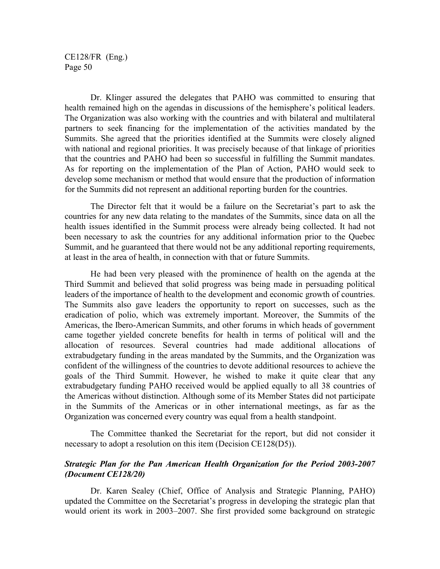Dr. Klinger assured the delegates that PAHO was committed to ensuring that health remained high on the agendas in discussions of the hemisphere's political leaders. The Organization was also working with the countries and with bilateral and multilateral partners to seek financing for the implementation of the activities mandated by the Summits. She agreed that the priorities identified at the Summits were closely aligned with national and regional priorities. It was precisely because of that linkage of priorities that the countries and PAHO had been so successful in fulfilling the Summit mandates. As for reporting on the implementation of the Plan of Action, PAHO would seek to develop some mechanism or method that would ensure that the production of information for the Summits did not represent an additional reporting burden for the countries.

The Director felt that it would be a failure on the Secretariat's part to ask the countries for any new data relating to the mandates of the Summits, since data on all the health issues identified in the Summit process were already being collected. It had not been necessary to ask the countries for any additional information prior to the Quebec Summit, and he guaranteed that there would not be any additional reporting requirements, at least in the area of health, in connection with that or future Summits.

He had been very pleased with the prominence of health on the agenda at the Third Summit and believed that solid progress was being made in persuading political leaders of the importance of health to the development and economic growth of countries. The Summits also gave leaders the opportunity to report on successes, such as the eradication of polio, which was extremely important. Moreover, the Summits of the Americas, the Ibero-American Summits, and other forums in which heads of government came together yielded concrete benefits for health in terms of political will and the allocation of resources. Several countries had made additional allocations of extrabudgetary funding in the areas mandated by the Summits, and the Organization was confident of the willingness of the countries to devote additional resources to achieve the goals of the Third Summit. However, he wished to make it quite clear that any extrabudgetary funding PAHO received would be applied equally to all 38 countries of the Americas without distinction. Although some of its Member States did not participate in the Summits of the Americas or in other international meetings, as far as the Organization was concerned every country was equal from a health standpoint.

The Committee thanked the Secretariat for the report, but did not consider it necessary to adopt a resolution on this item (Decision CE128(D5)).

# *Strategic Plan for the Pan American Health Organization for the Period 2003-2007 (Document CE128/20)*

Dr. Karen Sealey (Chief, Office of Analysis and Strategic Planning, PAHO) updated the Committee on the Secretariat's progress in developing the strategic plan that would orient its work in 2003–2007. She first provided some background on strategic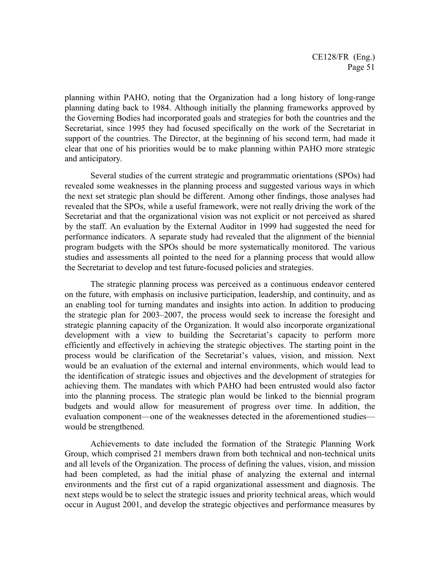planning within PAHO, noting that the Organization had a long history of long-range planning dating back to 1984. Although initially the planning frameworks approved by the Governing Bodies had incorporated goals and strategies for both the countries and the Secretariat, since 1995 they had focused specifically on the work of the Secretariat in support of the countries. The Director, at the beginning of his second term, had made it clear that one of his priorities would be to make planning within PAHO more strategic and anticipatory.

Several studies of the current strategic and programmatic orientations (SPOs) had revealed some weaknesses in the planning process and suggested various ways in which the next set strategic plan should be different. Among other findings, those analyses had revealed that the SPOs, while a useful framework, were not really driving the work of the Secretariat and that the organizational vision was not explicit or not perceived as shared by the staff. An evaluation by the External Auditor in 1999 had suggested the need for performance indicators. A separate study had revealed that the alignment of the biennial program budgets with the SPOs should be more systematically monitored. The various studies and assessments all pointed to the need for a planning process that would allow the Secretariat to develop and test future-focused policies and strategies.

The strategic planning process was perceived as a continuous endeavor centered on the future, with emphasis on inclusive participation, leadership, and continuity, and as an enabling tool for turning mandates and insights into action. In addition to producing the strategic plan for 2003–2007, the process would seek to increase the foresight and strategic planning capacity of the Organization. It would also incorporate organizational development with a view to building the Secretariat's capacity to perform more efficiently and effectively in achieving the strategic objectives. The starting point in the process would be clarification of the Secretariat's values, vision, and mission. Next would be an evaluation of the external and internal environments, which would lead to the identification of strategic issues and objectives and the development of strategies for achieving them. The mandates with which PAHO had been entrusted would also factor into the planning process. The strategic plan would be linked to the biennial program budgets and would allow for measurement of progress over time. In addition, the evaluation component—one of the weaknesses detected in the aforementioned studies would be strengthened.

Achievements to date included the formation of the Strategic Planning Work Group, which comprised 21 members drawn from both technical and non-technical units and all levels of the Organization. The process of defining the values, vision, and mission had been completed, as had the initial phase of analyzing the external and internal environments and the first cut of a rapid organizational assessment and diagnosis. The next steps would be to select the strategic issues and priority technical areas, which would occur in August 2001, and develop the strategic objectives and performance measures by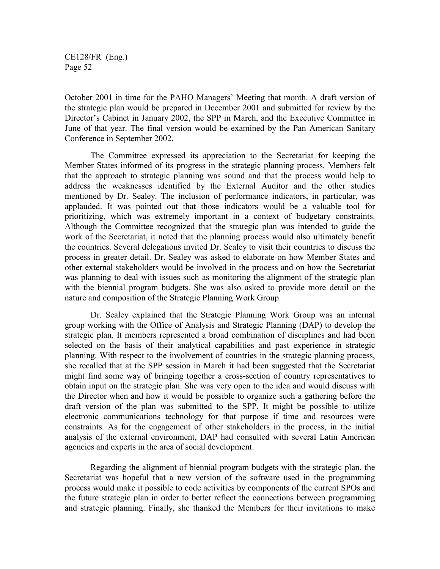October 2001 in time for the PAHO Managers' Meeting that month. A draft version of the strategic plan would be prepared in December 2001 and submitted for review by the Director's Cabinet in January 2002, the SPP in March, and the Executive Committee in June of that year. The final version would be examined by the Pan American Sanitary Conference in September 2002.

The Committee expressed its appreciation to the Secretariat for keeping the Member States informed of its progress in the strategic planning process. Members felt that the approach to strategic planning was sound and that the process would help to address the weaknesses identified by the External Auditor and the other studies mentioned by Dr. Sealey. The inclusion of performance indicators, in particular, was applauded. It was pointed out that those indicators would be a valuable tool for prioritizing, which was extremely important in a context of budgetary constraints. Although the Committee recognized that the strategic plan was intended to guide the work of the Secretariat, it noted that the planning process would also ultimately benefit the countries. Several delegations invited Dr. Sealey to visit their countries to discuss the process in greater detail. Dr. Sealey was asked to elaborate on how Member States and other external stakeholders would be involved in the process and on how the Secretariat was planning to deal with issues such as monitoring the alignment of the strategic plan with the biennial program budgets. She was also asked to provide more detail on the nature and composition of the Strategic Planning Work Group.

Dr. Sealey explained that the Strategic Planning Work Group was an internal group working with the Office of Analysis and Strategic Planning (DAP) to develop the strategic plan. It members represented a broad combination of disciplines and had been selected on the basis of their analytical capabilities and past experience in strategic planning. With respect to the involvement of countries in the strategic planning process, she recalled that at the SPP session in March it had been suggested that the Secretariat might find some way of bringing together a cross-section of country representatives to obtain input on the strategic plan. She was very open to the idea and would discuss with the Director when and how it would be possible to organize such a gathering before the draft version of the plan was submitted to the SPP. It might be possible to utilize electronic communications technology for that purpose if time and resources were constraints. As for the engagement of other stakeholders in the process, in the initial analysis of the external environment, DAP had consulted with several Latin American agencies and experts in the area of social development.

Regarding the alignment of biennial program budgets with the strategic plan, the Secretariat was hopeful that a new version of the software used in the programming process would make it possible to code activities by components of the current SPOs and the future strategic plan in order to better reflect the connections between programming and strategic planning. Finally, she thanked the Members for their invitations to make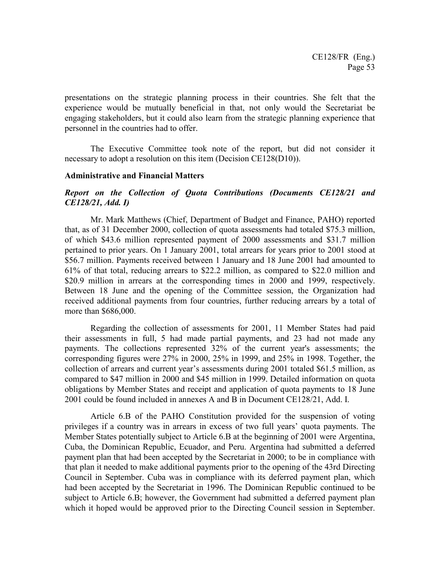presentations on the strategic planning process in their countries. She felt that the experience would be mutually beneficial in that, not only would the Secretariat be engaging stakeholders, but it could also learn from the strategic planning experience that personnel in the countries had to offer.

The Executive Committee took note of the report, but did not consider it necessary to adopt a resolution on this item (Decision CE128(D10)).

#### **Administrative and Financial Matters**

## *Report on the Collection of Quota Contributions (Documents CE128/21 and CE128/21, Add. I)*

Mr. Mark Matthews (Chief, Department of Budget and Finance, PAHO) reported that, as of 31 December 2000, collection of quota assessments had totaled \$75.3 million, of which \$43.6 million represented payment of 2000 assessments and \$31.7 million pertained to prior years. On 1 January 2001, total arrears for years prior to 2001 stood at \$56.7 million. Payments received between 1 January and 18 June 2001 had amounted to 61% of that total, reducing arrears to \$22.2 million, as compared to \$22.0 million and \$20.9 million in arrears at the corresponding times in 2000 and 1999, respectively. Between 18 June and the opening of the Committee session, the Organization had received additional payments from four countries, further reducing arrears by a total of more than \$686,000.

Regarding the collection of assessments for 2001, 11 Member States had paid their assessments in full, 5 had made partial payments, and 23 had not made any payments. The collections represented 32% of the current year's assessments; the corresponding figures were 27% in 2000, 25% in 1999, and 25% in 1998. Together, the collection of arrears and current year's assessments during 2001 totaled \$61.5 million, as compared to \$47 million in 2000 and \$45 million in 1999. Detailed information on quota obligations by Member States and receipt and application of quota payments to 18 June 2001 could be found included in annexes A and B in Document CE128/21, Add. I.

Article 6.B of the PAHO Constitution provided for the suspension of voting privileges if a country was in arrears in excess of two full years' quota payments. The Member States potentially subject to Article 6.B at the beginning of 2001 were Argentina, Cuba, the Dominican Republic, Ecuador, and Peru. Argentina had submitted a deferred payment plan that had been accepted by the Secretariat in 2000; to be in compliance with that plan it needed to make additional payments prior to the opening of the 43rd Directing Council in September. Cuba was in compliance with its deferred payment plan, which had been accepted by the Secretariat in 1996. The Dominican Republic continued to be subject to Article 6.B; however, the Government had submitted a deferred payment plan which it hoped would be approved prior to the Directing Council session in September.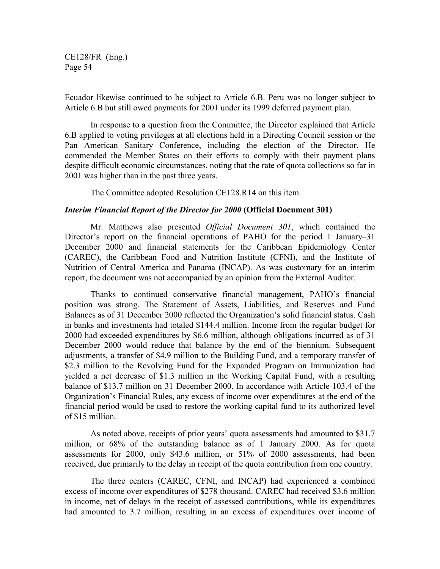Ecuador likewise continued to be subject to Article 6.B. Peru was no longer subject to Article 6.B but still owed payments for 2001 under its 1999 deferred payment plan.

In response to a question from the Committee, the Director explained that Article 6.B applied to voting privileges at all elections held in a Directing Council session or the Pan American Sanitary Conference, including the election of the Director. He commended the Member States on their efforts to comply with their payment plans despite difficult economic circumstances, noting that the rate of quota collections so far in 2001 was higher than in the past three years.

The Committee adopted Resolution CE128.R14 on this item.

### *Interim Financial Report of the Director for 2000* **(Official Document 301)**

Mr. Matthews also presented *Official Document 301*, which contained the Director's report on the financial operations of PAHO for the period 1 January–31 December 2000 and financial statements for the Caribbean Epidemiology Center (CAREC), the Caribbean Food and Nutrition Institute (CFNI), and the Institute of Nutrition of Central America and Panama (INCAP). As was customary for an interim report, the document was not accompanied by an opinion from the External Auditor.

Thanks to continued conservative financial management, PAHO's financial position was strong. The Statement of Assets, Liabilities, and Reserves and Fund Balances as of 31 December 2000 reflected the Organization's solid financial status. Cash in banks and investments had totaled \$144.4 million. Income from the regular budget for 2000 had exceeded expenditures by \$6.6 million, although obligations incurred as of 31 December 2000 would reduce that balance by the end of the biennium. Subsequent adjustments, a transfer of \$4.9 million to the Building Fund, and a temporary transfer of \$2.3 million to the Revolving Fund for the Expanded Program on Immunization had yielded a net decrease of \$1.3 million in the Working Capital Fund, with a resulting balance of \$13.7 million on 31 December 2000. In accordance with Article 103.4 of the Organization's Financial Rules, any excess of income over expenditures at the end of the financial period would be used to restore the working capital fund to its authorized level of \$15 million.

As noted above, receipts of prior years' quota assessments had amounted to \$31.7 million, or 68% of the outstanding balance as of 1 January 2000. As for quota assessments for 2000, only \$43.6 million, or 51% of 2000 assessments, had been received, due primarily to the delay in receipt of the quota contribution from one country.

The three centers (CAREC, CFNI, and INCAP) had experienced a combined excess of income over expenditures of \$278 thousand. CAREC had received \$3.6 million in income, net of delays in the receipt of assessed contributions, while its expenditures had amounted to 3.7 million, resulting in an excess of expenditures over income of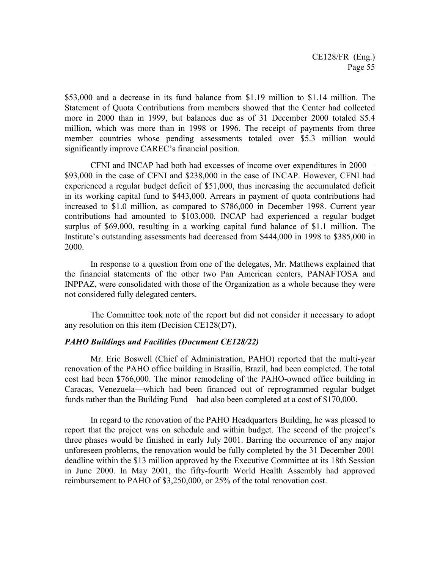\$53,000 and a decrease in its fund balance from \$1.19 million to \$1.14 million. The Statement of Quota Contributions from members showed that the Center had collected more in 2000 than in 1999, but balances due as of 31 December 2000 totaled \$5.4 million, which was more than in 1998 or 1996. The receipt of payments from three member countries whose pending assessments totaled over \$5.3 million would significantly improve CAREC's financial position.

CFNI and INCAP had both had excesses of income over expenditures in 2000— \$93,000 in the case of CFNI and \$238,000 in the case of INCAP. However, CFNI had experienced a regular budget deficit of \$51,000, thus increasing the accumulated deficit in its working capital fund to \$443,000. Arrears in payment of quota contributions had increased to \$1.0 million, as compared to \$786,000 in December 1998. Current year contributions had amounted to \$103,000. INCAP had experienced a regular budget surplus of \$69,000, resulting in a working capital fund balance of \$1.1 million. The Institute's outstanding assessments had decreased from \$444,000 in 1998 to \$385,000 in 2000.

In response to a question from one of the delegates, Mr. Matthews explained that the financial statements of the other two Pan American centers, PANAFTOSA and INPPAZ, were consolidated with those of the Organization as a whole because they were not considered fully delegated centers.

The Committee took note of the report but did not consider it necessary to adopt any resolution on this item (Decision CE128(D7).

## *PAHO Buildings and Facilities (Document CE128/22)*

Mr. Eric Boswell (Chief of Administration, PAHO) reported that the multi-year renovation of the PAHO office building in Brasília, Brazil, had been completed. The total cost had been \$766,000. The minor remodeling of the PAHO-owned office building in Caracas, Venezuela—which had been financed out of reprogrammed regular budget funds rather than the Building Fund—had also been completed at a cost of \$170,000.

In regard to the renovation of the PAHO Headquarters Building, he was pleased to report that the project was on schedule and within budget. The second of the project's three phases would be finished in early July 2001. Barring the occurrence of any major unforeseen problems, the renovation would be fully completed by the 31 December 2001 deadline within the \$13 million approved by the Executive Committee at its 18th Session in June 2000. In May 2001, the fifty-fourth World Health Assembly had approved reimbursement to PAHO of \$3,250,000, or 25% of the total renovation cost.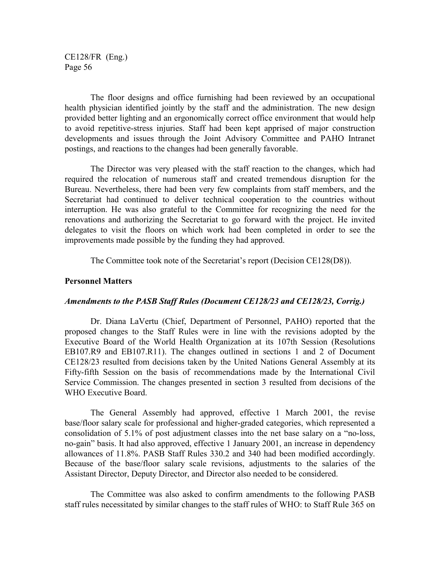The floor designs and office furnishing had been reviewed by an occupational health physician identified jointly by the staff and the administration. The new design provided better lighting and an ergonomically correct office environment that would help to avoid repetitive-stress injuries. Staff had been kept apprised of major construction developments and issues through the Joint Advisory Committee and PAHO Intranet postings, and reactions to the changes had been generally favorable.

The Director was very pleased with the staff reaction to the changes, which had required the relocation of numerous staff and created tremendous disruption for the Bureau. Nevertheless, there had been very few complaints from staff members, and the Secretariat had continued to deliver technical cooperation to the countries without interruption. He was also grateful to the Committee for recognizing the need for the renovations and authorizing the Secretariat to go forward with the project. He invited delegates to visit the floors on which work had been completed in order to see the improvements made possible by the funding they had approved.

The Committee took note of the Secretariat's report (Decision CE128(D8)).

#### **Personnel Matters**

### *Amendments to the PASB Staff Rules (Document CE128/23 and CE128/23, Corrig.)*

Dr. Diana LaVertu (Chief, Department of Personnel, PAHO) reported that the proposed changes to the Staff Rules were in line with the revisions adopted by the Executive Board of the World Health Organization at its 107th Session (Resolutions EB107.R9 and EB107.R11). The changes outlined in sections 1 and 2 of Document CE128/23 resulted from decisions taken by the United Nations General Assembly at its Fifty-fifth Session on the basis of recommendations made by the International Civil Service Commission. The changes presented in section 3 resulted from decisions of the WHO Executive Board.

The General Assembly had approved, effective 1 March 2001, the revise base/floor salary scale for professional and higher-graded categories, which represented a consolidation of 5.1% of post adjustment classes into the net base salary on a "no-loss, no-gain" basis. It had also approved, effective 1 January 2001, an increase in dependency allowances of 11.8%. PASB Staff Rules 330.2 and 340 had been modified accordingly. Because of the base/floor salary scale revisions, adjustments to the salaries of the Assistant Director, Deputy Director, and Director also needed to be considered.

The Committee was also asked to confirm amendments to the following PASB staff rules necessitated by similar changes to the staff rules of WHO: to Staff Rule 365 on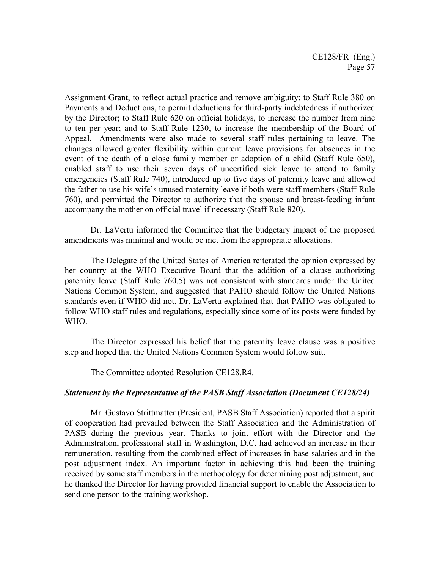Assignment Grant, to reflect actual practice and remove ambiguity; to Staff Rule 380 on Payments and Deductions, to permit deductions for third-party indebtedness if authorized by the Director; to Staff Rule 620 on official holidays, to increase the number from nine to ten per year; and to Staff Rule 1230, to increase the membership of the Board of Appeal. Amendments were also made to several staff rules pertaining to leave. The changes allowed greater flexibility within current leave provisions for absences in the event of the death of a close family member or adoption of a child (Staff Rule 650), enabled staff to use their seven days of uncertified sick leave to attend to family emergencies (Staff Rule 740), introduced up to five days of paternity leave and allowed the father to use his wife's unused maternity leave if both were staff members (Staff Rule 760), and permitted the Director to authorize that the spouse and breast-feeding infant accompany the mother on official travel if necessary (Staff Rule 820).

Dr. LaVertu informed the Committee that the budgetary impact of the proposed amendments was minimal and would be met from the appropriate allocations.

The Delegate of the United States of America reiterated the opinion expressed by her country at the WHO Executive Board that the addition of a clause authorizing paternity leave (Staff Rule 760.5) was not consistent with standards under the United Nations Common System, and suggested that PAHO should follow the United Nations standards even if WHO did not. Dr. LaVertu explained that that PAHO was obligated to follow WHO staff rules and regulations, especially since some of its posts were funded by WHO.

The Director expressed his belief that the paternity leave clause was a positive step and hoped that the United Nations Common System would follow suit.

The Committee adopted Resolution CE128.R4.

## *Statement by the Representative of the PASB Staff Association (Document CE128/24)*

Mr. Gustavo Strittmatter (President, PASB Staff Association) reported that a spirit of cooperation had prevailed between the Staff Association and the Administration of PASB during the previous year. Thanks to joint effort with the Director and the Administration, professional staff in Washington, D.C. had achieved an increase in their remuneration, resulting from the combined effect of increases in base salaries and in the post adjustment index. An important factor in achieving this had been the training received by some staff members in the methodology for determining post adjustment, and he thanked the Director for having provided financial support to enable the Association to send one person to the training workshop.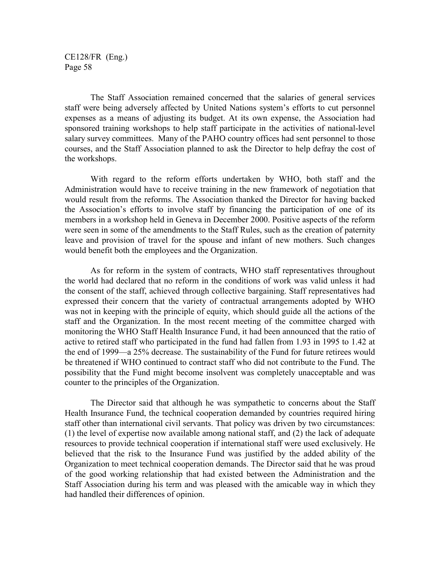The Staff Association remained concerned that the salaries of general services staff were being adversely affected by United Nations system's efforts to cut personnel expenses as a means of adjusting its budget. At its own expense, the Association had sponsored training workshops to help staff participate in the activities of national-level salary survey committees. Many of the PAHO country offices had sent personnel to those courses, and the Staff Association planned to ask the Director to help defray the cost of the workshops.

With regard to the reform efforts undertaken by WHO, both staff and the Administration would have to receive training in the new framework of negotiation that would result from the reforms. The Association thanked the Director for having backed the Association's efforts to involve staff by financing the participation of one of its members in a workshop held in Geneva in December 2000. Positive aspects of the reform were seen in some of the amendments to the Staff Rules, such as the creation of paternity leave and provision of travel for the spouse and infant of new mothers. Such changes would benefit both the employees and the Organization.

As for reform in the system of contracts, WHO staff representatives throughout the world had declared that no reform in the conditions of work was valid unless it had the consent of the staff, achieved through collective bargaining. Staff representatives had expressed their concern that the variety of contractual arrangements adopted by WHO was not in keeping with the principle of equity, which should guide all the actions of the staff and the Organization. In the most recent meeting of the committee charged with monitoring the WHO Staff Health Insurance Fund, it had been announced that the ratio of active to retired staff who participated in the fund had fallen from 1.93 in 1995 to 1.42 at the end of 1999—a 25% decrease. The sustainability of the Fund for future retirees would be threatened if WHO continued to contract staff who did not contribute to the Fund. The possibility that the Fund might become insolvent was completely unacceptable and was counter to the principles of the Organization.

The Director said that although he was sympathetic to concerns about the Staff Health Insurance Fund, the technical cooperation demanded by countries required hiring staff other than international civil servants. That policy was driven by two circumstances: (1) the level of expertise now available among national staff, and (2) the lack of adequate resources to provide technical cooperation if international staff were used exclusively. He believed that the risk to the Insurance Fund was justified by the added ability of the Organization to meet technical cooperation demands. The Director said that he was proud of the good working relationship that had existed between the Administration and the Staff Association during his term and was pleased with the amicable way in which they had handled their differences of opinion.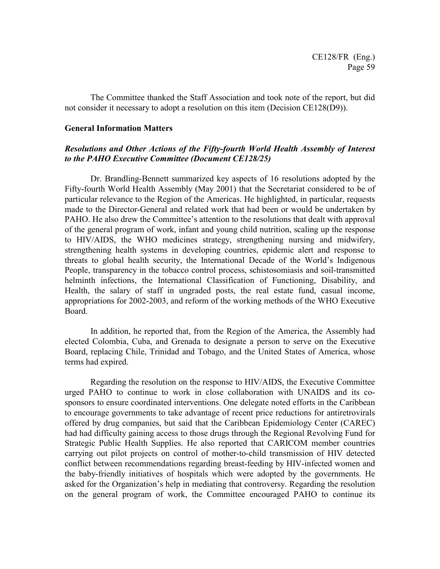The Committee thanked the Staff Association and took note of the report, but did not consider it necessary to adopt a resolution on this item (Decision CE128(D9)).

#### **General Information Matters**

## *Resolutions and Other Actions of the Fifty-fourth World Health Assembly of Interest to the PAHO Executive Committee (Document CE128/25)*

Dr. Brandling-Bennett summarized key aspects of 16 resolutions adopted by the Fifty-fourth World Health Assembly (May 2001) that the Secretariat considered to be of particular relevance to the Region of the Americas. He highlighted, in particular, requests made to the Director-General and related work that had been or would be undertaken by PAHO. He also drew the Committee's attention to the resolutions that dealt with approval of the general program of work, infant and young child nutrition, scaling up the response to HIV/AIDS, the WHO medicines strategy, strengthening nursing and midwifery, strengthening health systems in developing countries, epidemic alert and response to threats to global health security, the International Decade of the World's Indigenous People, transparency in the tobacco control process, schistosomiasis and soil-transmitted helminth infections, the International Classification of Functioning, Disability, and Health, the salary of staff in ungraded posts, the real estate fund, casual income, appropriations for 2002-2003, and reform of the working methods of the WHO Executive Board.

In addition, he reported that, from the Region of the America, the Assembly had elected Colombia, Cuba, and Grenada to designate a person to serve on the Executive Board, replacing Chile, Trinidad and Tobago, and the United States of America, whose terms had expired.

Regarding the resolution on the response to HIV/AIDS, the Executive Committee urged PAHO to continue to work in close collaboration with UNAIDS and its cosponsors to ensure coordinated interventions. One delegate noted efforts in the Caribbean to encourage governments to take advantage of recent price reductions for antiretrovirals offered by drug companies, but said that the Caribbean Epidemiology Center (CAREC) had had difficulty gaining access to those drugs through the Regional Revolving Fund for Strategic Public Health Supplies. He also reported that CARICOM member countries carrying out pilot projects on control of mother-to-child transmission of HIV detected conflict between recommendations regarding breast-feeding by HIV-infected women and the baby-friendly initiatives of hospitals which were adopted by the governments. He asked for the Organization's help in mediating that controversy. Regarding the resolution on the general program of work, the Committee encouraged PAHO to continue its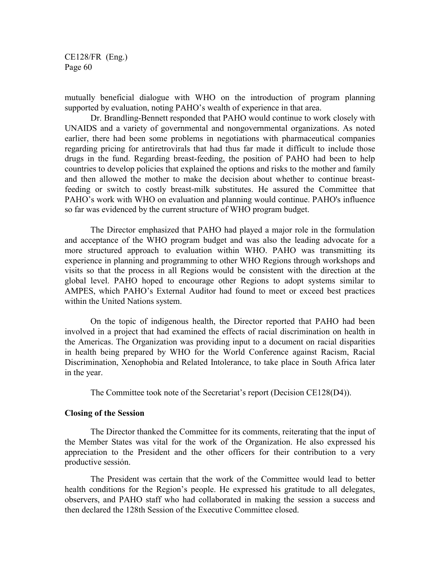mutually beneficial dialogue with WHO on the introduction of program planning supported by evaluation, noting PAHO's wealth of experience in that area.

Dr. Brandling-Bennett responded that PAHO would continue to work closely with UNAIDS and a variety of governmental and nongovernmental organizations. As noted earlier, there had been some problems in negotiations with pharmaceutical companies regarding pricing for antiretrovirals that had thus far made it difficult to include those drugs in the fund. Regarding breast-feeding, the position of PAHO had been to help countries to develop policies that explained the options and risks to the mother and family and then allowed the mother to make the decision about whether to continue breastfeeding or switch to costly breast-milk substitutes. He assured the Committee that PAHO's work with WHO on evaluation and planning would continue. PAHO's influence so far was evidenced by the current structure of WHO program budget.

The Director emphasized that PAHO had played a major role in the formulation and acceptance of the WHO program budget and was also the leading advocate for a more structured approach to evaluation within WHO. PAHO was transmitting its experience in planning and programming to other WHO Regions through workshops and visits so that the process in all Regions would be consistent with the direction at the global level. PAHO hoped to encourage other Regions to adopt systems similar to AMPES, which PAHO's External Auditor had found to meet or exceed best practices within the United Nations system.

On the topic of indigenous health, the Director reported that PAHO had been involved in a project that had examined the effects of racial discrimination on health in the Americas. The Organization was providing input to a document on racial disparities in health being prepared by WHO for the World Conference against Racism, Racial Discrimination, Xenophobia and Related Intolerance, to take place in South Africa later in the year.

The Committee took note of the Secretariat's report (Decision CE128(D4)).

#### **Closing of the Session**

The Director thanked the Committee for its comments, reiterating that the input of the Member States was vital for the work of the Organization. He also expressed his appreciation to the President and the other officers for their contribution to a very productive sessión.

The President was certain that the work of the Committee would lead to better health conditions for the Region's people. He expressed his gratitude to all delegates, observers, and PAHO staff who had collaborated in making the session a success and then declared the 128th Session of the Executive Committee closed.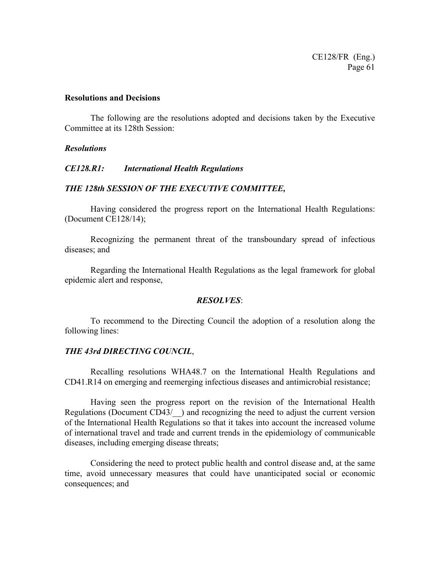#### **Resolutions and Decisions**

The following are the resolutions adopted and decisions taken by the Executive Committee at its 128th Session:

#### *Resolutions*

#### *CE128.R1: International Health Regulations*

#### *THE 128th SESSION OF THE EXECUTIVE COMMITTEE,*

Having considered the progress report on the International Health Regulations: (Document CE128/14);

Recognizing the permanent threat of the transboundary spread of infectious diseases; and

Regarding the International Health Regulations as the legal framework for global epidemic alert and response,

### *RESOLVES*:

To recommend to the Directing Council the adoption of a resolution along the following lines:

#### *THE 43rd DIRECTING COUNCIL*,

Recalling resolutions WHA48.7 on the International Health Regulations and CD41.R14 on emerging and reemerging infectious diseases and antimicrobial resistance;

Having seen the progress report on the revision of the International Health Regulations (Document CD43/) and recognizing the need to adjust the current version of the International Health Regulations so that it takes into account the increased volume of international travel and trade and current trends in the epidemiology of communicable diseases, including emerging disease threats;

Considering the need to protect public health and control disease and, at the same time, avoid unnecessary measures that could have unanticipated social or economic consequences; and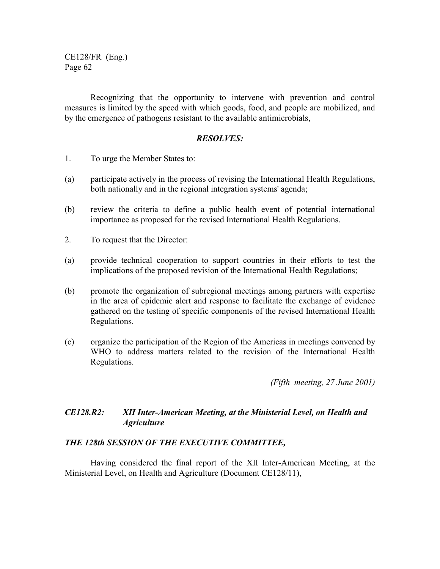Recognizing that the opportunity to intervene with prevention and control measures is limited by the speed with which goods, food, and people are mobilized, and by the emergence of pathogens resistant to the available antimicrobials,

### *RESOLVES:*

- 1. To urge the Member States to:
- (a) participate actively in the process of revising the International Health Regulations, both nationally and in the regional integration systems' agenda;
- (b) review the criteria to define a public health event of potential international importance as proposed for the revised International Health Regulations.
- 2. To request that the Director:
- (a) provide technical cooperation to support countries in their efforts to test the implications of the proposed revision of the International Health Regulations;
- (b) promote the organization of subregional meetings among partners with expertise in the area of epidemic alert and response to facilitate the exchange of evidence gathered on the testing of specific components of the revised International Health Regulations.
- (c) organize the participation of the Region of the Americas in meetings convened by WHO to address matters related to the revision of the International Health Regulations.

*(Fifth meeting, 27 June 2001)*

# *CE128.R2: XII Inter-American Meeting, at the Ministerial Level, on Health and Agriculture*

## *THE 128th SESSION OF THE EXECUTIVE COMMITTEE,*

Having considered the final report of the XII Inter-American Meeting, at the Ministerial Level, on Health and Agriculture (Document CE128/11),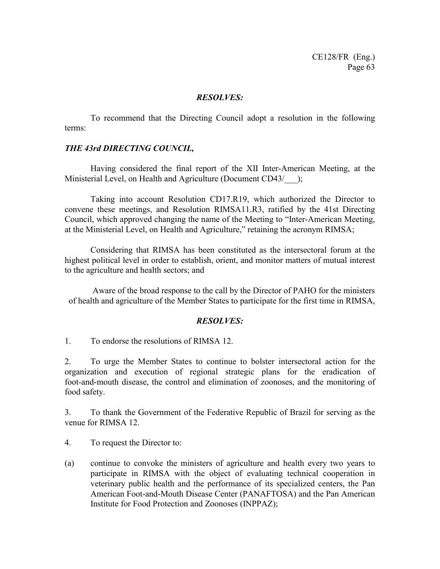### *RESOLVES:*

To recommend that the Directing Council adopt a resolution in the following terms:

## *THE 43rd DIRECTING COUNCIL,*

Having considered the final report of the XII Inter-American Meeting, at the Ministerial Level, on Health and Agriculture (Document CD43/ );

Taking into account Resolution CD17.R19, which authorized the Director to convene these meetings, and Resolution RIMSA11.R3, ratified by the 41st Directing Council, which approved changing the name of the Meeting to "Inter-American Meeting, at the Ministerial Level, on Health and Agriculture," retaining the acronym RIMSA;

Considering that RIMSA has been constituted as the intersectoral forum at the highest political level in order to establish, orient, and monitor matters of mutual interest to the agriculture and health sectors; and

Aware of the broad response to the call by the Director of PAHO for the ministers of health and agriculture of the Member States to participate for the first time in RIMSA,

## *RESOLVES:*

1. To endorse the resolutions of RIMSA 12.

2. To urge the Member States to continue to bolster intersectoral action for the organization and execution of regional strategic plans for the eradication of foot-and-mouth disease, the control and elimination of zoonoses, and the monitoring of food safety.

3. To thank the Government of the Federative Republic of Brazil for serving as the venue for RIMSA 12.

4. To request the Director to:

(a) continue to convoke the ministers of agriculture and health every two years to participate in RIMSA with the object of evaluating technical cooperation in veterinary public health and the performance of its specialized centers, the Pan American Foot-and-Mouth Disease Center (PANAFTOSA) and the Pan American Institute for Food Protection and Zoonoses (INPPAZ);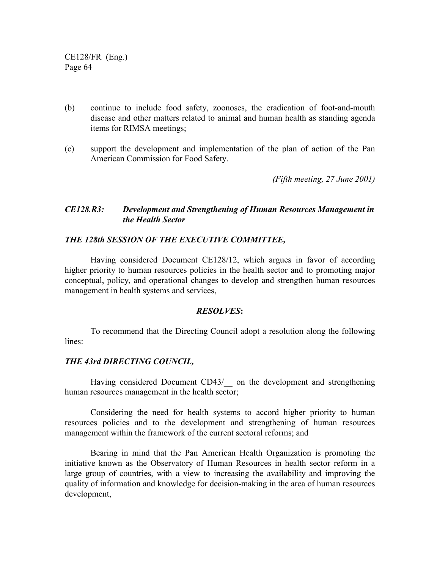- (b) continue to include food safety, zoonoses, the eradication of foot-and-mouth disease and other matters related to animal and human health as standing agenda items for RIMSA meetings;
- (c) support the development and implementation of the plan of action of the Pan American Commission for Food Safety.

*(Fifth meeting, 27 June 2001)*

# *CE128.R3: Development and Strengthening of Human Resources Management in the Health Sector*

### *THE 128th SESSION OF THE EXECUTIVE COMMITTEE,*

Having considered Document CE128/12, which argues in favor of according higher priority to human resources policies in the health sector and to promoting major conceptual, policy, and operational changes to develop and strengthen human resources management in health systems and services,

#### *RESOLVES***:**

To recommend that the Directing Council adopt a resolution along the following lines:

## *THE 43rd DIRECTING COUNCIL,*

Having considered Document CD43/ on the development and strengthening human resources management in the health sector;

Considering the need for health systems to accord higher priority to human resources policies and to the development and strengthening of human resources management within the framework of the current sectoral reforms; and

Bearing in mind that the Pan American Health Organization is promoting the initiative known as the Observatory of Human Resources in health sector reform in a large group of countries, with a view to increasing the availability and improving the quality of information and knowledge for decision-making in the area of human resources development,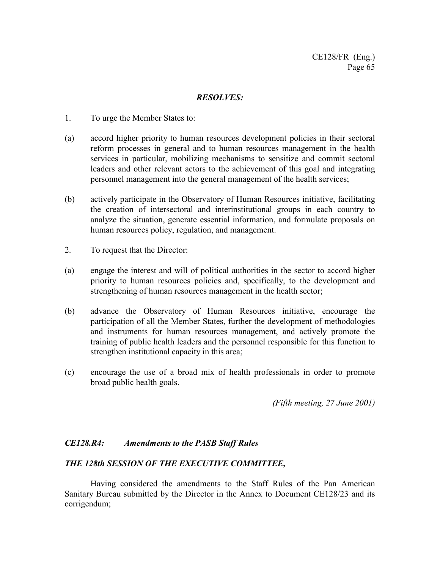# *RESOLVES:*

- 1. To urge the Member States to:
- (a) accord higher priority to human resources development policies in their sectoral reform processes in general and to human resources management in the health services in particular, mobilizing mechanisms to sensitize and commit sectoral leaders and other relevant actors to the achievement of this goal and integrating personnel management into the general management of the health services;
- (b) actively participate in the Observatory of Human Resources initiative, facilitating the creation of intersectoral and interinstitutional groups in each country to analyze the situation, generate essential information, and formulate proposals on human resources policy, regulation, and management.
- 2. To request that the Director:
- (a) engage the interest and will of political authorities in the sector to accord higher priority to human resources policies and, specifically, to the development and strengthening of human resources management in the health sector;
- (b) advance the Observatory of Human Resources initiative, encourage the participation of all the Member States, further the development of methodologies and instruments for human resources management, and actively promote the training of public health leaders and the personnel responsible for this function to strengthen institutional capacity in this area;
- (c) encourage the use of a broad mix of health professionals in order to promote broad public health goals.

*(Fifth meeting, 27 June 2001)*

# *CE128.R4: Amendments to the PASB Staff Rules*

## *THE 128th SESSION OF THE EXECUTIVE COMMITTEE,*

Having considered the amendments to the Staff Rules of the Pan American Sanitary Bureau submitted by the Director in the Annex to Document CE128/23 and its corrigendum;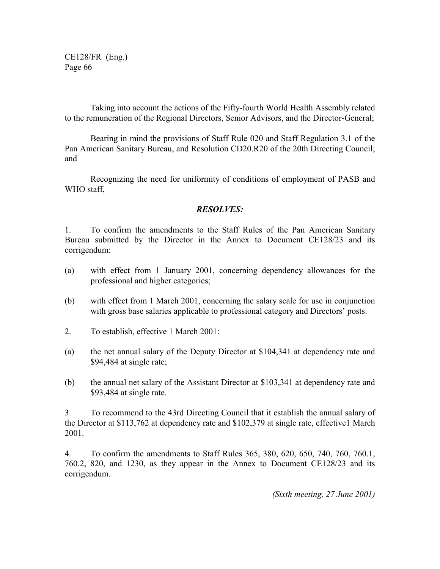Taking into account the actions of the Fifty-fourth World Health Assembly related to the remuneration of the Regional Directors, Senior Advisors, and the Director-General;

Bearing in mind the provisions of Staff Rule 020 and Staff Regulation 3.1 of the Pan American Sanitary Bureau, and Resolution CD20.R20 of the 20th Directing Council; and

Recognizing the need for uniformity of conditions of employment of PASB and WHO staff,

# *RESOLVES:*

1. To confirm the amendments to the Staff Rules of the Pan American Sanitary Bureau submitted by the Director in the Annex to Document CE128/23 and its corrigendum:

- (a) with effect from 1 January 2001, concerning dependency allowances for the professional and higher categories;
- (b) with effect from 1 March 2001, concerning the salary scale for use in conjunction with gross base salaries applicable to professional category and Directors' posts.
- 2. To establish, effective 1 March 2001:
- (a) the net annual salary of the Deputy Director at \$104,341 at dependency rate and \$94,484 at single rate;
- (b) the annual net salary of the Assistant Director at \$103,341 at dependency rate and \$93,484 at single rate.

3. To recommend to the 43rd Directing Council that it establish the annual salary of the Director at \$113,762 at dependency rate and \$102,379 at single rate, effective1 March 2001.

4. To confirm the amendments to Staff Rules 365, 380, 620, 650, 740, 760, 760.1, 760.2, 820, and 1230, as they appear in the Annex to Document CE128/23 and its corrigendum.

*(Sixth meeting, 27 June 2001)*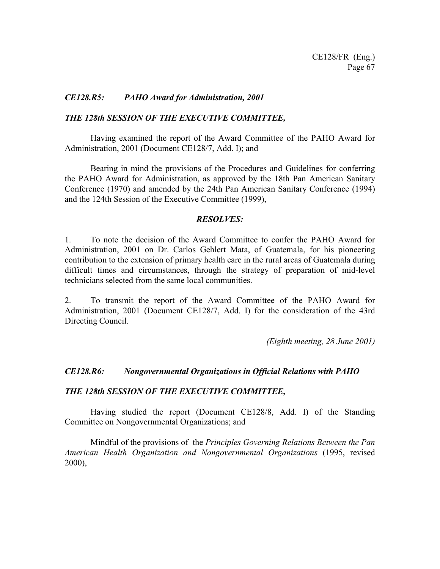## *CE128.R5: PAHO Award for Administration, 2001*

## *THE 128th SESSION OF THE EXECUTIVE COMMITTEE,*

Having examined the report of the Award Committee of the PAHO Award for Administration, 2001 (Document CE128/7, Add. I); and

Bearing in mind the provisions of the Procedures and Guidelines for conferring the PAHO Award for Administration, as approved by the 18th Pan American Sanitary Conference (1970) and amended by the 24th Pan American Sanitary Conference (1994) and the 124th Session of the Executive Committee (1999),

### *RESOLVES:*

1. To note the decision of the Award Committee to confer the PAHO Award for Administration, 2001 on Dr. Carlos Gehlert Mata, of Guatemala, for his pioneering contribution to the extension of primary health care in the rural areas of Guatemala during difficult times and circumstances, through the strategy of preparation of mid-level technicians selected from the same local communities.

2. To transmit the report of the Award Committee of the PAHO Award for Administration, 2001 (Document CE128/7, Add. I) for the consideration of the 43rd Directing Council.

*(Eighth meeting, 28 June 2001)*

## *CE128.R6: Nongovernmental Organizations in Official Relations with PAHO*

#### *THE 128th SESSION OF THE EXECUTIVE COMMITTEE,*

Having studied the report (Document CE128/8, Add. I) of the Standing Committee on Nongovernmental Organizations; and

Mindful of the provisions of the *Principles Governing Relations Between the Pan American Health Organization and Nongovernmental Organizations* (1995, revised 2000),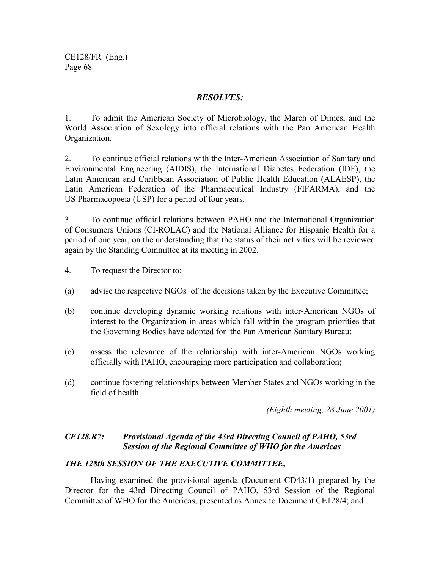# *RESOLVES:*

1. To admit the American Society of Microbiology, the March of Dimes, and the World Association of Sexology into official relations with the Pan American Health Organization.

2. To continue official relations with the Inter-American Association of Sanitary and Environmental Engineering (AIDIS), the International Diabetes Federation (IDF), the Latin American and Caribbean Association of Public Health Education (ALAESP), the Latin American Federation of the Pharmaceutical Industry (FIFARMA), and the US Pharmacopoeia (USP) for a period of four years.

3. To continue official relations between PAHO and the International Organization of Consumers Unions (CI-ROLAC) and the National Alliance for Hispanic Health for a period of one year, on the understanding that the status of their activities will be reviewed again by the Standing Committee at its meeting in 2002.

- 4. To request the Director to:
- (a) advise the respective NGOs of the decisions taken by the Executive Committee;
- (b) continue developing dynamic working relations with inter-American NGOs of interest to the Organization in areas which fall within the program priorities that the Governing Bodies have adopted for the Pan American Sanitary Bureau;
- (c) assess the relevance of the relationship with inter-American NGOs working officially with PAHO, encouraging more participation and collaboration;
- (d) continue fostering relationships between Member States and NGOs working in the field of health.

*(Eighth meeting, 28 June 2001)*

# *CE128.R7: Provisional Agenda of the 43rd Directing Council of PAHO, 53rd Session of the Regional Committee of WHO for the Americas*

# *THE 128th SESSION OF THE EXECUTIVE COMMITTEE,*

Having examined the provisional agenda (Document CD43/1) prepared by the Director for the 43rd Directing Council of PAHO, 53rd Session of the Regional Committee of WHO for the Americas, presented as Annex to Document CE128/4; and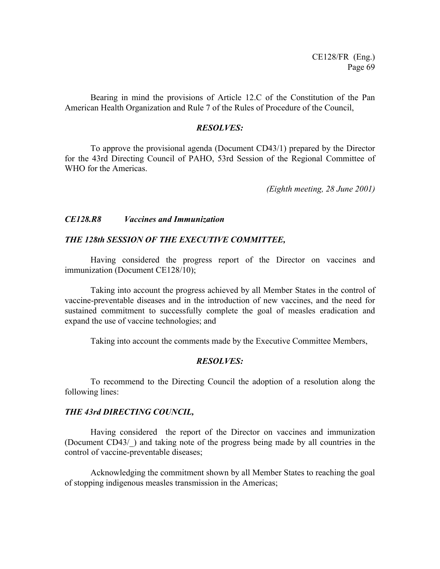Bearing in mind the provisions of Article 12.C of the Constitution of the Pan American Health Organization and Rule 7 of the Rules of Procedure of the Council,

#### *RESOLVES:*

To approve the provisional agenda (Document CD43/1) prepared by the Director for the 43rd Directing Council of PAHO, 53rd Session of the Regional Committee of WHO for the Americas.

*(Eighth meeting, 28 June 2001)*

### *CE128.R8 Vaccines and Immunization*

#### *THE 128th SESSION OF THE EXECUTIVE COMMITTEE,*

Having considered the progress report of the Director on vaccines and immunization (Document CE128/10);

Taking into account the progress achieved by all Member States in the control of vaccine-preventable diseases and in the introduction of new vaccines, and the need for sustained commitment to successfully complete the goal of measles eradication and expand the use of vaccine technologies; and

Taking into account the comments made by the Executive Committee Members,

## *RESOLVES:*

To recommend to the Directing Council the adoption of a resolution along the following lines:

#### *THE 43rd DIRECTING COUNCIL,*

Having considered the report of the Director on vaccines and immunization (Document CD43/\_) and taking note of the progress being made by all countries in the control of vaccine-preventable diseases;

Acknowledging the commitment shown by all Member States to reaching the goal of stopping indigenous measles transmission in the Americas;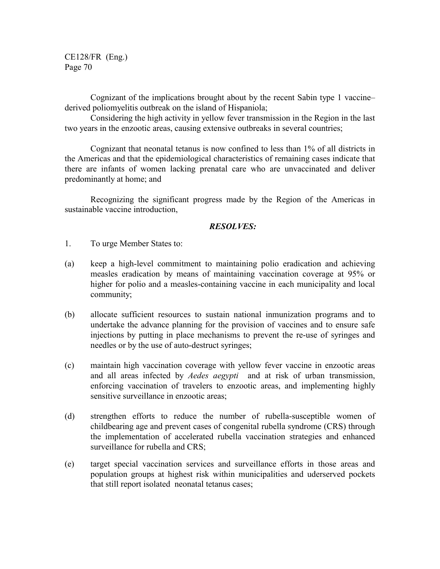Cognizant of the implications brought about by the recent Sabin type 1 vaccine– derived poliomyelitis outbreak on the island of Hispaniola;

Considering the high activity in yellow fever transmission in the Region in the last two years in the enzootic areas, causing extensive outbreaks in several countries;

Cognizant that neonatal tetanus is now confined to less than 1% of all districts in the Americas and that the epidemiological characteristics of remaining cases indicate that there are infants of women lacking prenatal care who are unvaccinated and deliver predominantly at home; and

Recognizing the significant progress made by the Region of the Americas in sustainable vaccine introduction,

- 1. To urge Member States to:
- (a) keep a high-level commitment to maintaining polio eradication and achieving measles eradication by means of maintaining vaccination coverage at 95% or higher for polio and a measles-containing vaccine in each municipality and local community;
- (b) allocate sufficient resources to sustain national inmunization programs and to undertake the advance planning for the provision of vaccines and to ensure safe injections by putting in place mechanisms to prevent the re-use of syringes and needles or by the use of auto-destruct syringes;
- (c) maintain high vaccination coverage with yellow fever vaccine in enzootic areas and all areas infected by *Aedes aegypti* and at risk of urban transmission, enforcing vaccination of travelers to enzootic areas, and implementing highly sensitive surveillance in enzootic areas;
- (d) strengthen efforts to reduce the number of rubella-susceptible women of childbearing age and prevent cases of congenital rubella syndrome (CRS) through the implementation of accelerated rubella vaccination strategies and enhanced surveillance for rubella and CRS;
- (e) target special vaccination services and surveillance efforts in those areas and population groups at highest risk within municipalities and uderserved pockets that still report isolated neonatal tetanus cases;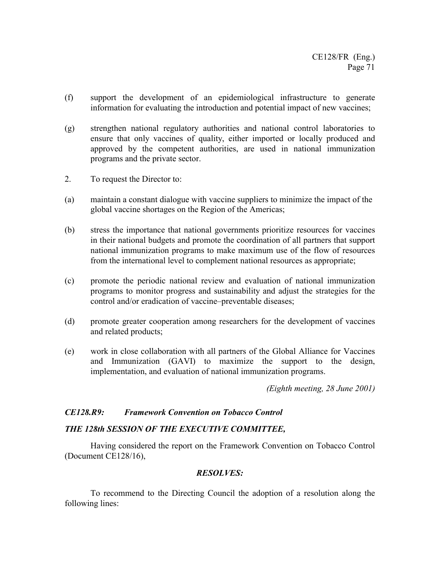- (f) support the development of an epidemiological infrastructure to generate information for evaluating the introduction and potential impact of new vaccines;
- (g) strengthen national regulatory authorities and national control laboratories to ensure that only vaccines of quality, either imported or locally produced and approved by the competent authorities, are used in national immunization programs and the private sector.
- 2. To request the Director to:
- (a) maintain a constant dialogue with vaccine suppliers to minimize the impact of the global vaccine shortages on the Region of the Americas;
- (b) stress the importance that national governments prioritize resources for vaccines in their national budgets and promote the coordination of all partners that support national immunization programs to make maximum use of the flow of resources from the international level to complement national resources as appropriate;
- (c) promote the periodic national review and evaluation of national immunization programs to monitor progress and sustainability and adjust the strategies for the control and/or eradication of vaccine–preventable diseases;
- (d) promote greater cooperation among researchers for the development of vaccines and related products;
- (e) work in close collaboration with all partners of the Global Alliance for Vaccines and Immunization (GAVI) to maximize the support to the design, implementation, and evaluation of national immunization programs.

*(Eighth meeting, 28 June 2001)*

#### *CE128.R9: Framework Convention on Tobacco Control*

#### *THE 128th SESSION OF THE EXECUTIVE COMMITTEE,*

Having considered the report on the Framework Convention on Tobacco Control (Document CE128/16),

#### *RESOLVES:*

To recommend to the Directing Council the adoption of a resolution along the following lines: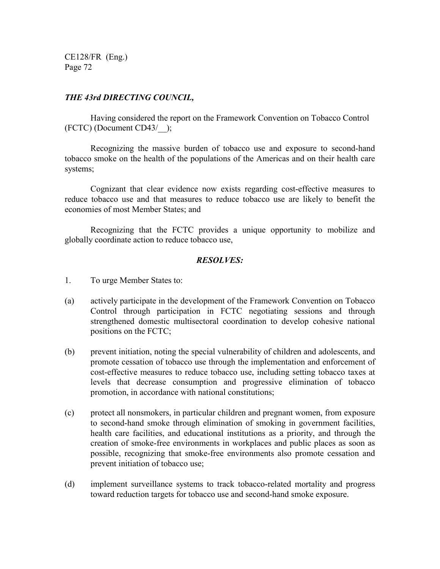# *THE 43rd DIRECTING COUNCIL,*

Having considered the report on the Framework Convention on Tobacco Control (FCTC) (Document CD43/\_\_);

Recognizing the massive burden of tobacco use and exposure to second-hand tobacco smoke on the health of the populations of the Americas and on their health care systems;

Cognizant that clear evidence now exists regarding cost-effective measures to reduce tobacco use and that measures to reduce tobacco use are likely to benefit the economies of most Member States; and

Recognizing that the FCTC provides a unique opportunity to mobilize and globally coordinate action to reduce tobacco use,

- 1. To urge Member States to:
- (a) actively participate in the development of the Framework Convention on Tobacco Control through participation in FCTC negotiating sessions and through strengthened domestic multisectoral coordination to develop cohesive national positions on the FCTC;
- (b) prevent initiation, noting the special vulnerability of children and adolescents, and promote cessation of tobacco use through the implementation and enforcement of cost-effective measures to reduce tobacco use, including setting tobacco taxes at levels that decrease consumption and progressive elimination of tobacco promotion, in accordance with national constitutions;
- (c) protect all nonsmokers, in particular children and pregnant women, from exposure to second-hand smoke through elimination of smoking in government facilities, health care facilities, and educational institutions as a priority, and through the creation of smoke-free environments in workplaces and public places as soon as possible, recognizing that smoke-free environments also promote cessation and prevent initiation of tobacco use;
- (d) implement surveillance systems to track tobacco-related mortality and progress toward reduction targets for tobacco use and second-hand smoke exposure.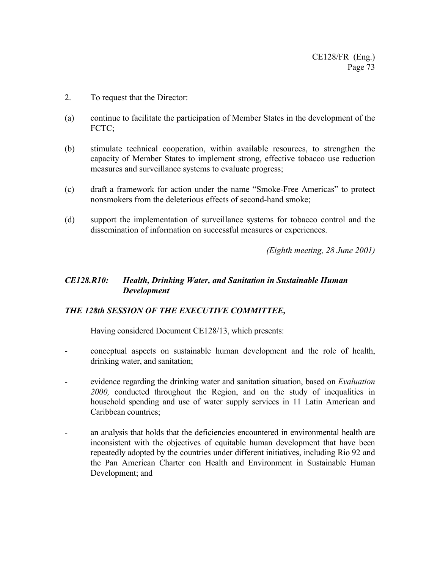- 2. To request that the Director:
- (a) continue to facilitate the participation of Member States in the development of the FCTC;
- (b) stimulate technical cooperation, within available resources, to strengthen the capacity of Member States to implement strong, effective tobacco use reduction measures and surveillance systems to evaluate progress;
- (c) draft a framework for action under the name "Smoke-Free Americas" to protect nonsmokers from the deleterious effects of second-hand smoke;
- (d) support the implementation of surveillance systems for tobacco control and the dissemination of information on successful measures or experiences.

*(Eighth meeting, 28 June 2001)*

# *CE128.R10: Health, Drinking Water, and Sanitation in Sustainable Human Development*

# *THE 128th SESSION OF THE EXECUTIVE COMMITTEE,*

Having considered Document CE128/13, which presents:

- conceptual aspects on sustainable human development and the role of health, drinking water, and sanitation;
- evidence regarding the drinking water and sanitation situation, based on *Evaluation 2000,* conducted throughout the Region, and on the study of inequalities in household spending and use of water supply services in 11 Latin American and Caribbean countries;
- an analysis that holds that the deficiencies encountered in environmental health are inconsistent with the objectives of equitable human development that have been repeatedly adopted by the countries under different initiatives, including Rio 92 and the Pan American Charter con Health and Environment in Sustainable Human Development; and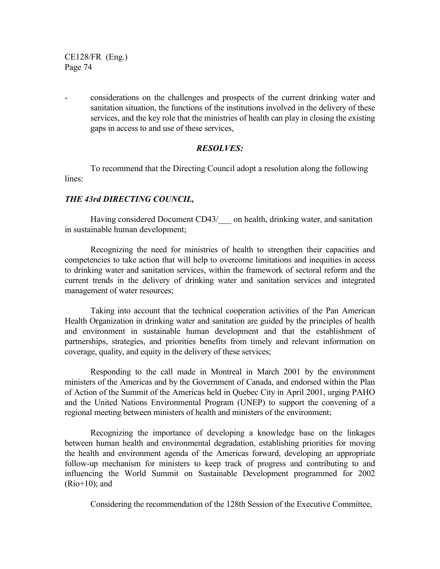- considerations on the challenges and prospects of the current drinking water and sanitation situation, the functions of the institutions involved in the delivery of these services, and the key role that the ministries of health can play in closing the existing gaps in access to and use of these services,

# *RESOLVES:*

To recommend that the Directing Council adopt a resolution along the following lines:

# *THE 43rd DIRECTING COUNCIL,*

Having considered Document CD43/ on health, drinking water, and sanitation in sustainable human development;

Recognizing the need for ministries of health to strengthen their capacities and competencies to take action that will help to overcome limitations and inequities in access to drinking water and sanitation services, within the framework of sectoral reform and the current trends in the delivery of drinking water and sanitation services and integrated management of water resources;

Taking into account that the technical cooperation activities of the Pan American Health Organization in drinking water and sanitation are guided by the principles of health and environment in sustainable human development and that the establishment of partnerships, strategies, and priorities benefits from timely and relevant information on coverage, quality, and equity in the delivery of these services;

Responding to the call made in Montreal in March 2001 by the environment ministers of the Americas and by the Government of Canada, and endorsed within the Plan of Action of the Summit of the Americas held in Quebec City in April 2001, urging PAHO and the United Nations Environmental Program (UNEP) to support the convening of a regional meeting between ministers of health and ministers of the environment;

Recognizing the importance of developing a knowledge base on the linkages between human health and environmental degradation, establishing priorities for moving the health and environment agenda of the Americas forward, developing an appropriate follow-up mechanism for ministers to keep track of progress and contributing to and influencing the World Summit on Sustainable Development programmed for 2002 (Rio+10); and

Considering the recommendation of the 128th Session of the Executive Committee,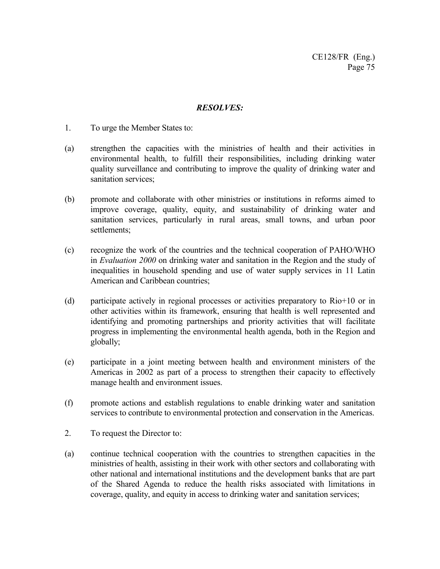- 1. To urge the Member States to:
- (a) strengthen the capacities with the ministries of health and their activities in environmental health, to fulfill their responsibilities, including drinking water quality surveillance and contributing to improve the quality of drinking water and sanitation services;
- (b) promote and collaborate with other ministries or institutions in reforms aimed to improve coverage, quality, equity, and sustainability of drinking water and sanitation services, particularly in rural areas, small towns, and urban poor settlements;
- (c) recognize the work of the countries and the technical cooperation of PAHO/WHO in *Evaluation 2000* on drinking water and sanitation in the Region and the study of inequalities in household spending and use of water supply services in 11 Latin American and Caribbean countries;
- (d) participate actively in regional processes or activities preparatory to Rio+10 or in other activities within its framework, ensuring that health is well represented and identifying and promoting partnerships and priority activities that will facilitate progress in implementing the environmental health agenda, both in the Region and globally;
- (e) participate in a joint meeting between health and environment ministers of the Americas in 2002 as part of a process to strengthen their capacity to effectively manage health and environment issues.
- (f) promote actions and establish regulations to enable drinking water and sanitation services to contribute to environmental protection and conservation in the Americas.
- 2. To request the Director to:
- (a) continue technical cooperation with the countries to strengthen capacities in the ministries of health, assisting in their work with other sectors and collaborating with other national and international institutions and the development banks that are part of the Shared Agenda to reduce the health risks associated with limitations in coverage, quality, and equity in access to drinking water and sanitation services;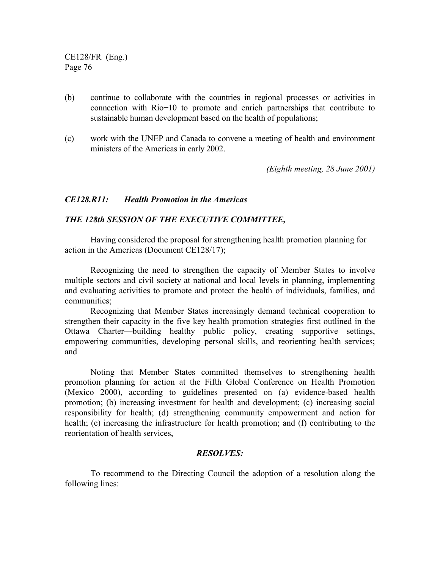- (b) continue to collaborate with the countries in regional processes or activities in connection with Rio+10 to promote and enrich partnerships that contribute to sustainable human development based on the health of populations;
- (c) work with the UNEP and Canada to convene a meeting of health and environment ministers of the Americas in early 2002.

*(Eighth meeting, 28 June 2001)*

#### *CE128.R11: Health Promotion in the Americas*

#### *THE 128th SESSION OF THE EXECUTIVE COMMITTEE,*

Having considered the proposal for strengthening health promotion planning for action in the Americas (Document CE128/17);

Recognizing the need to strengthen the capacity of Member States to involve multiple sectors and civil society at national and local levels in planning, implementing and evaluating activities to promote and protect the health of individuals, families, and communities;

Recognizing that Member States increasingly demand technical cooperation to strengthen their capacity in the five key health promotion strategies first outlined in the Ottawa Charter—building healthy public policy, creating supportive settings, empowering communities, developing personal skills, and reorienting health services; and

Noting that Member States committed themselves to strengthening health promotion planning for action at the Fifth Global Conference on Health Promotion (Mexico 2000), according to guidelines presented on (a) evidence-based health promotion; (b) increasing investment for health and development; (c) increasing social responsibility for health; (d) strengthening community empowerment and action for health; (e) increasing the infrastructure for health promotion; and (f) contributing to the reorientation of health services,

#### *RESOLVES:*

To recommend to the Directing Council the adoption of a resolution along the following lines: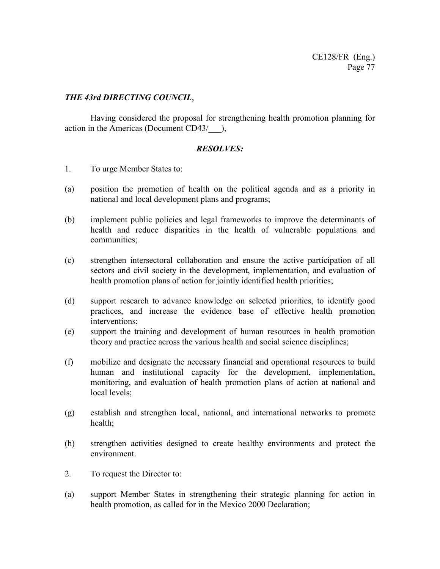# *THE 43rd DIRECTING COUNCIL*,

Having considered the proposal for strengthening health promotion planning for action in the Americas (Document CD43/\_\_\_),

- 1. To urge Member States to:
- (a) position the promotion of health on the political agenda and as a priority in national and local development plans and programs;
- (b) implement public policies and legal frameworks to improve the determinants of health and reduce disparities in the health of vulnerable populations and communities;
- (c) strengthen intersectoral collaboration and ensure the active participation of all sectors and civil society in the development, implementation, and evaluation of health promotion plans of action for jointly identified health priorities;
- (d) support research to advance knowledge on selected priorities, to identify good practices, and increase the evidence base of effective health promotion interventions;
- (e) support the training and development of human resources in health promotion theory and practice across the various health and social science disciplines;
- (f) mobilize and designate the necessary financial and operational resources to build human and institutional capacity for the development, implementation, monitoring, and evaluation of health promotion plans of action at national and local levels;
- (g) establish and strengthen local, national, and international networks to promote health;
- (h) strengthen activities designed to create healthy environments and protect the environment.
- 2. To request the Director to:
- (a) support Member States in strengthening their strategic planning for action in health promotion, as called for in the Mexico 2000 Declaration;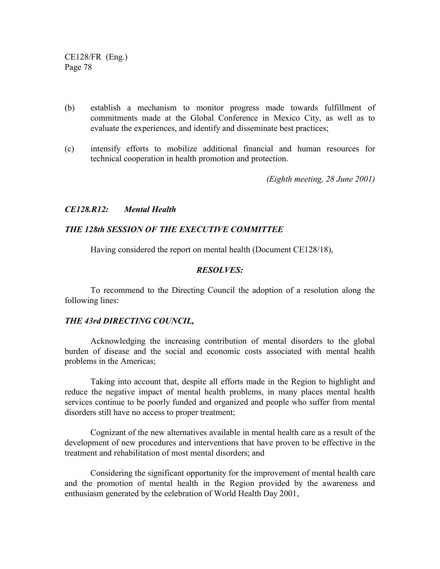- (b) establish a mechanism to monitor progress made towards fulfillment of commitments made at the Global Conference in Mexico City, as well as to evaluate the experiences, and identify and disseminate best practices;
- (c) intensify efforts to mobilize additional financial and human resources for technical cooperation in health promotion and protection.

*(Eighth meeting, 28 June 2001)*

#### *CE128.R12: Mental Health*

#### *THE 128th SESSION OF THE EXECUTIVE COMMITTEE*

Having considered the report on mental health (Document CE128/18),

#### *RESOLVES:*

To recommend to the Directing Council the adoption of a resolution along the following lines:

#### *THE 43rd DIRECTING COUNCIL,*

Acknowledging the increasing contribution of mental disorders to the global burden of disease and the social and economic costs associated with mental health problems in the Americas;

Taking into account that, despite all efforts made in the Region to highlight and reduce the negative impact of mental health problems, in many places mental health services continue to be poorly funded and organized and people who suffer from mental disorders still have no access to proper treatment;

Cognizant of the new alternatives available in mental health care as a result of the development of new procedures and interventions that have proven to be effective in the treatment and rehabilitation of most mental disorders; and

Considering the significant opportunity for the improvement of mental health care and the promotion of mental health in the Region provided by the awareness and enthusiasm generated by the celebration of World Health Day 2001,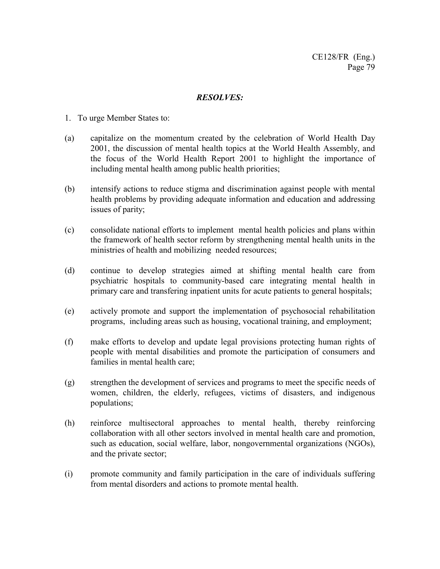- 1. To urge Member States to:
- (a) capitalize on the momentum created by the celebration of World Health Day 2001, the discussion of mental health topics at the World Health Assembly, and the focus of the World Health Report 2001 to highlight the importance of including mental health among public health priorities;
- (b) intensify actions to reduce stigma and discrimination against people with mental health problems by providing adequate information and education and addressing issues of parity;
- (c) consolidate national efforts to implement mental health policies and plans within the framework of health sector reform by strengthening mental health units in the ministries of health and mobilizing needed resources;
- (d) continue to develop strategies aimed at shifting mental health care from psychiatric hospitals to community-based care integrating mental health in primary care and transfering inpatient units for acute patients to general hospitals;
- (e) actively promote and support the implementation of psychosocial rehabilitation programs, including areas such as housing, vocational training, and employment;
- (f) make efforts to develop and update legal provisions protecting human rights of people with mental disabilities and promote the participation of consumers and families in mental health care;
- (g) strengthen the development of services and programs to meet the specific needs of women, children, the elderly, refugees, victims of disasters, and indigenous populations;
- (h) reinforce multisectoral approaches to mental health, thereby reinforcing collaboration with all other sectors involved in mental health care and promotion, such as education, social welfare, labor, nongovernmental organizations (NGOs), and the private sector;
- (i) promote community and family participation in the care of individuals suffering from mental disorders and actions to promote mental health.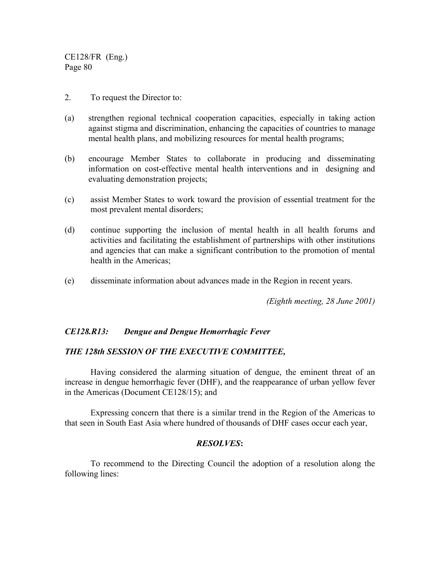- 2. To request the Director to:
- (a) strengthen regional technical cooperation capacities, especially in taking action against stigma and discrimination, enhancing the capacities of countries to manage mental health plans, and mobilizing resources for mental health programs;
- (b) encourage Member States to collaborate in producing and disseminating information on cost-effective mental health interventions and in designing and evaluating demonstration projects;
- (c) assist Member States to work toward the provision of essential treatment for the most prevalent mental disorders;
- (d) continue supporting the inclusion of mental health in all health forums and activities and facilitating the establishment of partnerships with other institutions and agencies that can make a significant contribution to the promotion of mental health in the Americas;
- (e) disseminate information about advances made in the Region in recent years.

*(Eighth meeting, 28 June 2001)*

#### *CE128.R13: Dengue and Dengue Hemorrhagic Fever*

# *THE 128th SESSION OF THE EXECUTIVE COMMITTEE,*

Having considered the alarming situation of dengue, the eminent threat of an increase in dengue hemorrhagic fever (DHF), and the reappearance of urban yellow fever in the Americas (Document CE128/15); and

Expressing concern that there is a similar trend in the Region of the Americas to that seen in South East Asia where hundred of thousands of DHF cases occur each year,

#### *RESOLVES***:**

To recommend to the Directing Council the adoption of a resolution along the following lines: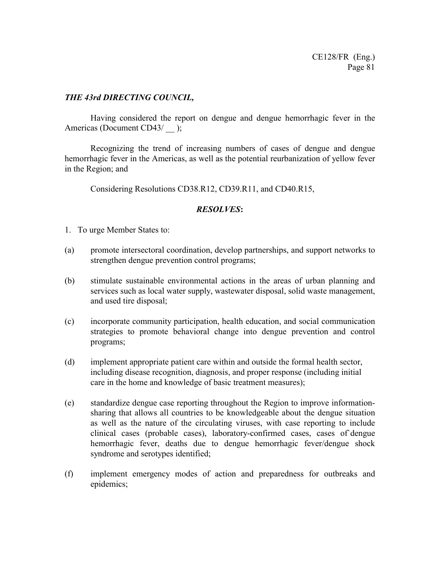# *THE 43rd DIRECTING COUNCIL,*

Having considered the report on dengue and dengue hemorrhagic fever in the Americas (Document CD43/ );

Recognizing the trend of increasing numbers of cases of dengue and dengue hemorrhagic fever in the Americas, as well as the potential reurbanization of yellow fever in the Region; and

Considering Resolutions CD38.R12, CD39.R11, and CD40.R15,

- 1. To urge Member States to:
- (a) promote intersectoral coordination, develop partnerships, and support networks to strengthen dengue prevention control programs;
- (b) stimulate sustainable environmental actions in the areas of urban planning and services such as local water supply, wastewater disposal, solid waste management, and used tire disposal;
- (c) incorporate community participation, health education, and social communication strategies to promote behavioral change into dengue prevention and control programs;
- (d) implement appropriate patient care within and outside the formal health sector, including disease recognition, diagnosis, and proper response (including initial care in the home and knowledge of basic treatment measures);
- (e) standardize dengue case reporting throughout the Region to improve informationsharing that allows all countries to be knowledgeable about the dengue situation as well as the nature of the circulating viruses, with case reporting to include clinical cases (probable cases), laboratory-confirmed cases, cases of`dengue hemorrhagic fever, deaths due to dengue hemorrhagic fever/dengue shock syndrome and serotypes identified;
- (f) implement emergency modes of action and preparedness for outbreaks and epidemics;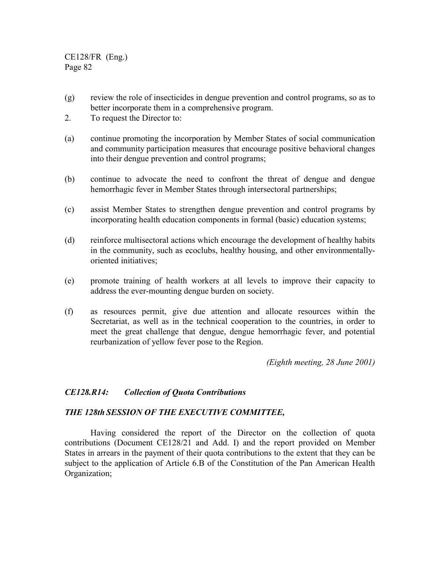- (g) review the role of insecticides in dengue prevention and control programs, so as to better incorporate them in a comprehensive program.
- 2. To request the Director to:
- (a) continue promoting the incorporation by Member States of social communication and community participation measures that encourage positive behavioral changes into their dengue prevention and control programs;
- (b) continue to advocate the need to confront the threat of dengue and dengue hemorrhagic fever in Member States through intersectoral partnerships;
- (c) assist Member States to strengthen dengue prevention and control programs by incorporating health education components in formal (basic) education systems;
- (d) reinforce multisectoral actions which encourage the development of healthy habits in the community, such as ecoclubs, healthy housing, and other environmentallyoriented initiatives;
- (e) promote training of health workers at all levels to improve their capacity to address the ever-mounting dengue burden on society.
- (f) as resources permit, give due attention and allocate resources within the Secretariat, as well as in the technical cooperation to the countries, in order to meet the great challenge that dengue, dengue hemorrhagic fever, and potential reurbanization of yellow fever pose to the Region.

*(Eighth meeting, 28 June 2001)*

#### *CE128.R14: Collection of Quota Contributions*

#### *THE 128th SESSION OF THE EXECUTIVE COMMITTEE,*

Having considered the report of the Director on the collection of quota contributions (Document CE128/21 and Add. I) and the report provided on Member States in arrears in the payment of their quota contributions to the extent that they can be subject to the application of Article 6.B of the Constitution of the Pan American Health Organization;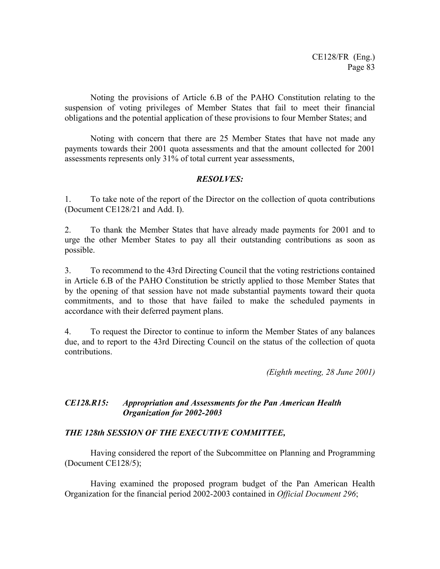Noting the provisions of Article 6.B of the PAHO Constitution relating to the suspension of voting privileges of Member States that fail to meet their financial obligations and the potential application of these provisions to four Member States; and

Noting with concern that there are 25 Member States that have not made any payments towards their 2001 quota assessments and that the amount collected for 2001 assessments represents only 31% of total current year assessments,

# *RESOLVES:*

1. To take note of the report of the Director on the collection of quota contributions (Document CE128/21 and Add. I).

2. To thank the Member States that have already made payments for 2001 and to urge the other Member States to pay all their outstanding contributions as soon as possible.

3. To recommend to the 43rd Directing Council that the voting restrictions contained in Article 6.B of the PAHO Constitution be strictly applied to those Member States that by the opening of that session have not made substantial payments toward their quota commitments, and to those that have failed to make the scheduled payments in accordance with their deferred payment plans.

4. To request the Director to continue to inform the Member States of any balances due, and to report to the 43rd Directing Council on the status of the collection of quota contributions.

*(Eighth meeting, 28 June 2001)*

# *CE128.R15: Appropriation and Assessments for the Pan American Health Organization for 2002-2003*

# *THE 128th SESSION OF THE EXECUTIVE COMMITTEE,*

Having considered the report of the Subcommittee on Planning and Programming (Document CE128/5);

Having examined the proposed program budget of the Pan American Health Organization for the financial period 2002-2003 contained in *Official Document 296*;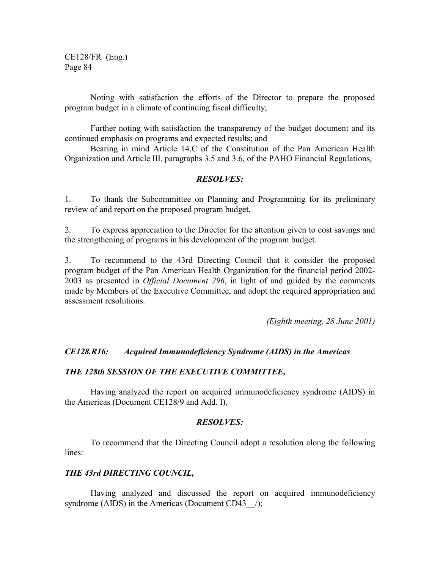Noting with satisfaction the efforts of the Director to prepare the proposed program budget in a climate of continuing fiscal difficulty;

Further noting with satisfaction the transparency of the budget document and its continued emphasis on programs and expected results; and

Bearing in mind Article 14.C of the Constitution of the Pan American Health Organization and Article III, paragraphs 3.5 and 3.6, of the PAHO Financial Regulations,

## *RESOLVES:*

1. To thank the Subcommittee on Planning and Programming for its preliminary review of and report on the proposed program budget.

2. To express appreciation to the Director for the attention given to cost savings and the strengthening of programs in his development of the program budget.

3. To recommend to the 43rd Directing Council that it consider the proposed program budget of the Pan American Health Organization for the financial period 2002- 2003 as presented in *Official Document 296*, in light of and guided by the comments made by Members of the Executive Committee, and adopt the required appropriation and assessment resolutions.

*(Eighth meeting, 28 June 2001)*

#### *CE128.R16: Acquired Immunodeficiency Syndrome (AIDS) in the Americas*

#### *THE 128th SESSION OF THE EXECUTIVE COMMITTEE,*

Having analyzed the report on acquired immunodeficiency syndrome (AIDS) in the Americas (Document CE128/9 and Add. I),

#### *RESOLVES:*

To recommend that the Directing Council adopt a resolution along the following lines:

#### *THE 43rd DIRECTING COUNCIL,*

Having analyzed and discussed the report on acquired immunodeficiency syndrome (AIDS) in the Americas (Document CD43  $\rightarrow$ );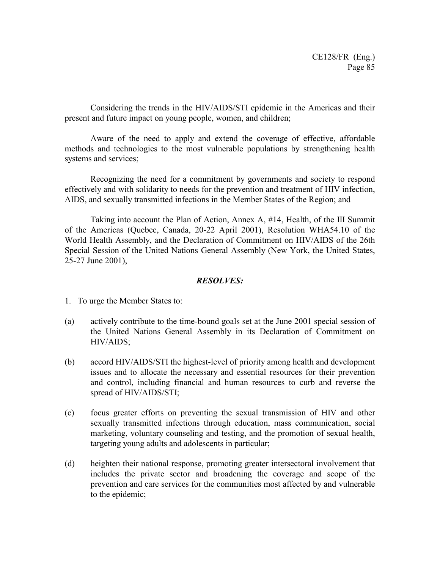Considering the trends in the HIV/AIDS/STI epidemic in the Americas and their present and future impact on young people, women, and children;

Aware of the need to apply and extend the coverage of effective, affordable methods and technologies to the most vulnerable populations by strengthening health systems and services;

Recognizing the need for a commitment by governments and society to respond effectively and with solidarity to needs for the prevention and treatment of HIV infection, AIDS, and sexually transmitted infections in the Member States of the Region; and

Taking into account the Plan of Action, Annex A, #14, Health, of the III Summit of the Americas (Quebec, Canada, 20-22 April 2001), Resolution WHA54.10 of the World Health Assembly, and the Declaration of Commitment on HIV/AIDS of the 26th Special Session of the United Nations General Assembly (New York, the United States, 25-27 June 2001),

- 1. To urge the Member States to:
- (a) actively contribute to the time-bound goals set at the June 2001 special session of the United Nations General Assembly in its Declaration of Commitment on HIV/AIDS;
- (b) accord HIV/AIDS/STI the highest-level of priority among health and development issues and to allocate the necessary and essential resources for their prevention and control, including financial and human resources to curb and reverse the spread of HIV/AIDS/STI;
- (c) focus greater efforts on preventing the sexual transmission of HIV and other sexually transmitted infections through education, mass communication, social marketing, voluntary counseling and testing, and the promotion of sexual health, targeting young adults and adolescents in particular;
- (d) heighten their national response, promoting greater intersectoral involvement that includes the private sector and broadening the coverage and scope of the prevention and care services for the communities most affected by and vulnerable to the epidemic;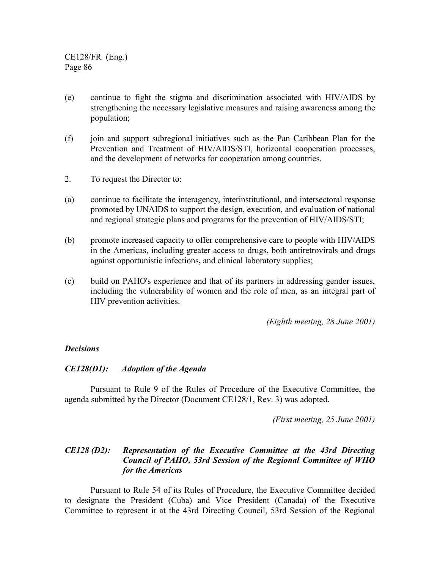- (e) continue to fight the stigma and discrimination associated with HIV/AIDS by strengthening the necessary legislative measures and raising awareness among the population;
- (f) join and support subregional initiatives such as the Pan Caribbean Plan for the Prevention and Treatment of HIV/AIDS/STI, horizontal cooperation processes, and the development of networks for cooperation among countries.
- 2. To request the Director to:
- (a) continue to facilitate the interagency, interinstitutional, and intersectoral response promoted by UNAIDS to support the design, execution, and evaluation of national and regional strategic plans and programs for the prevention of HIV/AIDS/STI;
- (b) promote increased capacity to offer comprehensive care to people with HIV/AIDS in the Americas, including greater access to drugs, both antiretrovirals and drugs against opportunistic infections**,** and clinical laboratory supplies;
- (c) build on PAHO's experience and that of its partners in addressing gender issues, including the vulnerability of women and the role of men, as an integral part of HIV prevention activities.

*(Eighth meeting, 28 June 2001)*

#### *Decisions*

#### *CE128(D1): Adoption of the Agenda*

Pursuant to Rule 9 of the Rules of Procedure of the Executive Committee, the agenda submitted by the Director (Document CE128/1, Rev. 3) was adopted.

*(First meeting, 25 June 2001)*

# *CE128 (D2): Representation of the Executive Committee at the 43rd Directing Council of PAHO, 53rd Session of the Regional Committee of WHO for the Americas*

Pursuant to Rule 54 of its Rules of Procedure, the Executive Committee decided to designate the President (Cuba) and Vice President (Canada) of the Executive Committee to represent it at the 43rd Directing Council, 53rd Session of the Regional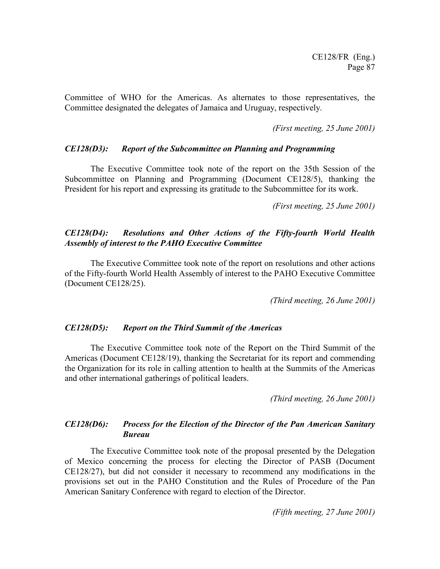Committee of WHO for the Americas. As alternates to those representatives, the Committee designated the delegates of Jamaica and Uruguay, respectively.

*(First meeting, 25 June 2001)*

#### *CE128(D3): Report of the Subcommittee on Planning and Programming*

The Executive Committee took note of the report on the 35th Session of the Subcommittee on Planning and Programming (Document CE128/5), thanking the President for his report and expressing its gratitude to the Subcommittee for its work.

*(First meeting, 25 June 2001)*

## *CE128(D4): Resolutions and Other Actions of the Fifty-fourth World Health Assembly of interest to the PAHO Executive Committee*

The Executive Committee took note of the report on resolutions and other actions of the Fifty-fourth World Health Assembly of interest to the PAHO Executive Committee (Document CE128/25).

*(Third meeting, 26 June 2001)*

#### *CE128(D5): Report on the Third Summit of the Americas*

The Executive Committee took note of the Report on the Third Summit of the Americas (Document CE128/19), thanking the Secretariat for its report and commending the Organization for its role in calling attention to health at the Summits of the Americas and other international gatherings of political leaders.

*(Third meeting, 26 June 2001)*

# *CE128(D6): Process for the Election of the Director of the Pan American Sanitary Bureau*

The Executive Committee took note of the proposal presented by the Delegation of Mexico concerning the process for electing the Director of PASB (Document CE128/27), but did not consider it necessary to recommend any modifications in the provisions set out in the PAHO Constitution and the Rules of Procedure of the Pan American Sanitary Conference with regard to election of the Director.

*(Fifth meeting, 27 June 2001)*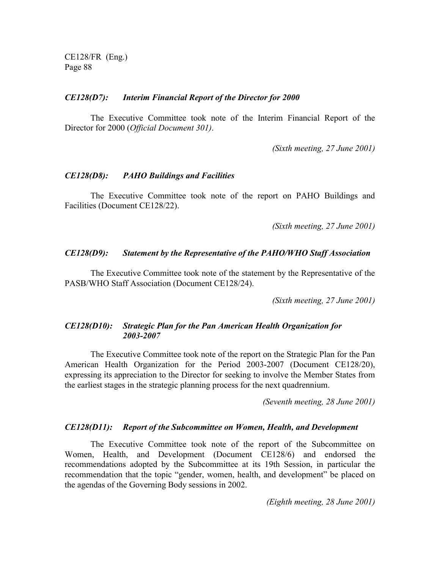#### *CE128(D7): Interim Financial Report of the Director for 2000*

The Executive Committee took note of the Interim Financial Report of the Director for 2000 (*Official Document 301)*.

*(Sixth meeting, 27 June 2001)*

#### *CE128(D8): PAHO Buildings and Facilities*

The Executive Committee took note of the report on PAHO Buildings and Facilities (Document CE128/22).

*(Sixth meeting, 27 June 2001)*

#### *CE128(D9): Statement by the Representative of the PAHO/WHO Staff Association*

The Executive Committee took note of the statement by the Representative of the PASB/WHO Staff Association (Document CE128/24).

*(Sixth meeting, 27 June 2001)*

#### *CE128(D10): Strategic Plan for the Pan American Health Organization for 2003-2007*

The Executive Committee took note of the report on the Strategic Plan for the Pan American Health Organization for the Period 2003-2007 (Document CE128/20), expressing its appreciation to the Director for seeking to involve the Member States from the earliest stages in the strategic planning process for the next quadrennium.

*(Seventh meeting, 28 June 2001)*

#### *CE128(D11): Report of the Subcommittee on Women, Health, and Development*

The Executive Committee took note of the report of the Subcommittee on Women, Health, and Development (Document CE128/6) and endorsed the recommendations adopted by the Subcommittee at its 19th Session, in particular the recommendation that the topic "gender, women, health, and development" be placed on the agendas of the Governing Body sessions in 2002.

*(Eighth meeting, 28 June 2001)*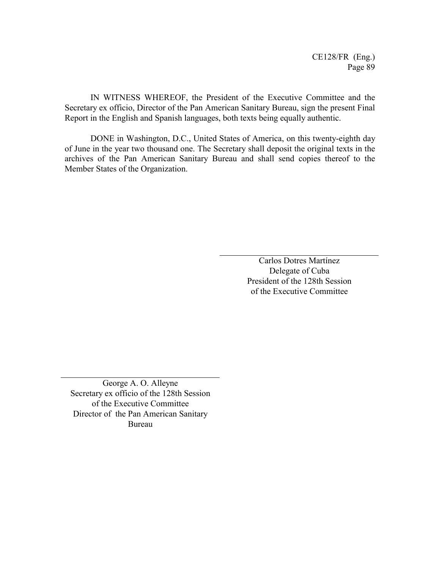IN WITNESS WHEREOF, the President of the Executive Committee and the Secretary ex officio, Director of the Pan American Sanitary Bureau, sign the present Final Report in the English and Spanish languages, both texts being equally authentic.

DONE in Washington, D.C., United States of America, on this twenty-eighth day of June in the year two thousand one. The Secretary shall deposit the original texts in the archives of the Pan American Sanitary Bureau and shall send copies thereof to the Member States of the Organization.

> Carlos Dotres Martínez Delegate of Cuba President of the 128th Session of the Executive Committee

George A. O. Alleyne Secretary ex officio of the 128th Session of the Executive Committee Director of the Pan American Sanitary Bureau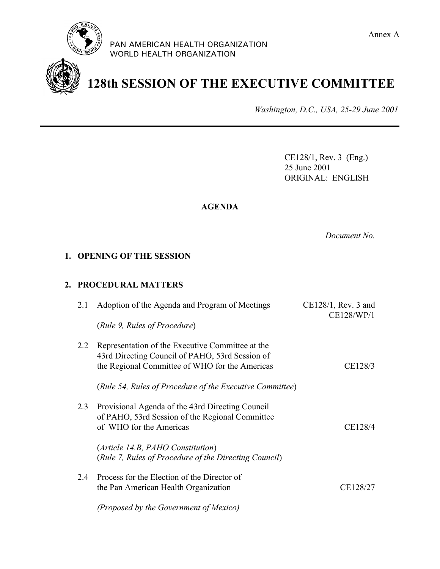

PAN AMERICAN HEALTH ORGANIZATION WORLD HEALTH ORGANIZATION



**128th SESSION OF THE EXECUTIVE COMMITTEE**

*Washington, D.C., USA, 25-29 June 2001*

CE128/1, Rev. 3 (Eng.) 25 June 2001 ORIGINAL: ENGLISH

# **AGENDA**

*Document No.*

# **1. OPENING OF THE SESSION**

# **2. PROCEDURAL MATTERS**

| 2.1 | Adoption of the Agenda and Program of Meetings<br>(Rule 9, Rules of Procedure)                                                                        | CE128/1, Rev. 3 and<br>CE128/WP/1 |
|-----|-------------------------------------------------------------------------------------------------------------------------------------------------------|-----------------------------------|
| 2.2 | Representation of the Executive Committee at the<br>43rd Directing Council of PAHO, 53rd Session of<br>the Regional Committee of WHO for the Americas | CE128/3                           |
|     | (Rule 54, Rules of Procedure of the Executive Committee)                                                                                              |                                   |
| 2.3 | Provisional Agenda of the 43rd Directing Council<br>of PAHO, 53rd Session of the Regional Committee<br>of WHO for the Americas                        | CE128/4                           |
|     | (Article 14.B, PAHO Constitution)<br>(Rule 7, Rules of Procedure of the Directing Council)                                                            |                                   |
| 2.4 | Process for the Election of the Director of<br>the Pan American Health Organization                                                                   | CE128/27                          |
|     | (Proposed by the Government of Mexico)                                                                                                                |                                   |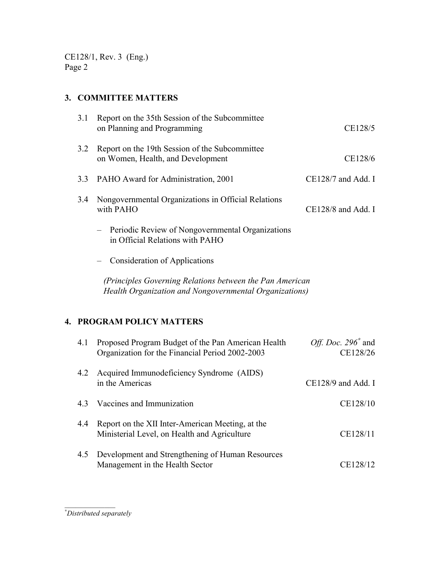CE128/1, Rev. 3 (Eng.) Page 2

# **3. COMMITTEE MATTERS**

| 3.1 | Report on the 35th Session of the Subcommittee<br>on Planning and Programming                                      | CE128/5                           |
|-----|--------------------------------------------------------------------------------------------------------------------|-----------------------------------|
| 3.2 | Report on the 19th Session of the Subcommittee<br>on Women, Health, and Development                                | CE128/6                           |
| 3.3 | PAHO Award for Administration, 2001                                                                                | CE128/7 and Add. I                |
| 3.4 | Nongovernmental Organizations in Official Relations<br>with PAHO                                                   | CE128/8 and Add. I                |
|     | Periodic Review of Nongovernmental Organizations<br>in Official Relations with PAHO                                |                                   |
|     | <b>Consideration of Applications</b>                                                                               |                                   |
|     | (Principles Governing Relations between the Pan American<br>Health Organization and Nongovernmental Organizations) |                                   |
|     | <b>4. PROGRAM POLICY MATTERS</b>                                                                                   |                                   |
| 4.1 | Proposed Program Budget of the Pan American Health<br>Organization for the Financial Period 2002-2003              | Off. Doc. $296^*$ and<br>CE128/26 |
| 4.2 | Acquired Immunodeficiency Syndrome (AIDS)<br>in the Americas                                                       | CE128/9 and Add. I                |
| 4.3 | Vaccines and Immunization                                                                                          | CE128/10                          |
| 4.4 | Report on the XII Inter-American Meeting, at the<br>Ministerial Level, on Health and Agriculture                   | CE128/11                          |
| 4.5 | Development and Strengthening of Human Resources<br>Management in the Health Sector                                | CE128/12                          |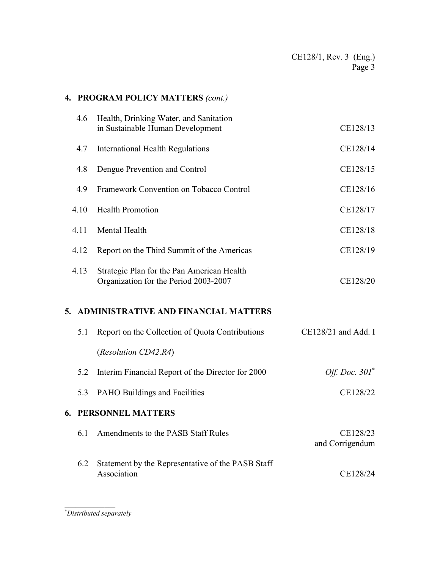# **4. PROGRAM POLICY MATTERS** *(cont.)*

|    | 4.6  | Health, Drinking Water, and Sanitation<br>in Sustainable Human Development          | CE128/13                    |
|----|------|-------------------------------------------------------------------------------------|-----------------------------|
|    | 4.7  | <b>International Health Regulations</b>                                             | CE128/14                    |
|    | 4.8  | Dengue Prevention and Control                                                       | CE128/15                    |
|    | 4.9  | Framework Convention on Tobacco Control                                             | CE128/16                    |
|    | 4.10 | <b>Health Promotion</b>                                                             | CE128/17                    |
|    | 4.11 | Mental Health                                                                       | CE128/18                    |
|    | 4.12 | Report on the Third Summit of the Americas                                          | CE128/19                    |
|    | 4.13 | Strategic Plan for the Pan American Health<br>Organization for the Period 2003-2007 | CE128/20                    |
| 5. |      | <b>ADMINISTRATIVE AND FINANCIAL MATTERS</b>                                         |                             |
|    | 5.1  |                                                                                     |                             |
|    |      | Report on the Collection of Quota Contributions                                     | CE128/21 and Add. I         |
|    |      | (Resolution CD42.R4)                                                                |                             |
|    | 5.2  | Interim Financial Report of the Director for 2000                                   | Off. Doc. $301^*$           |
|    | 5.3  | PAHO Buildings and Facilities                                                       | CE128/22                    |
| 6. |      | PERSONNEL MATTERS                                                                   |                             |
|    | 6.1  | Amendments to the PASB Staff Rules                                                  | CE128/23<br>and Corrigendum |
|    | 6.2  | Statement by the Representative of the PASB Staff<br>Association                    | CE128/24                    |

\_\_\_\_\_\_\_\_\_\_\_\_\_\_ ∗ *Distributed separately*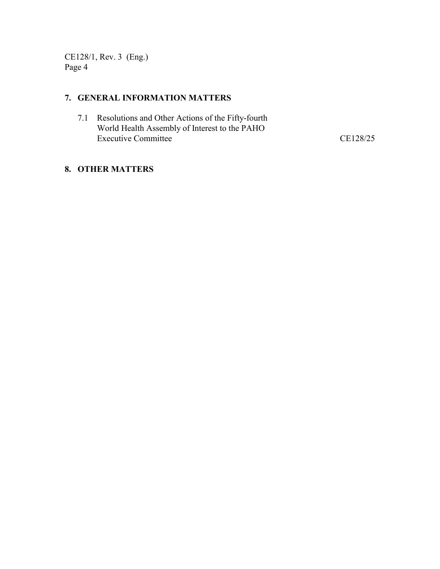CE128/1, Rev. 3 (Eng.) Page 4

# **7. GENERAL INFORMATION MATTERS**

7.1 Resolutions and Other Actions of the Fifty-fourth World Health Assembly of Interest to the PAHO Executive Committee CE128/25

# **8. OTHER MATTERS**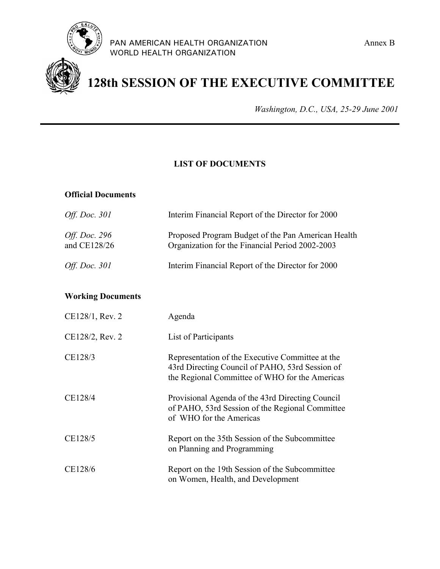



# **128th SESSION OF THE EXECUTIVE COMMITTEE**

*Washington, D.C., USA, 25-29 June 2001*

# **LIST OF DOCUMENTS**

#### **Official Documents**

| Off. Doc. 301                        | Interim Financial Report of the Director for 2000                                                     |
|--------------------------------------|-------------------------------------------------------------------------------------------------------|
| <i>Off. Doc.</i> 296<br>and CE128/26 | Proposed Program Budget of the Pan American Health<br>Organization for the Financial Period 2002-2003 |
| <i>Off. Doc.</i> 301                 | Interim Financial Report of the Director for 2000                                                     |

# **Working Documents**

| CE128/1, Rev. 2 | Agenda                                                                                                                                                |
|-----------------|-------------------------------------------------------------------------------------------------------------------------------------------------------|
| CE128/2, Rev. 2 | List of Participants                                                                                                                                  |
| CE128/3         | Representation of the Executive Committee at the<br>43rd Directing Council of PAHO, 53rd Session of<br>the Regional Committee of WHO for the Americas |
| CE128/4         | Provisional Agenda of the 43rd Directing Council<br>of PAHO, 53rd Session of the Regional Committee<br>of WHO for the Americas                        |
| CE128/5         | Report on the 35th Session of the Subcommittee<br>on Planning and Programming                                                                         |
| CE128/6         | Report on the 19th Session of the Subcommittee<br>on Women, Health, and Development                                                                   |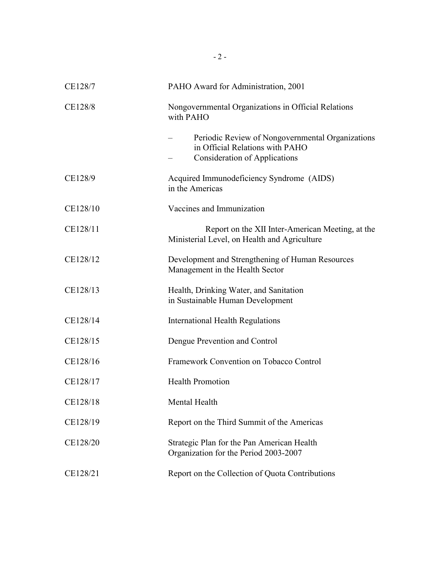| CE128/7  | PAHO Award for Administration, 2001                                                                                         |
|----------|-----------------------------------------------------------------------------------------------------------------------------|
| CE128/8  | Nongovernmental Organizations in Official Relations<br>with PAHO                                                            |
|          | Periodic Review of Nongovernmental Organizations<br>in Official Relations with PAHO<br><b>Consideration of Applications</b> |
| CE128/9  | Acquired Immunodeficiency Syndrome (AIDS)<br>in the Americas                                                                |
| CE128/10 | Vaccines and Immunization                                                                                                   |
| CE128/11 | Report on the XII Inter-American Meeting, at the<br>Ministerial Level, on Health and Agriculture                            |
| CE128/12 | Development and Strengthening of Human Resources<br>Management in the Health Sector                                         |
| CE128/13 | Health, Drinking Water, and Sanitation<br>in Sustainable Human Development                                                  |
| CE128/14 | <b>International Health Regulations</b>                                                                                     |
| CE128/15 | Dengue Prevention and Control                                                                                               |
| CE128/16 | Framework Convention on Tobacco Control                                                                                     |
| CE128/17 | <b>Health Promotion</b>                                                                                                     |
| CE128/18 | Mental Health                                                                                                               |
| CE128/19 | Report on the Third Summit of the Americas                                                                                  |
| CE128/20 | Strategic Plan for the Pan American Health<br>Organization for the Period 2003-2007                                         |
| CE128/21 | Report on the Collection of Quota Contributions                                                                             |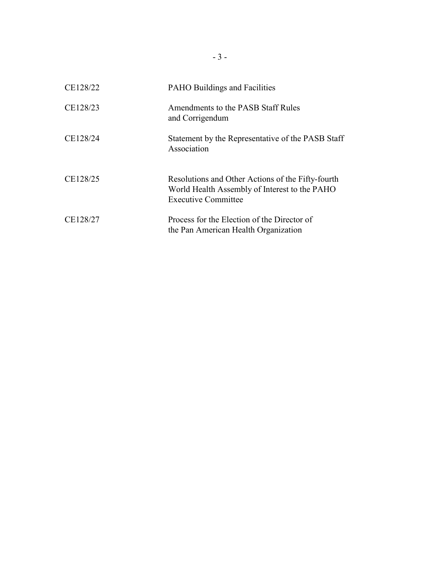| CE128/22 | PAHO Buildings and Facilities                                                                                                    |
|----------|----------------------------------------------------------------------------------------------------------------------------------|
| CE128/23 | Amendments to the PASB Staff Rules<br>and Corrigendum                                                                            |
| CE128/24 | Statement by the Representative of the PASB Staff<br>Association                                                                 |
| CE128/25 | Resolutions and Other Actions of the Fifty-fourth<br>World Health Assembly of Interest to the PAHO<br><b>Executive Committee</b> |
| CE128/27 | Process for the Election of the Director of<br>the Pan American Health Organization                                              |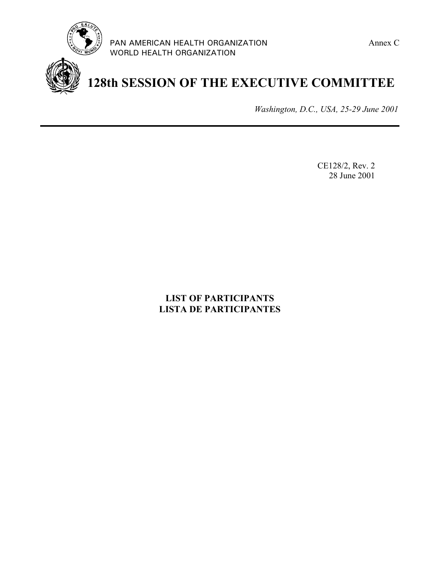



**128th SESSION OF THE EXECUTIVE COMMITTEE**

*Washington, D.C., USA, 25-29 June 2001*

CE128/2, Rev. 2 28 June 2001

# **LIST OF PARTICIPANTS LISTA DE PARTICIPANTES**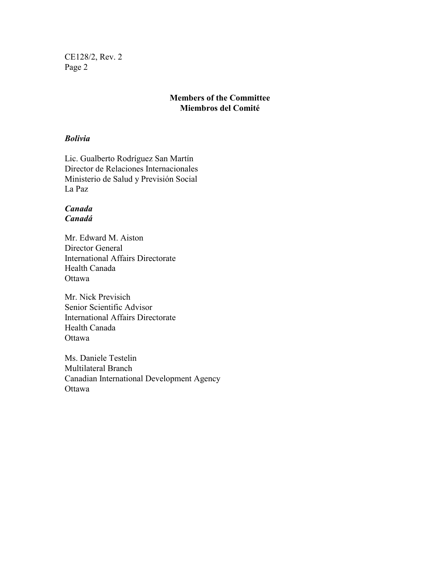CE128/2, Rev. 2 Page 2

# **Members of the Committee Miembros del Comité**

## *Bolivia*

Lic. Gualberto Rodríguez San Martín Director de Relaciones Internacionales Ministerio de Salud y Previsión Social La Paz

# *Canada Canadá*

Mr. Edward M. Aiston Director General International Affairs Directorate Health Canada **Ottawa** 

Mr. Nick Previsich Senior Scientific Advisor International Affairs Directorate Health Canada **Ottawa** 

Ms. Daniele Testelin Multilateral Branch Canadian International Development Agency **Ottawa**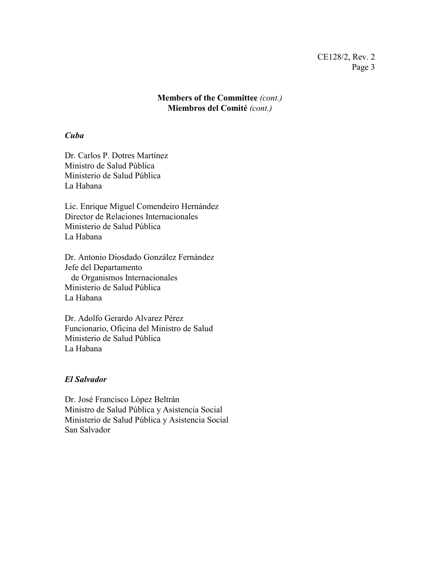**Members of the Committee** *(cont.)* **Miembros del Comité** *(cont.)*

#### *Cuba*

Dr. Carlos P. Dotres Martínez Ministro de Salud Pública Ministerio de Salud Pública La Habana

Lic. Enrique Miguel Comendeiro Hernández Director de Relaciones Internacionales Ministerio de Salud Pública La Habana

Dr. Antonio Diosdado González Fernández Jefe del Departamento de Organismos Internacionales Ministerio de Salud Pública La Habana

Dr. Adolfo Gerardo Alvarez Pérez Funcionario, Oficina del Ministro de Salud Ministerio de Salud Pública La Habana

#### *El Salvador*

Dr. José Francisco López Beltrán Ministro de Salud Pública y Asistencia Social Ministerio de Salud Pública y Asistencia Social San Salvador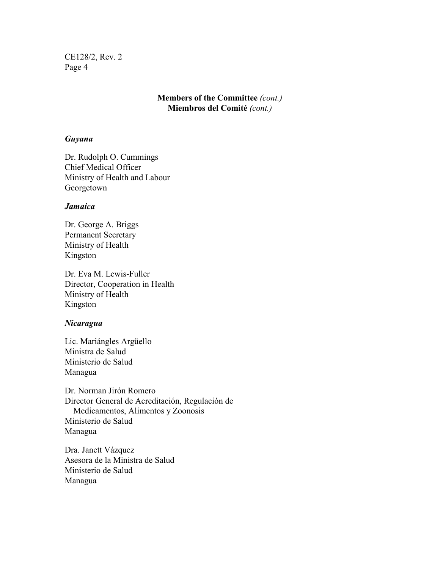CE128/2, Rev. 2 Page 4

# **Members of the Committee** *(cont.)* **Miembros del Comité** *(cont.)*

#### *Guyana*

Dr. Rudolph O. Cummings Chief Medical Officer Ministry of Health and Labour Georgetown

#### *Jamaica*

Dr. George A. Briggs Permanent Secretary Ministry of Health Kingston

Dr. Eva M. Lewis-Fuller Director, Cooperation in Health Ministry of Health Kingston

#### *Nicaragua*

Lic. Mariángles Argüello Ministra de Salud Ministerio de Salud Managua

Dr. Norman Jirón Romero Director General de Acreditación, Regulación de Medicamentos, Alimentos y Zoonosis Ministerio de Salud Managua

Dra. Janett Vázquez Asesora de la Ministra de Salud Ministerio de Salud Managua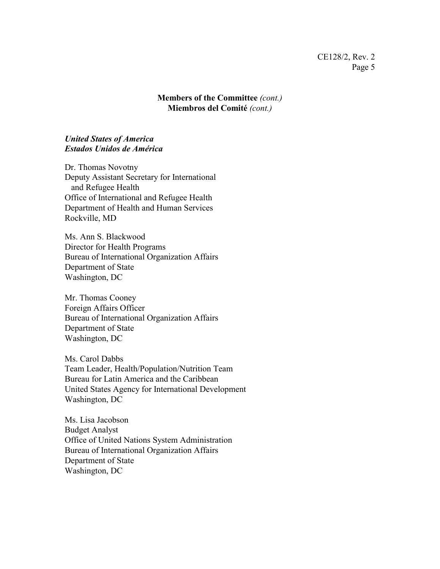**Members of the Committee** *(cont.)* **Miembros del Comité** *(cont.)*

#### *United States of America Estados Unidos de América*

Dr. Thomas Novotny Deputy Assistant Secretary for International and Refugee Health Office of International and Refugee Health Department of Health and Human Services Rockville, MD

Ms. Ann S. Blackwood Director for Health Programs Bureau of International Organization Affairs Department of State Washington, DC

Mr. Thomas Cooney Foreign Affairs Officer Bureau of International Organization Affairs Department of State Washington, DC

Ms. Carol Dabbs Team Leader, Health/Population/Nutrition Team Bureau for Latin America and the Caribbean United States Agency for International Development Washington, DC

Ms. Lisa Jacobson Budget Analyst Office of United Nations System Administration Bureau of International Organization Affairs Department of State Washington, DC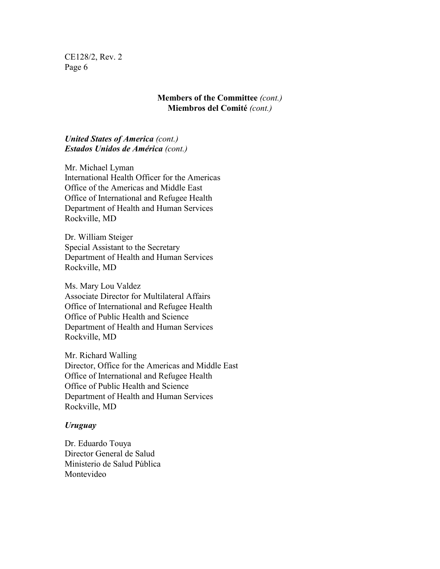CE128/2, Rev. 2 Page 6

#### **Members of the Committee** *(cont.)* **Miembros del Comité** *(cont.)*

# *United States of America (cont.) Estados Unidos de América (cont.)*

Mr. Michael Lyman International Health Officer for the Americas Office of the Americas and Middle East Office of International and Refugee Health Department of Health and Human Services Rockville, MD

Dr. William Steiger Special Assistant to the Secretary Department of Health and Human Services Rockville, MD

Ms. Mary Lou Valdez Associate Director for Multilateral Affairs Office of International and Refugee Health Office of Public Health and Science Department of Health and Human Services Rockville, MD

Mr. Richard Walling Director, Office for the Americas and Middle East Office of International and Refugee Health Office of Public Health and Science Department of Health and Human Services Rockville, MD

#### *Uruguay*

Dr. Eduardo Touya Director General de Salud Ministerio de Salud Pública Montevideo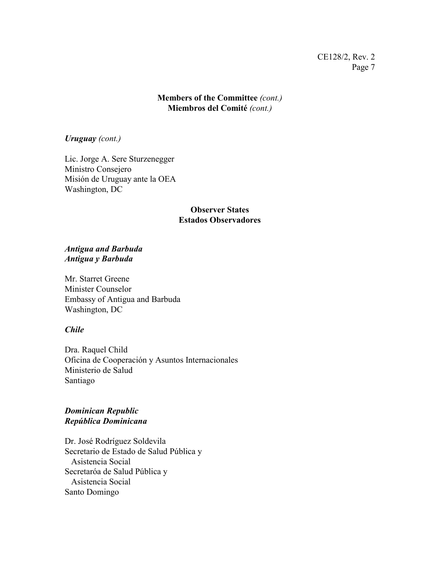## **Members of the Committee** *(cont.)* **Miembros del Comité** *(cont.)*

*Uruguay (cont.)*

Lic. Jorge A. Sere Sturzenegger Ministro Consejero Misión de Uruguay ante la OEA Washington, DC

# **Observer States Estados Observadores**

#### *Antigua and Barbuda Antigua y Barbuda*

Mr. Starret Greene Minister Counselor Embassy of Antigua and Barbuda Washington, DC

# *Chile*

Dra. Raquel Child Oficina de Cooperación y Asuntos Internacionales Ministerio de Salud Santiago

# *Dominican Republic República Dominicana*

Dr. José Rodríguez Soldevila Secretario de Estado de Salud Pública y Asistencia Social Secretaróa de Salud Pública y Asistencia Social Santo Domingo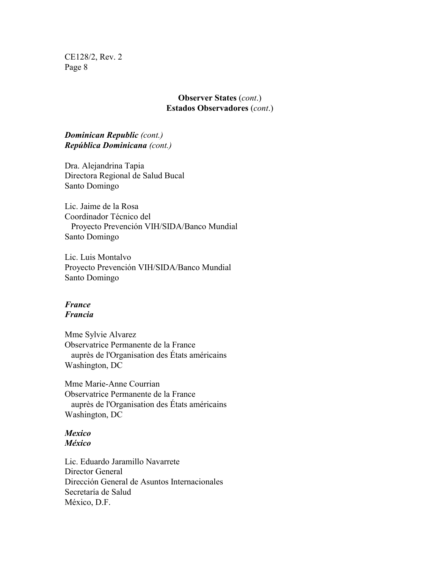CE128/2, Rev. 2 Page 8

#### **Observer States** (*cont*.) **Estados Observadores** (*cont*.)

# *Dominican Republic (cont.) República Dominicana (cont.)*

Dra. Alejandrina Tapia Directora Regional de Salud Bucal Santo Domingo

Lic. Jaime de la Rosa Coordinador Técnico del Proyecto Prevención VIH/SIDA/Banco Mundial Santo Domingo

Lic. Luis Montalvo Proyecto Prevención VIH/SIDA/Banco Mundial Santo Domingo

#### *France Francia*

Mme Sylvie Alvarez Observatrice Permanente de la France auprès de l'Organisation des États américains Washington, DC

Mme Marie-Anne Courrian Observatrice Permanente de la France auprès de l'Organisation des États américains Washington, DC

# *Mexico México*

Lic. Eduardo Jaramillo Navarrete Director General Dirección General de Asuntos Internacionales Secretaría de Salud México, D.F.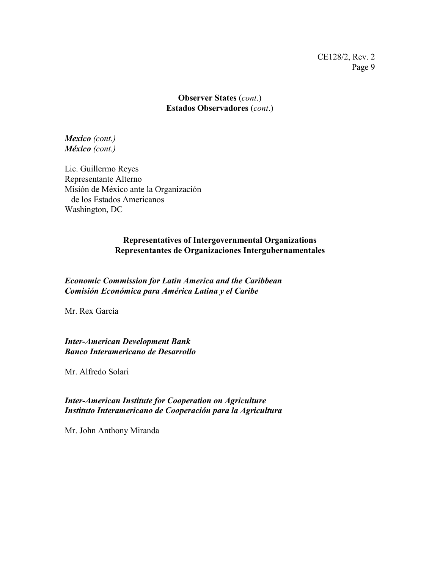**Observer States** (*cont*.) **Estados Observadores** (*cont*.)

*Mexico (cont.) México (cont.)*

Lic. Guillermo Reyes Representante Alterno Misión de México ante la Organización de los Estados Americanos Washington, DC

# **Representatives of Intergovernmental Organizations Representantes de Organizaciones Intergubernamentales**

*Economic Commission for Latin America and the Caribbean Comisión Económica para América Latina y el Caribe*

Mr. Rex García

*Inter-American Development Bank Banco Interamericano de Desarrollo*

Mr. Alfredo Solari

# *Inter-American Institute for Cooperation on Agriculture Instituto Interamericano de Cooperación para la Agricultura*

Mr. John Anthony Miranda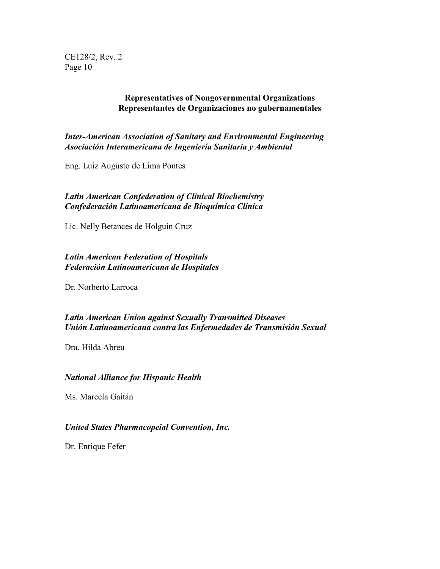CE128/2, Rev. 2 Page 10

#### **Representatives of Nongovernmental Organizations Representantes de Organizaciones no gubernamentales**

*Inter-American Association of Sanitary and Environmental Engineering Asociación Interamericana de Ingeniería Sanitaria y Ambiental*

Eng. Luiz Augusto de Lima Pontes

### *Latin American Confederation of Clinical Biochemistry Confederación Latinoamericana de Bioquímica Clínica*

Lic. Nelly Betances de Holguín Cruz

## *Latin American Federation of Hospitals Federación Latinoamericana de Hospitales*

Dr. Norberto Larroca

# *Latin American Union against Sexually Transmitted Diseases Unión Latinoamericana contra las Enfermedades de Transmisión Sexual*

Dra. Hilda Abreu

#### *National Alliance for Hispanic Health*

Ms. Marcela Gaitán

## *United States Pharmacopeial Convention, Inc.*

Dr. Enrique Fefer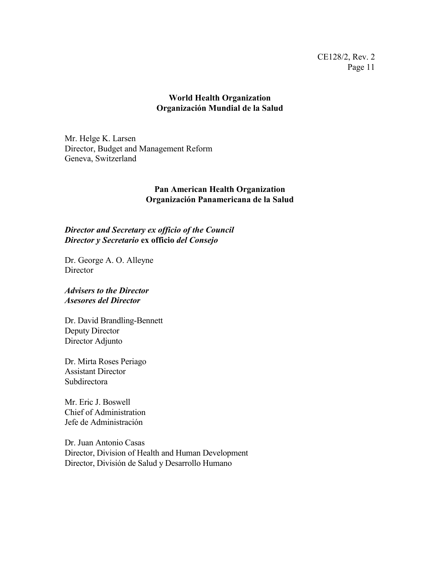## **World Health Organization Organización Mundial de la Salud**

Mr. Helge K. Larsen Director, Budget and Management Reform Geneva, Switzerland

### **Pan American Health Organization Organización Panamericana de la Salud**

## *Director and Secretary ex officio of the Council Director y Secretario* **ex officio** *del Consejo*

Dr. George A. O. Alleyne **Director** 

*Advisers to the Director Asesores del Director*

Dr. David Brandling-Bennett Deputy Director Director Adjunto

Dr. Mirta Roses Periago Assistant Director **Subdirectora** 

Mr. Eric J. Boswell Chief of Administration Jefe de Administración

Dr. Juan Antonio Casas Director, Division of Health and Human Development Director, División de Salud y Desarrollo Humano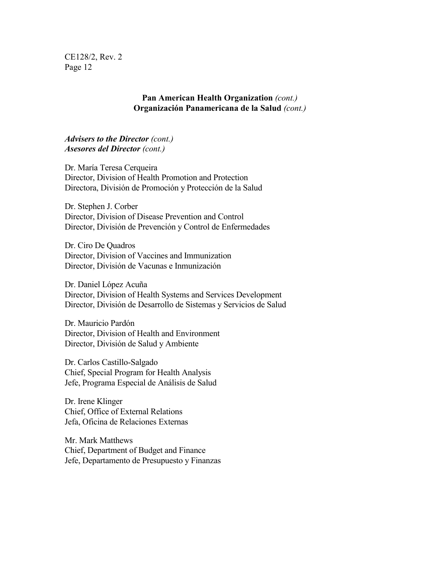CE128/2, Rev. 2 Page 12

#### **Pan American Health Organization** *(cont.)* **Organización Panamericana de la Salud** *(cont.)*

#### *Advisers to the Director (cont.) Asesores del Director (cont.)*

Dr. María Teresa Cerqueira Director, Division of Health Promotion and Protection Directora, División de Promoción y Protección de la Salud

Dr. Stephen J. Corber Director, Division of Disease Prevention and Control Director, División de Prevención y Control de Enfermedades

Dr. Ciro De Quadros Director, Division of Vaccines and Immunization Director, División de Vacunas e Inmunización

Dr. Daniel López Acuña Director, Division of Health Systems and Services Development Director, División de Desarrollo de Sistemas y Servicios de Salud

Dr. Mauricio Pardón Director, Division of Health and Environment Director, División de Salud y Ambiente

Dr. Carlos Castillo-Salgado Chief, Special Program for Health Analysis Jefe, Programa Especial de Análisis de Salud

Dr. Irene Klinger Chief, Office of External Relations Jefa, Oficina de Relaciones Externas

Mr. Mark Matthews Chief, Department of Budget and Finance Jefe, Departamento de Presupuesto y Finanzas